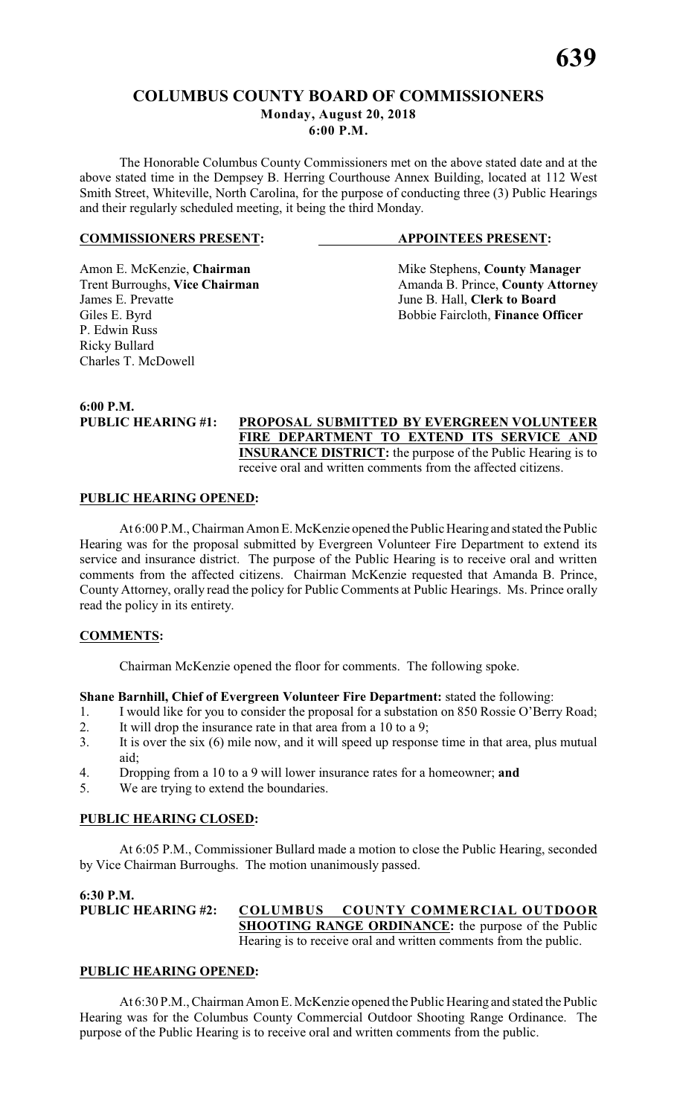**6:00 P.M.**

The Honorable Columbus County Commissioners met on the above stated date and at the above stated time in the Dempsey B. Herring Courthouse Annex Building, located at 112 West Smith Street, Whiteville, North Carolina, for the purpose of conducting three (3) Public Hearings and their regularly scheduled meeting, it being the third Monday.

### **COMMISSIONERS PRESENT: APPOINTEES PRESENT:**

P. Edwin Russ Ricky Bullard Charles T. McDowell

Amon E. McKenzie, **Chairman** Mike Stephens, **County Manager** Trent Burroughs, **Vice Chairman** Amanda B. Prince, **County Attorney**<br>James E. Prevatte June B. Hall. Clerk to Board June B. Hall, **Clerk to Board** Giles E. Byrd Bobbie Faircloth, **Finance Officer** 

**6:00 P.M.**

### **PUBLIC HEARING #1: PROPOSAL SUBMITTED BY EVERGREEN VOLUNTEER FIRE DEPARTMENT TO EXTEND ITS SERVICE AND INSURANCE DISTRICT:** the purpose of the Public Hearing is to receive oral and written comments from the affected citizens.

### **PUBLIC HEARING OPENED:**

At 6:00 P.M., Chairman Amon E. McKenzie opened the Public Hearing and stated the Public Hearing was for the proposal submitted by Evergreen Volunteer Fire Department to extend its service and insurance district. The purpose of the Public Hearing is to receive oral and written comments from the affected citizens. Chairman McKenzie requested that Amanda B. Prince, County Attorney, orally read the policy for Public Comments at Public Hearings. Ms. Prince orally read the policy in its entirety.

### **COMMENTS:**

Chairman McKenzie opened the floor for comments. The following spoke.

### **Shane Barnhill, Chief of Evergreen Volunteer Fire Department:** stated the following:

- 1. I would like for you to consider the proposal for a substation on 850 Rossie O'Berry Road;
- 2. It will drop the insurance rate in that area from a 10 to a 9;
- 3. It is over the six (6) mile now, and it will speed up response time in that area, plus mutual aid;
- 4. Dropping from a 10 to a 9 will lower insurance rates for a homeowner; **and**
- 5. We are trying to extend the boundaries.

### **PUBLIC HEARING CLOSED:**

At 6:05 P.M., Commissioner Bullard made a motion to close the Public Hearing, seconded by Vice Chairman Burroughs. The motion unanimously passed.

**6:30 P.M.**

**PUBLIC HEARING #2: COLUMBUS COUNTY COMMERCIAL OUTDOOR SHOOTING RANGE ORDINANCE:** the purpose of the Public Hearing is to receive oral and written comments from the public.

### **PUBLIC HEARING OPENED:**

At 6:30 P.M., Chairman Amon E. McKenzie opened the Public Hearing and stated the Public Hearing was for the Columbus County Commercial Outdoor Shooting Range Ordinance. The purpose of the Public Hearing is to receive oral and written comments from the public.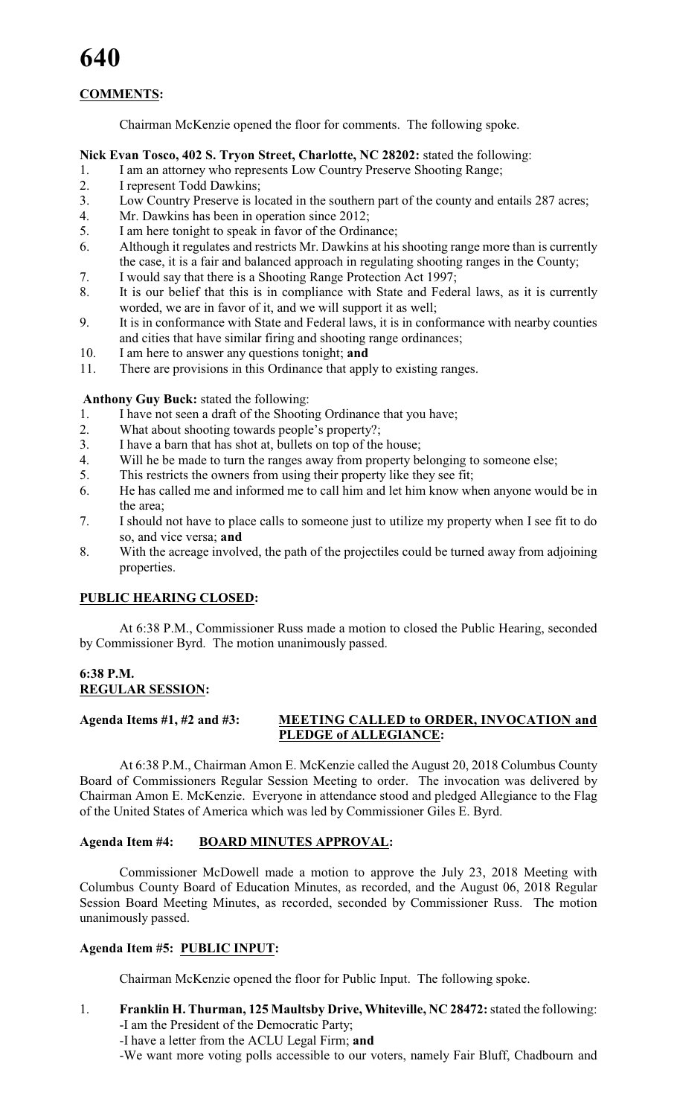### **COMMENTS:**

Chairman McKenzie opened the floor for comments. The following spoke.

### **Nick Evan Tosco, 402 S. Tryon Street, Charlotte, NC 28202:** stated the following:

- 1. I am an attorney who represents Low Country Preserve Shooting Range;
- 2. I represent Todd Dawkins;<br>3. I ow Country Preserve is lo
- Low Country Preserve is located in the southern part of the county and entails 287 acres;
- 4. Mr. Dawkins has been in operation since 2012;
- 5. I am here tonight to speak in favor of the Ordinance;
- 6. Although it regulates and restricts Mr. Dawkins at his shooting range more than is currently the case, it is a fair and balanced approach in regulating shooting ranges in the County;
- 7. I would say that there is a Shooting Range Protection Act 1997;
- 8. It is our belief that this is in compliance with State and Federal laws, as it is currently worded, we are in favor of it, and we will support it as well;
- 9. It is in conformance with State and Federal laws, it is in conformance with nearby counties and cities that have similar firing and shooting range ordinances;
- 10. I am here to answer any questions tonight; **and**
- 11. There are provisions in this Ordinance that apply to existing ranges.

**Anthony Guy Buck:** stated the following:

- 1. I have not seen a draft of the Shooting Ordinance that you have;
- 2. What about shooting towards people's property?;
- 3. I have a barn that has shot at, bullets on top of the house;
- 4. Will he be made to turn the ranges away from property belonging to someone else;
- 5. This restricts the owners from using their property like they see fit;
- 6. He has called me and informed me to call him and let him know when anyone would be in the area;
- 7. I should not have to place calls to someone just to utilize my property when I see fit to do so, and vice versa; **and**
- 8. With the acreage involved, the path of the projectiles could be turned away from adjoining properties.

### **PUBLIC HEARING CLOSED:**

At 6:38 P.M., Commissioner Russ made a motion to closed the Public Hearing, seconded by Commissioner Byrd. The motion unanimously passed.

### **6:38 P.M. REGULAR SESSION:**

### **Agenda Items #1, #2 and #3: MEETING CALLED to ORDER, INVOCATION and PLEDGE of ALLEGIANCE:**

At 6:38 P.M., Chairman Amon E. McKenzie called the August 20, 2018 Columbus County Board of Commissioners Regular Session Meeting to order. The invocation was delivered by Chairman Amon E. McKenzie. Everyone in attendance stood and pledged Allegiance to the Flag of the United States of America which was led by Commissioner Giles E. Byrd.

### **Agenda Item #4: BOARD MINUTES APPROVAL:**

Commissioner McDowell made a motion to approve the July 23, 2018 Meeting with Columbus County Board of Education Minutes, as recorded, and the August 06, 2018 Regular Session Board Meeting Minutes, as recorded, seconded by Commissioner Russ. The motion unanimously passed.

### **Agenda Item #5: PUBLIC INPUT:**

Chairman McKenzie opened the floor for Public Input. The following spoke.

- 1. **Franklin H. Thurman, 125 Maultsby Drive, Whiteville, NC 28472:** stated the following: -I am the President of the Democratic Party;
	- -I have a letter from the ACLU Legal Firm; **and**
	- -We want more voting polls accessible to our voters, namely Fair Bluff, Chadbourn and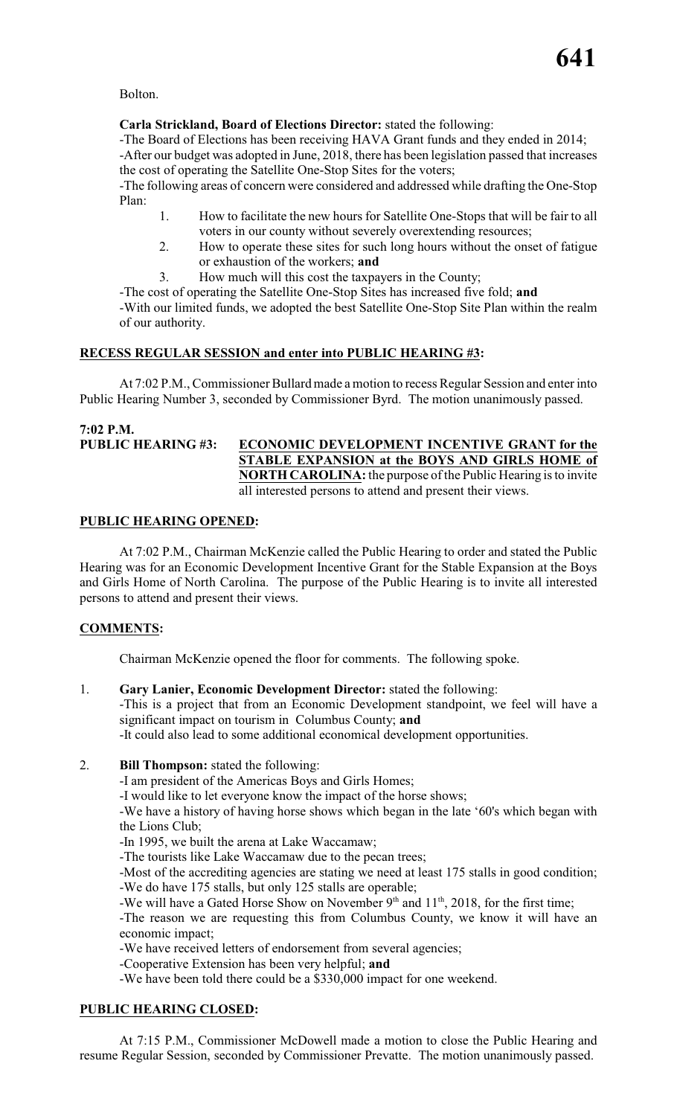Bolton.

### **Carla Strickland, Board of Elections Director:** stated the following:

-The Board of Elections has been receiving HAVA Grant funds and they ended in 2014; -After our budget was adopted in June, 2018, there has been legislation passed that increases the cost of operating the Satellite One-Stop Sites for the voters;

-The following areas of concern were considered and addressed while drafting the One-Stop Plan:

- 1. How to facilitate the new hours for Satellite One-Stops that will be fair to all voters in our county without severely overextending resources;
- 2. How to operate these sites for such long hours without the onset of fatigue or exhaustion of the workers; **and**
- 3. How much will this cost the taxpayers in the County;

-The cost of operating the Satellite One-Stop Sites has increased five fold; **and** -With our limited funds, we adopted the best Satellite One-Stop Site Plan within the realm of our authority.

### **RECESS REGULAR SESSION and enter into PUBLIC HEARING #3:**

At 7:02 P.M., Commissioner Bullard made a motion to recess Regular Session and enter into Public Hearing Number 3, seconded by Commissioner Byrd. The motion unanimously passed.

**7:02 P.M. ECONOMIC DEVELOPMENT INCENTIVE GRANT for the STABLE EXPANSION at the BOYS AND GIRLS HOME of NORTH CAROLINA:** the purpose of the Public Hearing is to invite all interested persons to attend and present their views.

### **PUBLIC HEARING OPENED:**

At 7:02 P.M., Chairman McKenzie called the Public Hearing to order and stated the Public Hearing was for an Economic Development Incentive Grant for the Stable Expansion at the Boys and Girls Home of North Carolina. The purpose of the Public Hearing is to invite all interested persons to attend and present their views.

### **COMMENTS:**

Chairman McKenzie opened the floor for comments. The following spoke.

### 1. **Gary Lanier, Economic Development Director:** stated the following:

-This is a project that from an Economic Development standpoint, we feel will have a significant impact on tourism in Columbus County; **and**

-It could also lead to some additional economical development opportunities.

### 2. **Bill Thompson:** stated the following:

-I am president of the Americas Boys and Girls Homes;

-I would like to let everyone know the impact of the horse shows;

-We have a history of having horse shows which began in the late '60's which began with the Lions Club;

-In 1995, we built the arena at Lake Waccamaw;

-The tourists like Lake Waccamaw due to the pecan trees;

-Most of the accrediting agencies are stating we need at least 175 stalls in good condition; -We do have 175 stalls, but only 125 stalls are operable;

-We will have a Gated Horse Show on November  $9<sup>th</sup>$  and  $11<sup>th</sup>$ , 2018, for the first time;

-The reason we are requesting this from Columbus County, we know it will have an economic impact;

-We have received letters of endorsement from several agencies;

-Cooperative Extension has been very helpful; **and**

-We have been told there could be a \$330,000 impact for one weekend.

### **PUBLIC HEARING CLOSED:**

At 7:15 P.M., Commissioner McDowell made a motion to close the Public Hearing and resume Regular Session, seconded by Commissioner Prevatte. The motion unanimously passed.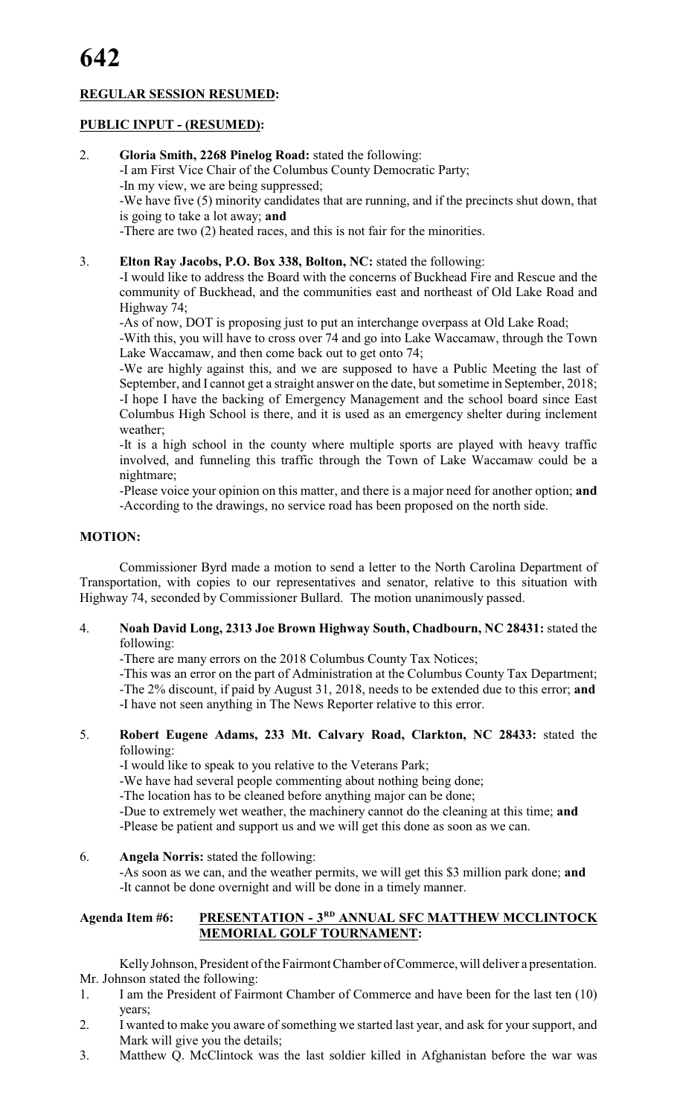### **REGULAR SESSION RESUMED:**

### **PUBLIC INPUT - (RESUMED):**

- 2. **Gloria Smith, 2268 Pinelog Road:** stated the following: -I am First Vice Chair of the Columbus County Democratic Party; -In my view, we are being suppressed; -We have five (5) minority candidates that are running, and if the precincts shut down, that is going to take a lot away; **and** -There are two (2) heated races, and this is not fair for the minorities.
	-
- 3. **Elton Ray Jacobs, P.O. Box 338, Bolton, NC:** stated the following:

-I would like to address the Board with the concerns of Buckhead Fire and Rescue and the community of Buckhead, and the communities east and northeast of Old Lake Road and Highway 74;

-As of now, DOT is proposing just to put an interchange overpass at Old Lake Road;

-With this, you will have to cross over 74 and go into Lake Waccamaw, through the Town Lake Waccamaw, and then come back out to get onto 74;

-We are highly against this, and we are supposed to have a Public Meeting the last of September, and I cannot get a straight answer on the date, but sometime in September, 2018; -I hope I have the backing of Emergency Management and the school board since East Columbus High School is there, and it is used as an emergency shelter during inclement weather;

-It is a high school in the county where multiple sports are played with heavy traffic involved, and funneling this traffic through the Town of Lake Waccamaw could be a nightmare;

-Please voice your opinion on this matter, and there is a major need for another option; **and** -According to the drawings, no service road has been proposed on the north side.

### **MOTION:**

Commissioner Byrd made a motion to send a letter to the North Carolina Department of Transportation, with copies to our representatives and senator, relative to this situation with Highway 74, seconded by Commissioner Bullard. The motion unanimously passed.

4. **Noah David Long, 2313 Joe Brown Highway South, Chadbourn, NC 28431:** stated the following:

-There are many errors on the 2018 Columbus County Tax Notices;

-This was an error on the part of Administration at the Columbus County Tax Department;

-The 2% discount, if paid by August 31, 2018, needs to be extended due to this error; **and**

-I have not seen anything in The News Reporter relative to this error.

5. **Robert Eugene Adams, 233 Mt. Calvary Road, Clarkton, NC 28433:** stated the following:

-I would like to speak to you relative to the Veterans Park;

-We have had several people commenting about nothing being done;

-The location has to be cleaned before anything major can be done;

-Due to extremely wet weather, the machinery cannot do the cleaning at this time; **and**

-Please be patient and support us and we will get this done as soon as we can.

6. **Angela Norris:** stated the following:

-As soon as we can, and the weather permits, we will get this \$3 million park done; **and** -It cannot be done overnight and will be done in a timely manner.

### Agenda Item #6: **PRESENTATION - 3<sup>RD</sup> ANNUAL SFC MATTHEW MCCLINTOCK MEMORIAL GOLF TOURNAMENT:**

Kelly Johnson, President of the Fairmont Chamber of Commerce, will deliver a presentation. Mr. Johnson stated the following:

- 1. I am the President of Fairmont Chamber of Commerce and have been for the last ten (10) years;
- 2. I wanted to make you aware of something we started last year, and ask for your support, and Mark will give you the details;
- 3. Matthew Q. McClintock was the last soldier killed in Afghanistan before the war was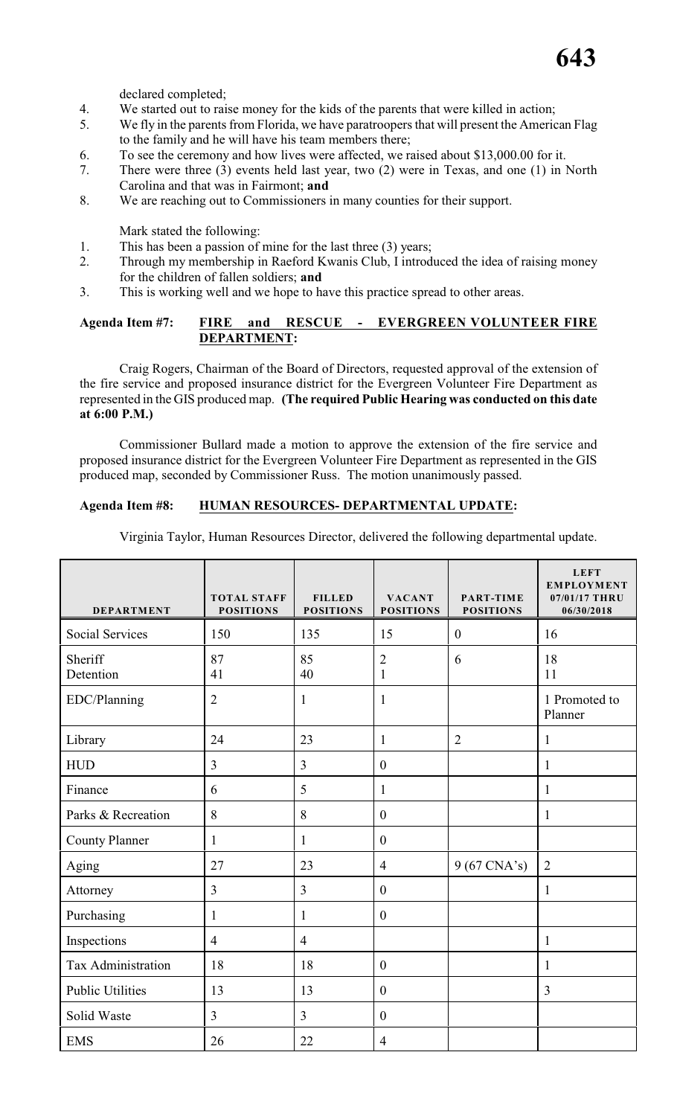declared completed;

- 4. We started out to raise money for the kids of the parents that were killed in action;<br>We fly in the parents from Florida we have paratroopers that will present the Americ
- We fly in the parents from Florida, we have paratroopers that will present the American Flag to the family and he will have his team members there;
- 6. To see the ceremony and how lives were affected, we raised about \$13,000.00 for it.
- 7. There were three (3) events held last year, two (2) were in Texas, and one (1) in North Carolina and that was in Fairmont; **and**
- 8. We are reaching out to Commissioners in many counties for their support.

Mark stated the following:

- 1. This has been a passion of mine for the last three (3) years;
- 2. Through my membership in Raeford Kwanis Club, I introduced the idea of raising money for the children of fallen soldiers; **and**
- 3. This is working well and we hope to have this practice spread to other areas.

### **Agenda Item #7: FIRE and RESCUE - EVERGREEN VOLUNTEER FIRE DEPARTMENT:**

Craig Rogers, Chairman of the Board of Directors, requested approval of the extension of the fire service and proposed insurance district for the Evergreen Volunteer Fire Department as represented in the GIS produced map. **(The required Public Hearing was conducted on this date at 6:00 P.M.)**

Commissioner Bullard made a motion to approve the extension of the fire service and proposed insurance district for the Evergreen Volunteer Fire Department as represented in the GIS produced map, seconded by Commissioner Russ. The motion unanimously passed.

### **Agenda Item #8: HUMAN RESOURCES- DEPARTMENTAL UPDATE:**

Virginia Taylor, Human Resources Director, delivered the following departmental update.

| <b>DEPARTMENT</b>       | <b>TOTAL STAFF</b><br><b>POSITIONS</b> | <b>FILLED</b><br><b>POSITIONS</b> | <b>VACANT</b><br><b>POSITIONS</b> | PART-TIME<br><b>POSITIONS</b> | <b>LEFT</b><br><b>EMPLOYMENT</b><br>07/01/17 THRU<br>06/30/2018 |
|-------------------------|----------------------------------------|-----------------------------------|-----------------------------------|-------------------------------|-----------------------------------------------------------------|
| <b>Social Services</b>  | 150                                    | 135                               | 15                                | $\boldsymbol{0}$              | 16                                                              |
| Sheriff<br>Detention    | 87<br>41                               | 85<br>40                          | $\overline{c}$<br>$\mathbf{1}$    | 6                             | 18<br>11                                                        |
| EDC/Planning            | $\overline{2}$                         | $\mathbf{1}$                      | 1                                 |                               | 1 Promoted to<br>Planner                                        |
| Library                 | 24                                     | 23                                | $\mathbf{1}$                      | $\overline{2}$                | 1                                                               |
| <b>HUD</b>              | $\overline{3}$                         | 3                                 | $\mathbf{0}$                      |                               | $\mathbf{1}$                                                    |
| Finance                 | 6                                      | 5                                 | 1                                 |                               | 1                                                               |
| Parks & Recreation      | 8                                      | 8                                 | $\mathbf{0}$                      |                               | 1                                                               |
| <b>County Planner</b>   | $\mathbf{1}$                           | $\mathbf{1}$                      | $\mathbf{0}$                      |                               |                                                                 |
| Aging                   | 27                                     | 23                                | $\overline{4}$                    | $9(67 \text{ CNA's})$         | $\overline{2}$                                                  |
| Attorney                | $\overline{3}$                         | $\overline{3}$                    | $\boldsymbol{0}$                  |                               | $\mathbf{1}$                                                    |
| Purchasing              | $\mathbf{1}$                           | $\mathbf{1}$                      | $\boldsymbol{0}$                  |                               |                                                                 |
| Inspections             | $\overline{4}$                         | $\overline{4}$                    |                                   |                               | $\mathbf{1}$                                                    |
| Tax Administration      | 18                                     | 18                                | $\boldsymbol{0}$                  |                               | 1                                                               |
| <b>Public Utilities</b> | 13                                     | 13                                | $\mathbf{0}$                      |                               | 3                                                               |
| Solid Waste             | $\overline{3}$                         | $\overline{3}$                    | $\mathbf{0}$                      |                               |                                                                 |
| <b>EMS</b>              | 26                                     | 22                                | $\overline{4}$                    |                               |                                                                 |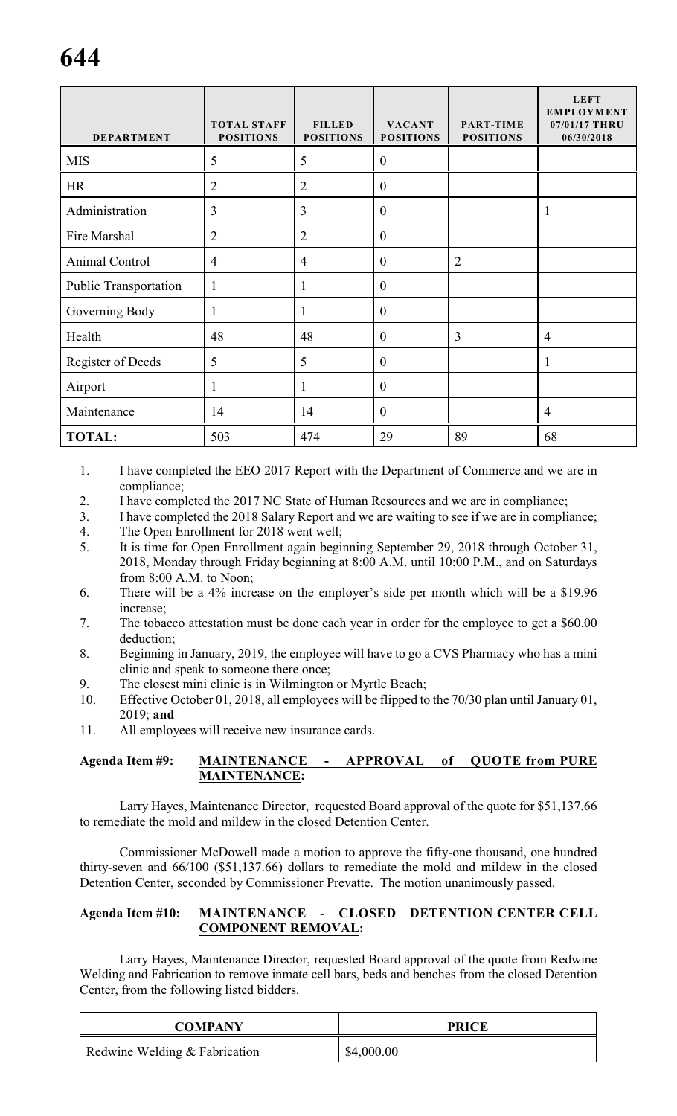| <b>DEPARTMENT</b>            | <b>TOTAL STAFF</b><br><b>POSITIONS</b> | <b>FILLED</b><br><b>POSITIONS</b> | <b>VACANT</b><br><b>POSITIONS</b> | <b>PART-TIME</b><br><b>POSITIONS</b> | <b>LEFT</b><br><b>EMPLOYMENT</b><br>07/01/17 THRU<br>06/30/2018 |
|------------------------------|----------------------------------------|-----------------------------------|-----------------------------------|--------------------------------------|-----------------------------------------------------------------|
| <b>MIS</b>                   | 5                                      | 5                                 | $\boldsymbol{0}$                  |                                      |                                                                 |
| <b>HR</b>                    | $\overline{2}$                         | $\overline{2}$                    | $\mathbf{0}$                      |                                      |                                                                 |
| Administration               | $\overline{3}$                         | 3                                 | $\mathbf{0}$                      |                                      | $\mathbf{1}$                                                    |
| Fire Marshal                 | $\overline{2}$                         | $\overline{2}$                    | $\mathbf{0}$                      |                                      |                                                                 |
| Animal Control               | $\overline{4}$                         | $\overline{4}$                    | $\mathbf{0}$                      | $\overline{2}$                       |                                                                 |
| <b>Public Transportation</b> | 1                                      | $\mathbf{1}$                      | $\mathbf{0}$                      |                                      |                                                                 |
| Governing Body               |                                        | 1                                 | $\mathbf{0}$                      |                                      |                                                                 |
| Health                       | 48                                     | 48                                | $\mathbf{0}$                      | $\overline{3}$                       | $\overline{4}$                                                  |
| <b>Register of Deeds</b>     | 5                                      | 5                                 | $\boldsymbol{0}$                  |                                      | 1                                                               |
| Airport                      |                                        | 1                                 | $\overline{0}$                    |                                      |                                                                 |
| Maintenance                  | 14                                     | 14                                | $\mathbf{0}$                      |                                      | $\overline{4}$                                                  |
| <b>TOTAL:</b>                | 503                                    | 474                               | 29                                | 89                                   | 68                                                              |

- 1. I have completed the EEO 2017 Report with the Department of Commerce and we are in compliance;
- 2. I have completed the 2017 NC State of Human Resources and we are in compliance;
- 3. I have completed the 2018 Salary Report and we are waiting to see if we are in compliance;
- 4. The Open Enrollment for 2018 went well;
- 5. It is time for Open Enrollment again beginning September 29, 2018 through October 31, 2018, Monday through Friday beginning at 8:00 A.M. until 10:00 P.M., and on Saturdays from 8:00 A.M. to Noon;
- 6. There will be a 4% increase on the employer's side per month which will be a \$19.96 increase;
- 7. The tobacco attestation must be done each year in order for the employee to get a \$60.00 deduction;
- 8. Beginning in January, 2019, the employee will have to go a CVS Pharmacy who has a mini clinic and speak to someone there once;
- 9. The closest mini clinic is in Wilmington or Myrtle Beach;
- 10. Effective October 01, 2018, all employees will be flipped to the 70/30 plan until January 01, 2019; **and**
- 11. All employees will receive new insurance cards.

### **Agenda Item #9: MAINTENANCE - APPROVAL of QUOTE from PURE MAINTENANCE:**

Larry Hayes, Maintenance Director, requested Board approval of the quote for \$51,137.66 to remediate the mold and mildew in the closed Detention Center.

Commissioner McDowell made a motion to approve the fifty-one thousand, one hundred thirty-seven and 66/100 (\$51,137.66) dollars to remediate the mold and mildew in the closed Detention Center, seconded by Commissioner Prevatte. The motion unanimously passed.

### **Agenda Item #10: MAINTENANCE - CLOSED DETENTION CENTER CELL COMPONENT REMOVAL:**

Larry Hayes, Maintenance Director, requested Board approval of the quote from Redwine Welding and Fabrication to remove inmate cell bars, beds and benches from the closed Detention Center, from the following listed bidders.

| <b>COMPANY</b>                | <b>PRICE</b> |
|-------------------------------|--------------|
| Redwine Welding & Fabrication | \$4,000.00   |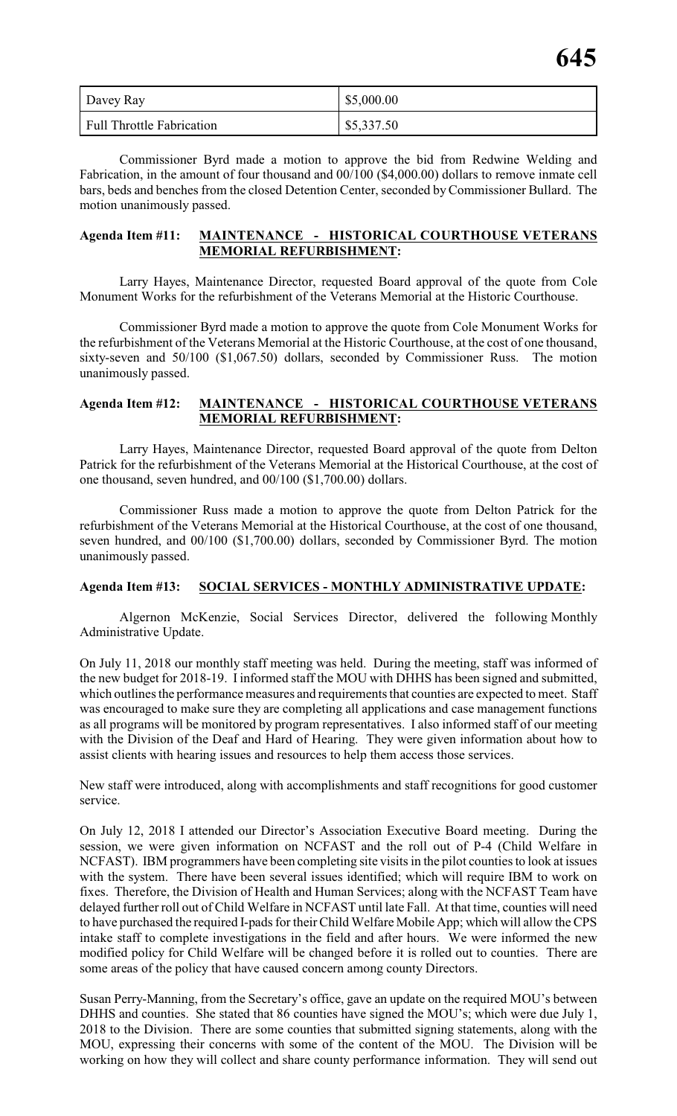| Davey Ray                        | \$5,000.00 |
|----------------------------------|------------|
| <b>Full Throttle Fabrication</b> | \$5,337.50 |

Commissioner Byrd made a motion to approve the bid from Redwine Welding and Fabrication, in the amount of four thousand and 00/100 (\$4,000.00) dollars to remove inmate cell bars, beds and benches from the closed Detention Center, seconded by Commissioner Bullard. The motion unanimously passed.

### **Agenda Item #11: MAINTENANCE - HISTORICAL COURTHOUSE VETERANS MEMORIAL REFURBISHMENT:**

Larry Hayes, Maintenance Director, requested Board approval of the quote from Cole Monument Works for the refurbishment of the Veterans Memorial at the Historic Courthouse.

Commissioner Byrd made a motion to approve the quote from Cole Monument Works for the refurbishment of the Veterans Memorial at the Historic Courthouse, at the cost of one thousand, sixty-seven and 50/100 (\$1,067.50) dollars, seconded by Commissioner Russ. The motion unanimously passed.

### **Agenda Item #12: MAINTENANCE - HISTORICAL COURTHOUSE VETERANS MEMORIAL REFURBISHMENT:**

Larry Hayes, Maintenance Director, requested Board approval of the quote from Delton Patrick for the refurbishment of the Veterans Memorial at the Historical Courthouse, at the cost of one thousand, seven hundred, and 00/100 (\$1,700.00) dollars.

Commissioner Russ made a motion to approve the quote from Delton Patrick for the refurbishment of the Veterans Memorial at the Historical Courthouse, at the cost of one thousand, seven hundred, and 00/100 (\$1,700.00) dollars, seconded by Commissioner Byrd. The motion unanimously passed.

### **Agenda Item #13: SOCIAL SERVICES - MONTHLY ADMINISTRATIVE UPDATE:**

Algernon McKenzie, Social Services Director, delivered the following Monthly Administrative Update.

On July 11, 2018 our monthly staff meeting was held. During the meeting, staff was informed of the new budget for 2018-19. I informed staff the MOU with DHHS has been signed and submitted, which outlines the performance measures and requirements that counties are expected to meet. Staff was encouraged to make sure they are completing all applications and case management functions as all programs will be monitored by program representatives. I also informed staff of our meeting with the Division of the Deaf and Hard of Hearing. They were given information about how to assist clients with hearing issues and resources to help them access those services.

New staff were introduced, along with accomplishments and staff recognitions for good customer service.

On July 12, 2018 I attended our Director's Association Executive Board meeting. During the session, we were given information on NCFAST and the roll out of P-4 (Child Welfare in NCFAST). IBM programmers have been completing site visits in the pilot counties to look at issues with the system. There have been several issues identified; which will require IBM to work on fixes. Therefore, the Division of Health and Human Services; along with the NCFAST Team have delayed further roll out of Child Welfare in NCFAST until late Fall. At that time, counties will need to have purchased the required I-pads for their Child Welfare Mobile App; which will allow the CPS intake staff to complete investigations in the field and after hours. We were informed the new modified policy for Child Welfare will be changed before it is rolled out to counties. There are some areas of the policy that have caused concern among county Directors.

Susan Perry-Manning, from the Secretary's office, gave an update on the required MOU's between DHHS and counties. She stated that 86 counties have signed the MOU's; which were due July 1, 2018 to the Division. There are some counties that submitted signing statements, along with the MOU, expressing their concerns with some of the content of the MOU. The Division will be working on how they will collect and share county performance information. They will send out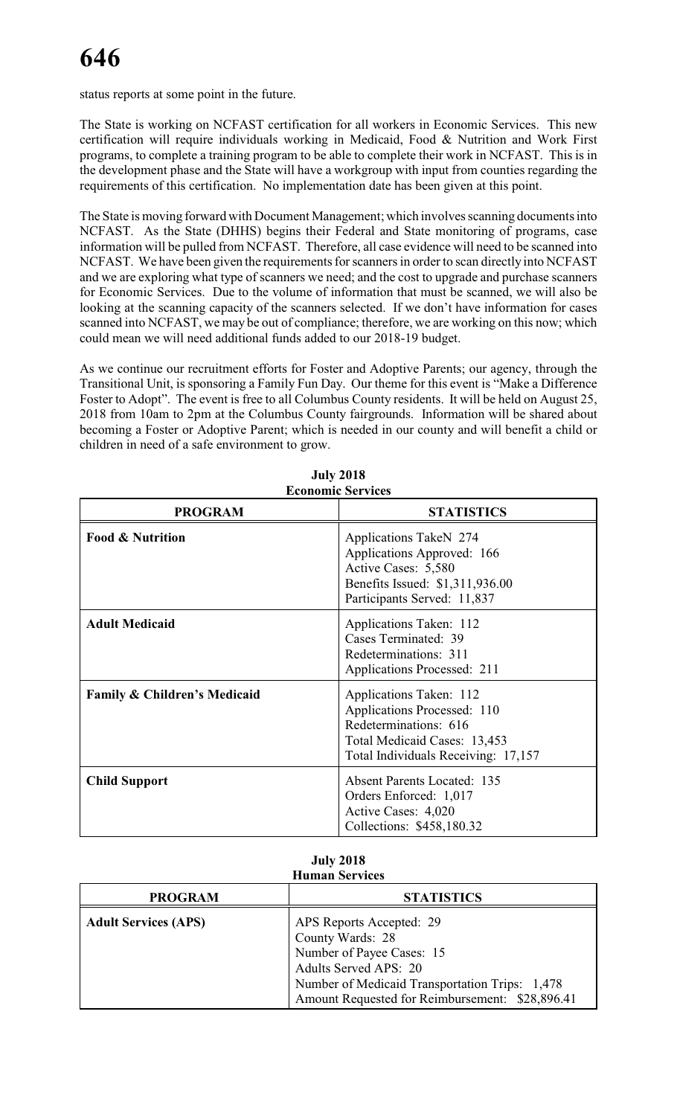status reports at some point in the future.

The State is working on NCFAST certification for all workers in Economic Services. This new certification will require individuals working in Medicaid, Food & Nutrition and Work First programs, to complete a training program to be able to complete their work in NCFAST. This is in the development phase and the State will have a workgroup with input from counties regarding the requirements of this certification. No implementation date has been given at this point.

The State is moving forward with Document Management; which involves scanning documents into NCFAST. As the State (DHHS) begins their Federal and State monitoring of programs, case information will be pulled from NCFAST. Therefore, all case evidence will need to be scanned into NCFAST. We have been given the requirements for scanners in order to scan directly into NCFAST and we are exploring what type of scanners we need; and the cost to upgrade and purchase scanners for Economic Services. Due to the volume of information that must be scanned, we will also be looking at the scanning capacity of the scanners selected. If we don't have information for cases scanned into NCFAST, we may be out of compliance; therefore, we are working on this now; which could mean we will need additional funds added to our 2018-19 budget.

As we continue our recruitment efforts for Foster and Adoptive Parents; our agency, through the Transitional Unit, is sponsoring a Family Fun Day. Our theme for this event is "Make a Difference Foster to Adopt". The event is free to all Columbus County residents. It will be held on August 25, 2018 from 10am to 2pm at the Columbus County fairgrounds. Information will be shared about becoming a Foster or Adoptive Parent; which is needed in our county and will benefit a child or children in need of a safe environment to grow.

| <b>Economic Services</b>     |                                                                                                                                                        |  |  |  |  |
|------------------------------|--------------------------------------------------------------------------------------------------------------------------------------------------------|--|--|--|--|
| <b>PROGRAM</b>               | <b>STATISTICS</b>                                                                                                                                      |  |  |  |  |
| <b>Food &amp; Nutrition</b>  | Applications TakeN 274<br>Applications Approved: 166<br>Active Cases: 5,580<br>Benefits Issued: \$1,311,936.00<br>Participants Served: 11,837          |  |  |  |  |
| <b>Adult Medicaid</b>        | Applications Taken: 112<br>Cases Terminated: 39<br>Redeterminations: 311<br>Applications Processed: 211                                                |  |  |  |  |
| Family & Children's Medicaid | Applications Taken: 112<br>Applications Processed: 110<br>Redeterminations: 616<br>Total Medicaid Cases: 13,453<br>Total Individuals Receiving: 17,157 |  |  |  |  |
| <b>Child Support</b>         | <b>Absent Parents Located: 135</b><br>Orders Enforced: 1,017<br>Active Cases: 4,020<br>Collections: \$458,180.32                                       |  |  |  |  |

| <b>July 2018</b> |  |
|------------------|--|
| conomic Servicí  |  |

### **July 2018 Human Services**

| <b>PROGRAM</b>              | <b>STATISTICS</b>                                                                                                                                                                                              |
|-----------------------------|----------------------------------------------------------------------------------------------------------------------------------------------------------------------------------------------------------------|
| <b>Adult Services (APS)</b> | APS Reports Accepted: 29<br>County Wards: 28<br>Number of Payee Cases: 15<br><b>Adults Served APS: 20</b><br>Number of Medicaid Transportation Trips: 1,478<br>Amount Requested for Reimbursement: \$28,896.41 |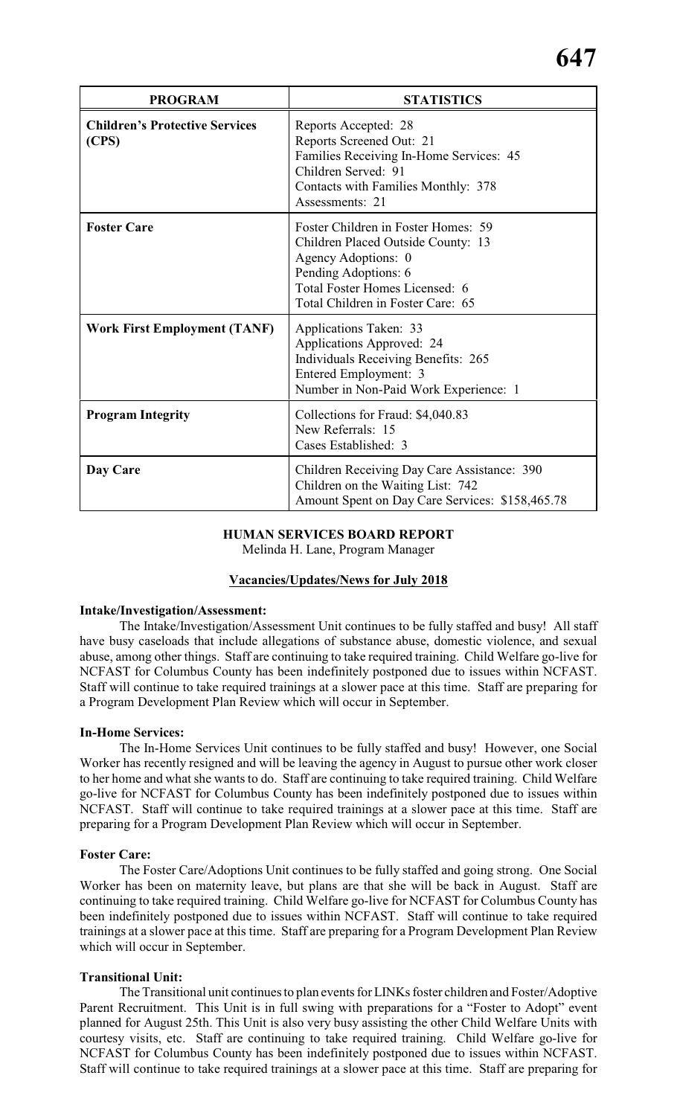| <b>PROGRAM</b>                                 | <b>STATISTICS</b>                                                                                                                                                                               |
|------------------------------------------------|-------------------------------------------------------------------------------------------------------------------------------------------------------------------------------------------------|
| <b>Children's Protective Services</b><br>(CPS) | Reports Accepted: 28<br>Reports Screened Out: 21<br>Families Receiving In-Home Services: 45<br>Children Served: 91<br>Contacts with Families Monthly: 378<br>Assessments: 21                    |
| <b>Foster Care</b>                             | Foster Children in Foster Homes: 59<br>Children Placed Outside County: 13<br>Agency Adoptions: 0<br>Pending Adoptions: 6<br>Total Foster Homes Licensed: 6<br>Total Children in Foster Care: 65 |
| <b>Work First Employment (TANF)</b>            | Applications Taken: 33<br>Applications Approved: 24<br><b>Individuals Receiving Benefits: 265</b><br>Entered Employment: 3<br>Number in Non-Paid Work Experience: 1                             |
| <b>Program Integrity</b>                       | Collections for Fraud: \$4,040.83<br>New Referrals: 15<br>Cases Established: 3                                                                                                                  |
| Day Care                                       | Children Receiving Day Care Assistance: 390<br>Children on the Waiting List: 742<br>Amount Spent on Day Care Services: \$158,465.78                                                             |

#### **HUMAN SERVICES BOARD REPORT**

Melinda H. Lane, Program Manager

### **Vacancies/Updates/News for July 2018**

#### **Intake/Investigation/Assessment:**

The Intake/Investigation/Assessment Unit continues to be fully staffed and busy! All staff have busy caseloads that include allegations of substance abuse, domestic violence, and sexual abuse, among other things. Staff are continuing to take required training. Child Welfare go-live for NCFAST for Columbus County has been indefinitely postponed due to issues within NCFAST. Staff will continue to take required trainings at a slower pace at this time. Staff are preparing for a Program Development Plan Review which will occur in September.

### **In-Home Services:**

The In-Home Services Unit continues to be fully staffed and busy! However, one Social Worker has recently resigned and will be leaving the agency in August to pursue other work closer to her home and what she wants to do. Staff are continuing to take required training. Child Welfare go-live for NCFAST for Columbus County has been indefinitely postponed due to issues within NCFAST. Staff will continue to take required trainings at a slower pace at this time. Staff are preparing for a Program Development Plan Review which will occur in September.

#### **Foster Care:**

The Foster Care/Adoptions Unit continues to be fully staffed and going strong. One Social Worker has been on maternity leave, but plans are that she will be back in August. Staff are continuing to take required training. Child Welfare go-live for NCFAST for Columbus County has been indefinitely postponed due to issues within NCFAST. Staff will continue to take required trainings at a slower pace at this time. Staff are preparing for a Program Development Plan Review which will occur in September.

### **Transitional Unit:**

The Transitional unit continues to plan events for LINKs foster children and Foster/Adoptive Parent Recruitment. This Unit is in full swing with preparations for a "Foster to Adopt" event planned for August 25th. This Unit is also very busy assisting the other Child Welfare Units with courtesy visits, etc. Staff are continuing to take required training. Child Welfare go-live for NCFAST for Columbus County has been indefinitely postponed due to issues within NCFAST. Staff will continue to take required trainings at a slower pace at this time. Staff are preparing for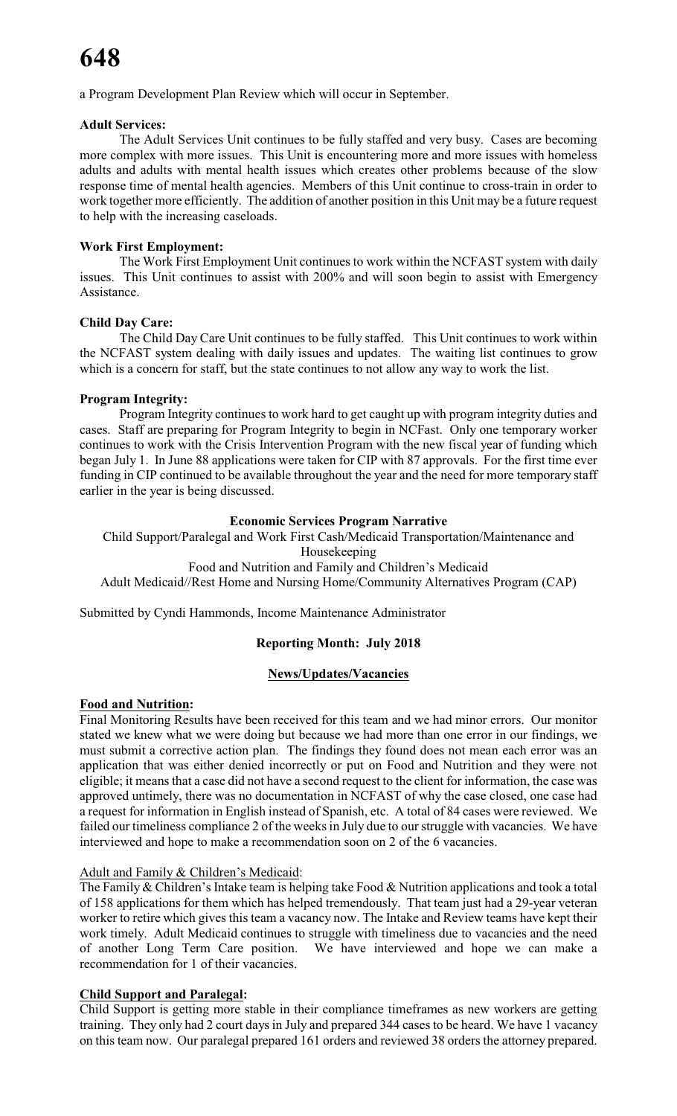a Program Development Plan Review which will occur in September.

### **Adult Services:**

The Adult Services Unit continues to be fully staffed and very busy. Cases are becoming more complex with more issues. This Unit is encountering more and more issues with homeless adults and adults with mental health issues which creates other problems because of the slow response time of mental health agencies. Members of this Unit continue to cross-train in order to work together more efficiently. The addition of another position in this Unit may be a future request to help with the increasing caseloads.

### **Work First Employment:**

The Work First Employment Unit continues to work within the NCFAST system with daily issues. This Unit continues to assist with 200% and will soon begin to assist with Emergency Assistance.

### **Child Day Care:**

The Child Day Care Unit continues to be fully staffed. This Unit continues to work within the NCFAST system dealing with daily issues and updates. The waiting list continues to grow which is a concern for staff, but the state continues to not allow any way to work the list.

### **Program Integrity:**

Program Integrity continues to work hard to get caught up with program integrity duties and cases. Staff are preparing for Program Integrity to begin in NCFast. Only one temporary worker continues to work with the Crisis Intervention Program with the new fiscal year of funding which began July 1. In June 88 applications were taken for CIP with 87 approvals. For the first time ever funding in CIP continued to be available throughout the year and the need for more temporary staff earlier in the year is being discussed.

### **Economic Services Program Narrative**

Child Support/Paralegal and Work First Cash/Medicaid Transportation/Maintenance and

### Housekeeping

Food and Nutrition and Family and Children's Medicaid

Adult Medicaid//Rest Home and Nursing Home/Community Alternatives Program (CAP)

Submitted by Cyndi Hammonds, Income Maintenance Administrator

### **Reporting Month: July 2018**

### **News/Updates/Vacancies**

### **Food and Nutrition:**

Final Monitoring Results have been received for this team and we had minor errors. Our monitor stated we knew what we were doing but because we had more than one error in our findings, we must submit a corrective action plan. The findings they found does not mean each error was an application that was either denied incorrectly or put on Food and Nutrition and they were not eligible; it means that a case did not have a second request to the client for information, the case was approved untimely, there was no documentation in NCFAST of why the case closed, one case had a request for information in English instead of Spanish, etc. A total of 84 cases were reviewed. We failed our timeliness compliance 2 of the weeks in July due to our struggle with vacancies. We have interviewed and hope to make a recommendation soon on 2 of the 6 vacancies.

### Adult and Family & Children's Medicaid:

The Family & Children's Intake team is helping take Food & Nutrition applications and took a total of 158 applications for them which has helped tremendously. That team just had a 29-year veteran worker to retire which gives this team a vacancy now. The Intake and Review teams have kept their work timely. Adult Medicaid continues to struggle with timeliness due to vacancies and the need of another Long Term Care position. We have interviewed and hope we can make a recommendation for 1 of their vacancies.

### **Child Support and Paralegal:**

Child Support is getting more stable in their compliance timeframes as new workers are getting training. They only had 2 court days in July and prepared 344 cases to be heard. We have 1 vacancy on this team now. Our paralegal prepared 161 orders and reviewed 38 orders the attorney prepared.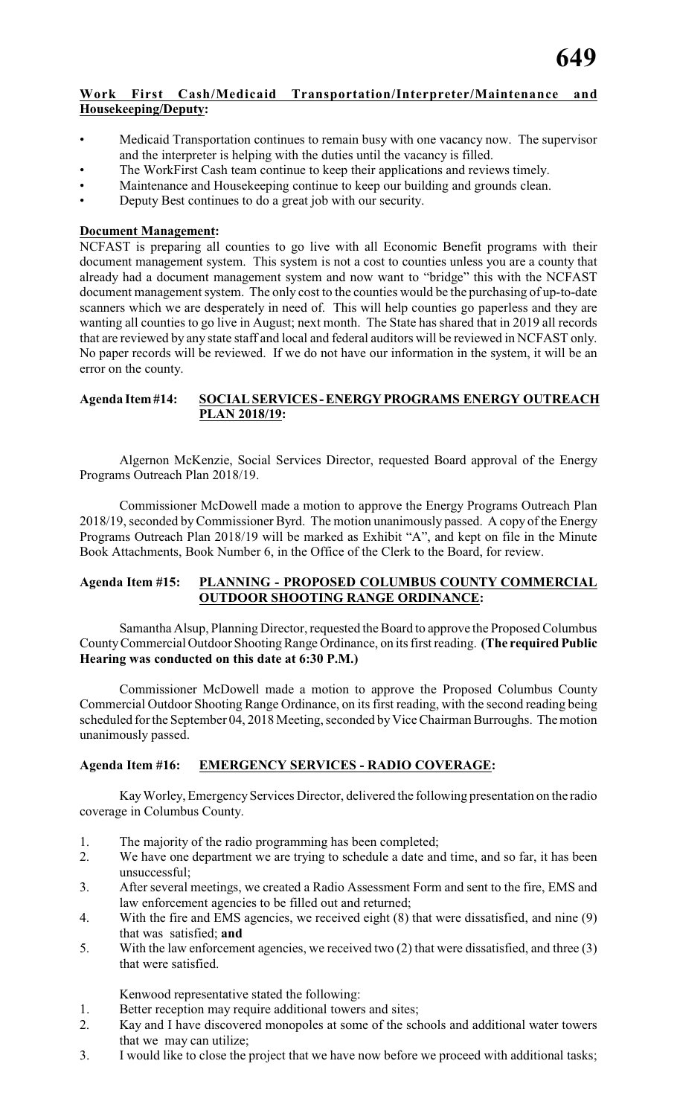### **Work First Cash/Medicaid Transportation/Interpreter/Maintenance and Housekeeping/Deputy:**

- Medicaid Transportation continues to remain busy with one vacancy now. The supervisor and the interpreter is helping with the duties until the vacancy is filled.
- The WorkFirst Cash team continue to keep their applications and reviews timely.
- Maintenance and Housekeeping continue to keep our building and grounds clean.
- Deputy Best continues to do a great job with our security.

### **Document Management:**

NCFAST is preparing all counties to go live with all Economic Benefit programs with their document management system. This system is not a cost to counties unless you are a county that already had a document management system and now want to "bridge" this with the NCFAST document management system. The only cost to the counties would be the purchasing of up-to-date scanners which we are desperately in need of. This will help counties go paperless and they are wanting all counties to go live in August; next month. The State has shared that in 2019 all records that are reviewed by any state staff and local and federal auditors will be reviewed in NCFAST only. No paper records will be reviewed. If we do not have our information in the system, it will be an error on the county.

### **Agenda Item #14: SOCIAL SERVICES - ENERGY PROGRAMS ENERGY OUTREACH PLAN 2018/19:**

Algernon McKenzie, Social Services Director, requested Board approval of the Energy Programs Outreach Plan 2018/19.

Commissioner McDowell made a motion to approve the Energy Programs Outreach Plan 2018/19, seconded by Commissioner Byrd. The motion unanimously passed. A copy of the Energy Programs Outreach Plan 2018/19 will be marked as Exhibit "A", and kept on file in the Minute Book Attachments, Book Number 6, in the Office of the Clerk to the Board, for review.

### **Agenda Item #15: PLANNING - PROPOSED COLUMBUS COUNTY COMMERCIAL OUTDOOR SHOOTING RANGE ORDINANCE:**

Samantha Alsup, Planning Director, requested the Board to approve the Proposed Columbus CountyCommercial Outdoor Shooting Range Ordinance, on its first reading. **(The required Public Hearing was conducted on this date at 6:30 P.M.)**

Commissioner McDowell made a motion to approve the Proposed Columbus County Commercial Outdoor Shooting Range Ordinance, on its first reading, with the second reading being scheduled for the September 04, 2018 Meeting, seconded by Vice Chairman Burroughs. The motion unanimously passed.

### **Agenda Item #16: EMERGENCY SERVICES - RADIO COVERAGE:**

KayWorley, Emergency Services Director, delivered the following presentation on the radio coverage in Columbus County.

- 1. The majority of the radio programming has been completed;
- 2. We have one department we are trying to schedule a date and time, and so far, it has been unsuccessful;
- 3. After several meetings, we created a Radio Assessment Form and sent to the fire, EMS and law enforcement agencies to be filled out and returned;
- 4. With the fire and EMS agencies, we received eight (8) that were dissatisfied, and nine (9) that was satisfied; **and**
- 5. With the law enforcement agencies, we received two (2) that were dissatisfied, and three (3) that were satisfied.

Kenwood representative stated the following:

- 1. Better reception may require additional towers and sites;
- 2. Kay and I have discovered monopoles at some of the schools and additional water towers that we may can utilize;
- 3. I would like to close the project that we have now before we proceed with additional tasks;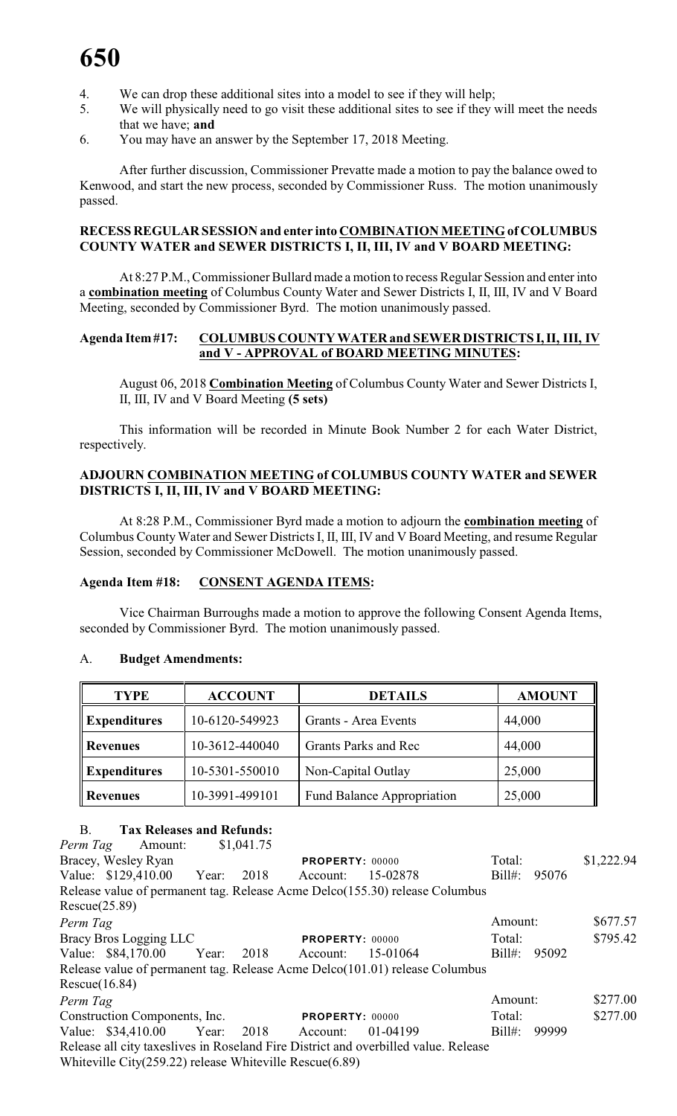- 4. We can drop these additional sites into a model to see if they will help;
- 5. We will physically need to go visit these additional sites to see if they will meet the needs that we have; **and**
- 6. You may have an answer by the September 17, 2018 Meeting.

After further discussion, Commissioner Prevatte made a motion to pay the balance owed to Kenwood, and start the new process, seconded by Commissioner Russ. The motion unanimously passed.

### **RECESS REGULAR SESSION and enter into COMBINATION MEETING of COLUMBUS COUNTY WATER and SEWER DISTRICTS I, II, III, IV and V BOARD MEETING:**

At 8:27 P.M., Commissioner Bullard made a motion to recess Regular Session and enter into a **combination meeting** of Columbus County Water and Sewer Districts I, II, III, IV and V Board Meeting, seconded by Commissioner Byrd. The motion unanimously passed.

### **Agenda Item #17: COLUMBUS COUNTY WATER and SEWER DISTRICTS I, II, III, IV and V - APPROVAL of BOARD MEETING MINUTES:**

August 06, 2018 **Combination Meeting** of Columbus County Water and Sewer Districts I, II, III, IV and V Board Meeting **(5 sets)**

This information will be recorded in Minute Book Number 2 for each Water District, respectively.

### **ADJOURN COMBINATION MEETING of COLUMBUS COUNTY WATER and SEWER DISTRICTS I, II, III, IV and V BOARD MEETING:**

At 8:28 P.M., Commissioner Byrd made a motion to adjourn the **combination meeting** of Columbus County Water and Sewer Districts I, II, III, IV and V Board Meeting, and resume Regular Session, seconded by Commissioner McDowell. The motion unanimously passed.

### **Agenda Item #18: CONSENT AGENDA ITEMS:**

Vice Chairman Burroughs made a motion to approve the following Consent Agenda Items, seconded by Commissioner Byrd. The motion unanimously passed.

### A. **Budget Amendments:**

| <b>TYPE</b>         | <b>ACCOUNT</b> | <b>DETAILS</b>                    | <b>AMOUNT</b> |
|---------------------|----------------|-----------------------------------|---------------|
| <b>Expenditures</b> | 10-6120-549923 | Grants - Area Events              | 44,000        |
| <b>Revenues</b>     | 10-3612-440040 | Grants Parks and Rec              | 44,000        |
| <b>Expenditures</b> | 10-5301-550010 | Non-Capital Outlay                | 25,000        |
| <b>Revenues</b>     | 10-3991-499101 | <b>Fund Balance Appropriation</b> | 25,000        |

### B. **Tax Releases and Refunds:**

| Perm Tag        | Amount:                                                         | \$1,041.75 |                        |                                                                                      |           |       |            |
|-----------------|-----------------------------------------------------------------|------------|------------------------|--------------------------------------------------------------------------------------|-----------|-------|------------|
|                 | Bracey, Wesley Ryan                                             |            | <b>PROPERTY: 00000</b> |                                                                                      | Total:    |       | \$1,222.94 |
|                 | Value: \$129,410.00 Year: 2018                                  |            | Account:               | 15-02878                                                                             | $Bill#$ : | 95076 |            |
|                 |                                                                 |            |                        | Release value of permanent tag. Release Acme Delco(155.30) release Columbus          |           |       |            |
| Rescue(25.89)   |                                                                 |            |                        |                                                                                      |           |       |            |
| Perm Tag        |                                                                 |            |                        |                                                                                      | Amount:   |       | \$677.57   |
|                 | Bracy Bros Logging LLC                                          |            | <b>PROPERTY: 00000</b> |                                                                                      | Total:    |       | \$795.42   |
|                 | Value: \$84,170.00 Year: 2018                                   |            | Account:               | 15-01064                                                                             | $Bill#$ : | 95092 |            |
|                 |                                                                 |            |                        | Release value of permanent tag. Release Acme Delco(101.01) release Columbus          |           |       |            |
| Resource(16.84) |                                                                 |            |                        |                                                                                      |           |       |            |
| Perm Tag        |                                                                 |            |                        |                                                                                      | Amount:   |       | \$277.00   |
|                 | Construction Components, Inc.                                   |            | PROPERTY: 00000        |                                                                                      | Total:    |       | \$277.00   |
|                 | Value: \$34,410.00 Year: 2018 Account:                          |            |                        | 01-04199                                                                             | $Bill#$ : | 99999 |            |
|                 |                                                                 |            |                        | Release all city taxes lives in Roseland Fire District and overbilled value. Release |           |       |            |
|                 | White ville City $(259.22)$ release White ville Rescue $(6.89)$ |            |                        |                                                                                      |           |       |            |
|                 |                                                                 |            |                        |                                                                                      |           |       |            |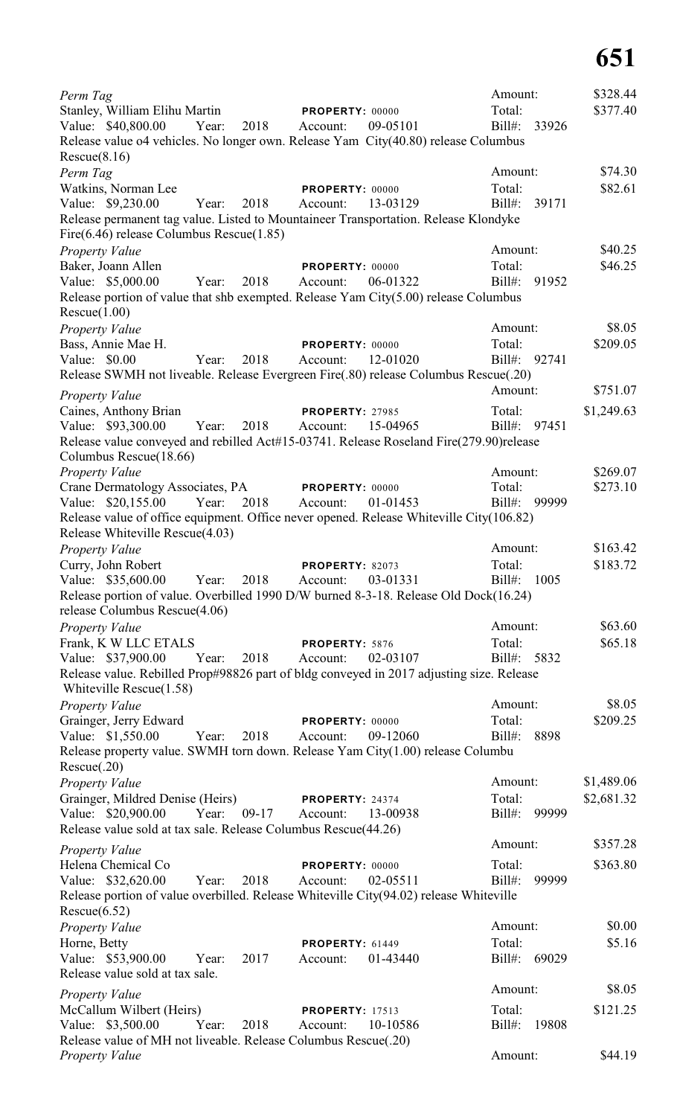| Perm Tag                                                                                                                        |                      |      |                            |          | Amount:               |       | \$328.44   |
|---------------------------------------------------------------------------------------------------------------------------------|----------------------|------|----------------------------|----------|-----------------------|-------|------------|
| Stanley, William Elihu Martin                                                                                                   |                      |      | PROPERTY: 00000            |          | Total:                |       | \$377.40   |
| Value: \$40,800.00                                                                                                              | Year:                | 2018 | Account:                   | 09-05101 | Bill#: 33926          |       |            |
| Release value o4 vehicles. No longer own. Release Yam City(40.80) release Columbus                                              |                      |      |                            |          |                       |       |            |
| Rescue(8.16)<br>Perm Tag                                                                                                        |                      |      |                            |          | Amount:               |       | \$74.30    |
| Watkins, Norman Lee                                                                                                             |                      |      | PROPERTY: 00000            |          | Total:                |       | \$82.61    |
| Value: \$9,230.00                                                                                                               | Year:                | 2018 | Account:                   | 13-03129 | Bill#:                | 39171 |            |
| Release permanent tag value. Listed to Mountaineer Transportation. Release Klondyke<br>Fire(6.46) release Columbus Rescue(1.85) |                      |      |                            |          |                       |       |            |
| <b>Property Value</b>                                                                                                           |                      |      |                            |          | Amount:               |       | \$40.25    |
| Baker, Joann Allen                                                                                                              |                      |      | PROPERTY: 00000            |          | Total:                |       | \$46.25    |
| Value: \$5,000.00                                                                                                               | Year:                | 2018 | Account:                   | 06-01322 | $Bill#$ :             | 91952 |            |
| Release portion of value that shb exempted. Release Yam City(5.00) release Columbus<br>Rescue(1.00)                             |                      |      |                            |          |                       |       |            |
| <b>Property Value</b>                                                                                                           |                      |      |                            |          | Amount:               |       | \$8.05     |
| Bass, Annie Mae H.                                                                                                              |                      |      | PROPERTY: 00000            |          | Total:                |       | \$209.05   |
| Value: \$0.00                                                                                                                   | Year:                | 2018 | Account:                   | 12-01020 | Bill#: 92741          |       |            |
| Release SWMH not liveable. Release Evergreen Fire(.80) release Columbus Rescue(.20)                                             |                      |      |                            |          |                       |       | \$751.07   |
| Property Value                                                                                                                  |                      |      |                            |          | Amount:               |       |            |
| Caines, Anthony Brian                                                                                                           |                      |      | <b>PROPERTY: 27985</b>     |          | Total:                |       | \$1,249.63 |
| Value: \$93,300.00                                                                                                              | Year:                | 2018 | Account:                   | 15-04965 | Bill#: 97451          |       |            |
| Release value conveyed and rebilled Act#15-03741. Release Roseland Fire(279.90) release<br>Columbus Rescue(18.66)               |                      |      |                            |          |                       |       |            |
| Property Value                                                                                                                  |                      |      |                            |          | Amount:               |       | \$269.07   |
| Crane Dermatology Associates, PA                                                                                                |                      |      | <b>PROPERTY: 00000</b>     |          | Total:                |       | \$273.10   |
| Value: \$20,155.00                                                                                                              | Year:                | 2018 | Account:                   | 01-01453 | Bill#: 99999          |       |            |
| Release value of office equipment. Office never opened. Release Whiteville City(106.82)<br>Release Whiteville Rescue(4.03)      |                      |      |                            |          |                       |       |            |
| Property Value                                                                                                                  |                      |      |                            |          | Amount:               |       | \$163.42   |
| Curry, John Robert                                                                                                              |                      |      | PROPERTY: 82073            |          | Total:                |       | \$183.72   |
| Value: \$35,600.00                                                                                                              | Year:                | 2018 | Account:                   | 03-01331 | Bill#: 1005           |       |            |
| Release portion of value. Overbilled 1990 D/W burned 8-3-18. Release Old Dock(16.24)<br>release Columbus Rescue(4.06)           |                      |      |                            |          |                       |       |            |
| <b>Property Value</b>                                                                                                           |                      |      |                            |          | Amount:               |       | \$63.60    |
| Frank, K W LLC ETALS<br>Value: \$37,900.00                                                                                      | Year:                | 2018 | PROPERTY: 5876<br>Account: | 02-03107 | Total:<br>Bill#: 5832 |       | \$65.18    |
| Release value. Rebilled Prop#98826 part of bldg conveyed in 2017 adjusting size. Release<br>Whiteville Rescue $(1.58)$          |                      |      |                            |          |                       |       |            |
| <b>Property Value</b>                                                                                                           |                      |      |                            |          | Amount:               |       | \$8.05     |
| Grainger, Jerry Edward                                                                                                          |                      |      | PROPERTY: 00000            |          | Total:                |       | \$209.25   |
| Value: \$1,550.00                                                                                                               | Year:                | 2018 | Account:                   | 09-12060 | Bill#:                | 8898  |            |
| Release property value. SWMH torn down. Release Yam City(1.00) release Columbu<br>Rescue(.20)                                   |                      |      |                            |          |                       |       |            |
| Property Value                                                                                                                  |                      |      |                            |          | Amount:               |       | \$1,489.06 |
| Grainger, Mildred Denise (Heirs)                                                                                                |                      |      | PROPERTY: 24374            |          | Total:                |       | \$2,681.32 |
| Value: \$20,900.00                                                                                                              | Year: 09-17 Account: |      |                            | 13-00938 | Bill#: 99999          |       |            |
| Release value sold at tax sale. Release Columbus Rescue(44.26)                                                                  |                      |      |                            |          |                       |       |            |
| Property Value                                                                                                                  |                      |      |                            |          | Amount:               |       | \$357.28   |
| Helena Chemical Co                                                                                                              |                      |      | PROPERTY: 00000            |          | Total:                |       | \$363.80   |
| Value: \$32,620.00                                                                                                              | Year:                | 2018 | Account:                   | 02-05511 | Bill#:                | 99999 |            |
| Release portion of value overbilled. Release Whiteville City(94.02) release Whiteville<br>Rescue(6.52)                          |                      |      |                            |          |                       |       |            |
| Property Value                                                                                                                  |                      |      |                            |          | Amount:               |       | \$0.00     |
| Horne, Betty                                                                                                                    |                      |      | PROPERTY: 61449            |          | Total:                |       | \$5.16     |
| Value: \$53,900.00                                                                                                              | Year:                | 2017 | Account:                   | 01-43440 | Bill#: 69029          |       |            |
| Release value sold at tax sale.                                                                                                 |                      |      |                            |          | Amount:               |       | \$8.05     |
| <b>Property Value</b><br>McCallum Wilbert (Heirs)                                                                               |                      |      | <b>PROPERTY: 17513</b>     |          | Total:                |       | \$121.25   |
| Value: \$3,500.00                                                                                                               | Year:                | 2018 | Account:                   | 10-10586 | Bill#: 19808          |       |            |
| Release value of MH not liveable. Release Columbus Rescue(.20)                                                                  |                      |      |                            |          |                       |       |            |
| Property Value                                                                                                                  |                      |      |                            |          | Amount:               |       | \$44.19    |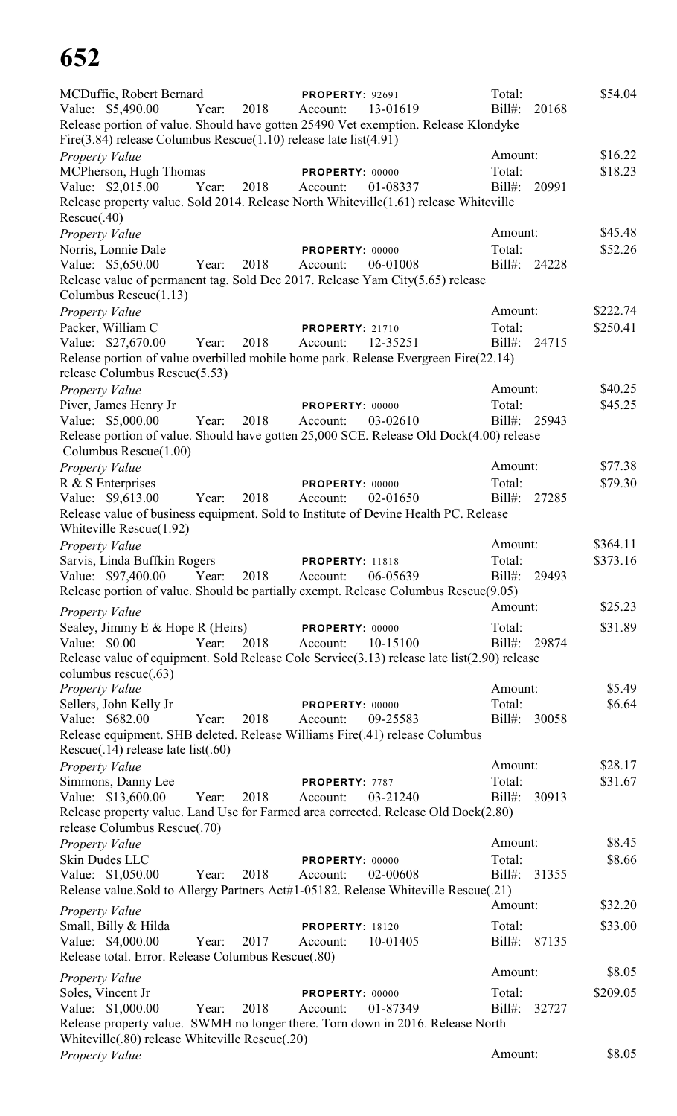| MCDuffie, Robert Bernard<br>Value: \$5,490.00<br>Release portion of value. Should have gotten 25490 Vet exemption. Release Klondyke<br>Fire $(3.84)$ release Columbus Rescue $(1.10)$ release late list $(4.91)$ | Year: | 2018 | <b>PROPERTY: 92691</b><br>Account: | 13-01619 | Total:<br>$Bill#$ : | 20168 | \$54.04  |
|------------------------------------------------------------------------------------------------------------------------------------------------------------------------------------------------------------------|-------|------|------------------------------------|----------|---------------------|-------|----------|
| <b>Property Value</b>                                                                                                                                                                                            |       |      |                                    |          | Amount:             |       | \$16.22  |
| MCPherson, Hugh Thomas                                                                                                                                                                                           |       |      | PROPERTY: 00000                    |          | Total:              |       | \$18.23  |
| Value: \$2,015.00                                                                                                                                                                                                | Year: | 2018 | Account:                           | 01-08337 | Bill#:              | 20991 |          |
| Release property value. Sold 2014. Release North Whiteville (1.61) release Whiteville                                                                                                                            |       |      |                                    |          |                     |       |          |
| Rescue(.40)                                                                                                                                                                                                      |       |      |                                    |          |                     |       |          |
| Property Value                                                                                                                                                                                                   |       |      |                                    |          | Amount:             |       | \$45.48  |
| Norris, Lonnie Dale                                                                                                                                                                                              |       |      | PROPERTY: 00000                    |          | Total:              |       | \$52.26  |
| Value: \$5,650.00                                                                                                                                                                                                | Year: | 2018 | Account:                           | 06-01008 | Bill#: 24228        |       |          |
| Release value of permanent tag. Sold Dec 2017. Release Yam City(5.65) release                                                                                                                                    |       |      |                                    |          |                     |       |          |
| Columbus Rescue(1.13)                                                                                                                                                                                            |       |      |                                    |          |                     |       |          |
| <b>Property Value</b>                                                                                                                                                                                            |       |      |                                    |          | Amount:             |       | \$222.74 |
| Packer, William C                                                                                                                                                                                                |       |      | <b>PROPERTY: 21710</b>             |          | Total:              |       | \$250.41 |
| Value: \$27,670.00                                                                                                                                                                                               | Year: | 2018 | Account:                           | 12-35251 | Bill#:              | 24715 |          |
| Release portion of value overbilled mobile home park. Release Evergreen Fire(22.14)                                                                                                                              |       |      |                                    |          |                     |       |          |
| release Columbus Rescue(5.53)                                                                                                                                                                                    |       |      |                                    |          |                     |       |          |
| Property Value                                                                                                                                                                                                   |       |      |                                    |          | Amount:             |       | \$40.25  |
| Piver, James Henry Jr                                                                                                                                                                                            |       |      | PROPERTY: 00000                    |          | Total:              |       | \$45.25  |
| Value: \$5,000.00                                                                                                                                                                                                | Year: | 2018 | Account:                           | 03-02610 | Bill#:              | 25943 |          |
| Release portion of value. Should have gotten 25,000 SCE. Release Old Dock(4.00) release                                                                                                                          |       |      |                                    |          |                     |       |          |
| Columbus $Resource(1.00)$                                                                                                                                                                                        |       |      |                                    |          |                     |       |          |
| Property Value                                                                                                                                                                                                   |       |      |                                    |          | Amount:             |       | \$77.38  |
| R & S Enterprises                                                                                                                                                                                                |       |      | PROPERTY: 00000                    |          | Total:              |       | \$79.30  |
| Value: \$9,613.00                                                                                                                                                                                                | Year: | 2018 | Account:                           | 02-01650 | Bill#:              | 27285 |          |
| Release value of business equipment. Sold to Institute of Devine Health PC. Release                                                                                                                              |       |      |                                    |          |                     |       |          |
| Whiteville Rescue(1.92)                                                                                                                                                                                          |       |      |                                    |          |                     |       |          |
| Property Value                                                                                                                                                                                                   |       |      |                                    |          | Amount:             |       | \$364.11 |
| Sarvis, Linda Buffkin Rogers                                                                                                                                                                                     |       |      | <b>PROPERTY: 11818</b>             |          | Total:              |       | \$373.16 |
| Value: \$97,400.00 Year: 2018 Account: 06-05639                                                                                                                                                                  |       |      |                                    |          | Bill#: 29493        |       |          |
| Release portion of value. Should be partially exempt. Release Columbus Rescue(9.05)                                                                                                                              |       |      |                                    |          |                     |       |          |
|                                                                                                                                                                                                                  |       |      |                                    |          | Amount:             |       | \$25.23  |
| Property Value                                                                                                                                                                                                   |       |      |                                    |          |                     |       |          |
| Sealey, Jimmy E & Hope R (Heirs)                                                                                                                                                                                 |       |      | <b>PROPERTY: 00000</b>             |          | Total:              |       | \$31.89  |
| Value: \$0.00                                                                                                                                                                                                    | Year: | 2018 | Account:                           | 10-15100 | Bill#: 29874        |       |          |
| Release value of equipment. Sold Release Cole Service(3.13) release late list(2.90) release                                                                                                                      |       |      |                                    |          |                     |       |          |
| columbus rescue(.63)                                                                                                                                                                                             |       |      |                                    |          |                     |       |          |
| Property Value                                                                                                                                                                                                   |       |      |                                    |          | Amount:             |       | \$5.49   |
| Sellers, John Kelly Jr                                                                                                                                                                                           |       |      | PROPERTY: 00000                    |          | Total:              |       | \$6.64   |
| Value: \$682.00                                                                                                                                                                                                  | Year: | 2018 | Account:                           | 09-25583 | Bill#:              | 30058 |          |
| Release equipment. SHB deleted. Release Williams Fire(.41) release Columbus                                                                                                                                      |       |      |                                    |          |                     |       |          |
| Rescue $(.14)$ release late list $(.60)$                                                                                                                                                                         |       |      |                                    |          |                     |       |          |
| Property Value                                                                                                                                                                                                   |       |      |                                    |          | Amount:             |       | \$28.17  |
| Simmons, Danny Lee                                                                                                                                                                                               |       |      | PROPERTY: 7787                     |          | Total:              |       | \$31.67  |
| Value: \$13,600.00                                                                                                                                                                                               | Year: | 2018 | Account:                           | 03-21240 | $Bill#$ :           | 30913 |          |
| Release property value. Land Use for Farmed area corrected. Release Old Dock(2.80)                                                                                                                               |       |      |                                    |          |                     |       |          |
| release Columbus Rescue(.70)                                                                                                                                                                                     |       |      |                                    |          |                     |       |          |
| Property Value                                                                                                                                                                                                   |       |      |                                    |          | Amount:             |       | \$8.45   |
| Skin Dudes LLC                                                                                                                                                                                                   |       |      | PROPERTY: 00000                    |          | Total:              |       | \$8.66   |
| Value: \$1,050.00                                                                                                                                                                                                | Year: | 2018 | Account:                           | 02-00608 | Bill#:              | 31355 |          |
| Release value. Sold to Allergy Partners Act#1-05182. Release Whiteville Rescue(.21)                                                                                                                              |       |      |                                    |          |                     |       |          |
| <b>Property Value</b>                                                                                                                                                                                            |       |      |                                    |          | Amount:             |       | \$32.20  |
| Small, Billy & Hilda                                                                                                                                                                                             |       |      | <b>PROPERTY: 18120</b>             |          | Total:              |       | \$33.00  |
| Value: \$4,000.00                                                                                                                                                                                                | Year: | 2017 | Account:                           | 10-01405 | Bill#: 87135        |       |          |
| Release total. Error. Release Columbus Rescue(.80)                                                                                                                                                               |       |      |                                    |          |                     |       |          |
|                                                                                                                                                                                                                  |       |      |                                    |          | Amount:             |       | \$8.05   |
| <b>Property Value</b>                                                                                                                                                                                            |       |      |                                    |          |                     |       | \$209.05 |
| Soles, Vincent Jr                                                                                                                                                                                                |       | 2018 | PROPERTY: 00000<br>Account:        | 01-87349 | Total:<br>$Bill#$ : | 32727 |          |
| Value: \$1,000.00                                                                                                                                                                                                | Year: |      |                                    |          |                     |       |          |
| Release property value. SWMH no longer there. Torn down in 2016. Release North                                                                                                                                   |       |      |                                    |          |                     |       |          |
| Whiteville(.80) release Whiteville Rescue(.20)                                                                                                                                                                   |       |      |                                    |          | Amount:             |       | \$8.05   |
| Property Value                                                                                                                                                                                                   |       |      |                                    |          |                     |       |          |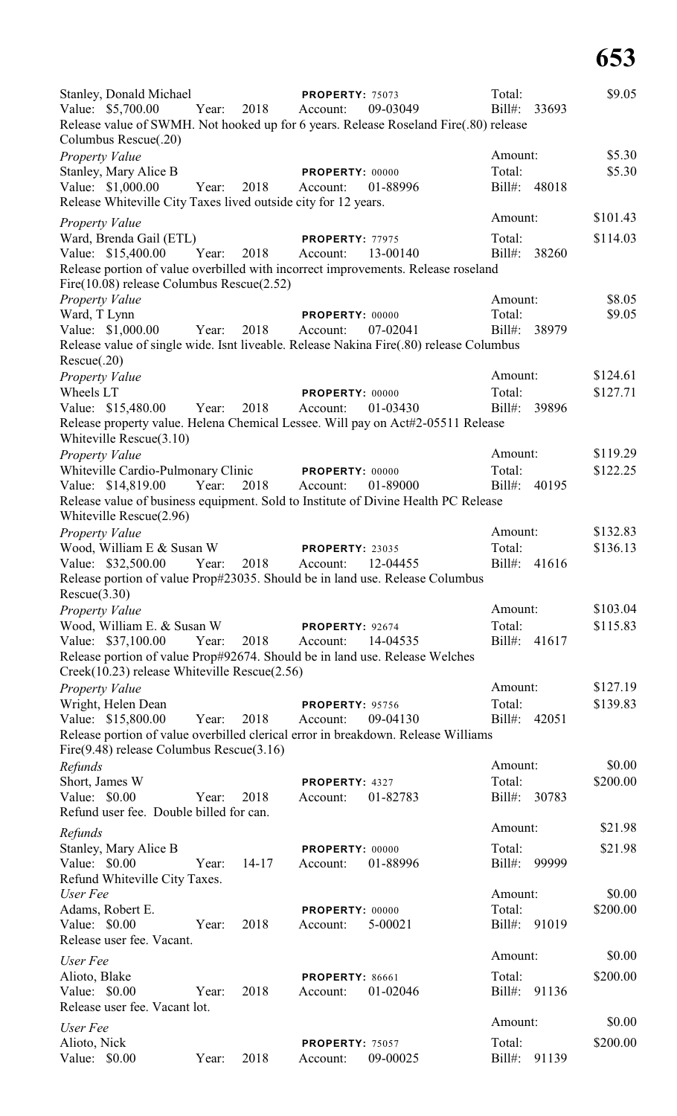| Stanley, Donald Michael<br>Value: \$5,700.00<br>Columbus Rescue(.20)                | Year: | 2018          | <b>PROPERTY: 75073</b><br>Account: | 09-03049<br>Release value of SWMH. Not hooked up for 6 years. Release Roseland Fire(.80) release | Total:<br>Bill#: | 33693 | \$9.05   |
|-------------------------------------------------------------------------------------|-------|---------------|------------------------------------|--------------------------------------------------------------------------------------------------|------------------|-------|----------|
| Property Value                                                                      |       |               |                                    |                                                                                                  | Amount:          |       | \$5.30   |
| Stanley, Mary Alice B                                                               |       |               | PROPERTY: 00000                    |                                                                                                  | Total:           |       | \$5.30   |
| Value: \$1,000.00<br>Release Whiteville City Taxes lived outside city for 12 years. | Year: | 2018          | Account:                           | 01-88996                                                                                         | Bill#: 48018     |       |          |
|                                                                                     |       |               |                                    |                                                                                                  | Amount:          |       | \$101.43 |
| Property Value<br>Ward, Brenda Gail (ETL)                                           |       |               | PROPERTY: 77975                    |                                                                                                  | Total:           |       | \$114.03 |
| Value: \$15,400.00 Year:                                                            |       | 2018          | Account:                           | 13-00140                                                                                         | Bill#:           | 38260 |          |
|                                                                                     |       |               |                                    | Release portion of value overbilled with incorrect improvements. Release roseland                |                  |       |          |
| Fire $(10.08)$ release Columbus Rescue $(2.52)$                                     |       |               |                                    |                                                                                                  |                  |       |          |
| Property Value                                                                      |       |               |                                    |                                                                                                  | Amount:          |       | \$8.05   |
| Ward, T Lynn                                                                        |       |               | PROPERTY: 00000                    |                                                                                                  | Total:           |       | \$9.05   |
| Value: \$1,000.00                                                                   | Year: | 2018          | Account:                           | 07-02041                                                                                         | $Bill#$ :        | 38979 |          |
|                                                                                     |       |               |                                    | Release value of single wide. Isnt liveable. Release Nakina Fire(.80) release Columbus           |                  |       |          |
| Rescue(.20)                                                                         |       |               |                                    |                                                                                                  |                  |       |          |
| Property Value                                                                      |       |               |                                    |                                                                                                  | Amount:          |       | \$124.61 |
| Wheels LT                                                                           |       |               | PROPERTY: 00000                    |                                                                                                  | Total:           |       | \$127.71 |
| Value: \$15,480.00 Year:                                                            |       | 2018          | Account:                           | 01-03430                                                                                         | $Bill#$ :        | 39896 |          |
|                                                                                     |       |               |                                    | Release property value. Helena Chemical Lessee. Will pay on Act#2-05511 Release                  |                  |       |          |
| Whiteville Rescue(3.10)                                                             |       |               |                                    |                                                                                                  |                  |       |          |
| <b>Property Value</b>                                                               |       |               |                                    |                                                                                                  | Amount:          |       | \$119.29 |
| Whiteville Cardio-Pulmonary Clinic PROPERTY: 00000                                  |       |               |                                    |                                                                                                  | Total:           |       | \$122.25 |
| Value: \$14,819.00                                                                  | Year: | 2018 Account: |                                    | 01-89000                                                                                         | $Bill#$ :        | 40195 |          |
|                                                                                     |       |               |                                    | Release value of business equipment. Sold to Institute of Divine Health PC Release               |                  |       |          |
| Whiteville Rescue(2.96)                                                             |       |               |                                    |                                                                                                  |                  |       |          |
| Property Value                                                                      |       |               |                                    |                                                                                                  | Amount:          |       | \$132.83 |
| Wood, William E & Susan W                                                           |       |               | <b>PROPERTY: 23035</b>             |                                                                                                  | Total:           |       | \$136.13 |
| Value: \$32,500.00                                                                  | Year: | 2018          | Account:                           | 12-04455                                                                                         | Bill#: 41616     |       |          |
|                                                                                     |       |               |                                    | Release portion of value Prop#23035. Should be in land use. Release Columbus                     |                  |       |          |
| Rescue(3.30)                                                                        |       |               |                                    |                                                                                                  |                  |       |          |
| Property Value                                                                      |       |               |                                    |                                                                                                  | Amount:          |       | \$103.04 |
| Wood, William E. & Susan W                                                          |       |               | PROPERTY: 92674                    |                                                                                                  | Total:           |       | \$115.83 |
| Value: \$37,100.00                                                                  | Year: | 2018          | Account:                           | 14-04535                                                                                         | Bill#:           | 41617 |          |
|                                                                                     |       |               |                                    | Release portion of value Prop#92674. Should be in land use. Release Welches                      |                  |       |          |
| Creek(10.23) release Whiteville Rescue(2.56)                                        |       |               |                                    |                                                                                                  |                  |       |          |
| <b>Property Value</b>                                                               |       |               |                                    |                                                                                                  | Amount:          |       | \$127.19 |
| Wright, Helen Dean                                                                  |       |               | <b>PROPERTY: 95756</b>             |                                                                                                  | Total:           |       | \$139.83 |
| Value: \$15,800.00                                                                  | Year: | 2018          | Account:                           | 09-04130                                                                                         | $Bill#$ :        | 42051 |          |
|                                                                                     |       |               |                                    | Release portion of value overbilled clerical error in breakdown. Release Williams                |                  |       |          |
| $Fire(9.48)$ release Columbus Rescue $(3.16)$                                       |       |               |                                    |                                                                                                  |                  |       |          |
| Refunds                                                                             |       |               |                                    |                                                                                                  | Amount:          |       | \$0.00   |
| Short, James W                                                                      |       |               | PROPERTY: 4327                     |                                                                                                  | Total:           |       | \$200.00 |
| Value: \$0.00                                                                       | Year: | 2018          | Account:                           | 01-82783                                                                                         | $Bill#$ :        | 30783 |          |
| Refund user fee. Double billed for can.                                             |       |               |                                    |                                                                                                  |                  |       |          |
| Refunds                                                                             |       |               |                                    |                                                                                                  | Amount:          |       | \$21.98  |
| Stanley, Mary Alice B                                                               |       |               | PROPERTY: 00000                    |                                                                                                  | Total:           |       | \$21.98  |
| Value: \$0.00                                                                       | Year: | $14-17$       | Account:                           | 01-88996                                                                                         | $Bill#$ :        | 99999 |          |
| Refund Whiteville City Taxes.                                                       |       |               |                                    |                                                                                                  |                  |       |          |
| User Fee                                                                            |       |               |                                    |                                                                                                  | Amount:          |       | \$0.00   |
| Adams, Robert E.                                                                    |       |               | PROPERTY: 00000                    |                                                                                                  | Total:           |       | \$200.00 |
| Value: \$0.00                                                                       | Year: | 2018          | Account:                           | 5-00021                                                                                          | Bill#:           | 91019 |          |
| Release user fee. Vacant.                                                           |       |               |                                    |                                                                                                  |                  |       |          |
| User Fee                                                                            |       |               |                                    |                                                                                                  | Amount:          |       | \$0.00   |
|                                                                                     |       |               |                                    |                                                                                                  | Total:           |       | \$200.00 |
| Alioto, Blake<br>Value: \$0.00                                                      | Year: | 2018          | <b>PROPERTY: 86661</b><br>Account: | 01-02046                                                                                         | $Bill#$ :        | 91136 |          |
| Release user fee. Vacant lot.                                                       |       |               |                                    |                                                                                                  |                  |       |          |
|                                                                                     |       |               |                                    |                                                                                                  | Amount:          |       | \$0.00   |
| User Fee                                                                            |       |               |                                    |                                                                                                  |                  |       |          |
| Alioto, Nick                                                                        |       |               | <b>PROPERTY: 75057</b>             |                                                                                                  | Total:           |       | \$200.00 |
| Value:<br>\$0.00                                                                    | Year: | 2018          | Account:                           | 09-00025                                                                                         | Bill#:           | 91139 |          |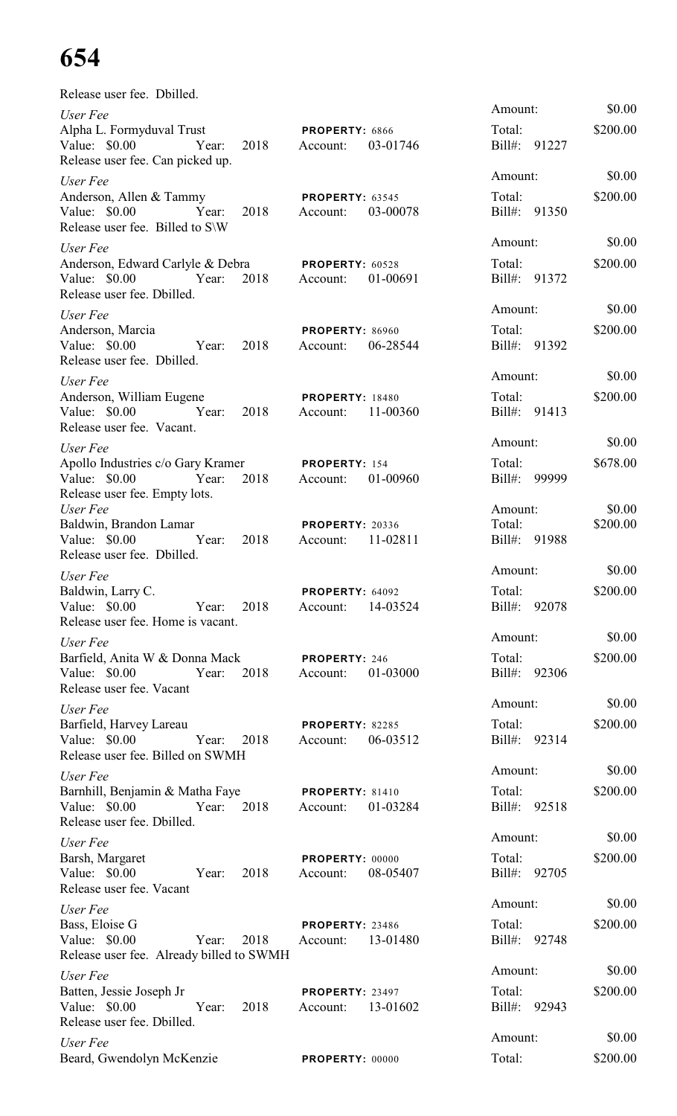| Release user fee. Dbilled.                                                                                       |                                                |                                         |                    |
|------------------------------------------------------------------------------------------------------------------|------------------------------------------------|-----------------------------------------|--------------------|
| User Fee<br>Alpha L. Formyduval Trust<br>Value: $$0.00$<br>Year:<br>2018<br>Release user fee. Can picked up.     | PROPERTY: 6866<br>03-01746<br>Account:         | Amount:<br>Total:<br>Bill#: 91227       | \$0.00<br>\$200.00 |
| User Fee<br>Anderson, Allen & Tammy<br>Year:<br>Value: \$0.00<br>2018<br>Release user fee. Billed to S\W         | PROPERTY: 63545<br>03-00078<br>Account:        | Amount:<br>Total:<br>Bill#: 91350       | \$0.00<br>\$200.00 |
| User Fee<br>Anderson, Edward Carlyle & Debra<br>2018<br>Value: \$0.00<br>Year:<br>Release user fee. Dbilled.     | <b>PROPERTY: 60528</b><br>01-00691<br>Account: | Amount:<br>Total:<br>Bill#: 91372       | \$0.00<br>\$200.00 |
| User Fee<br>Anderson, Marcia<br>Value: \$0.00<br>2018<br>Year:<br>Release user fee. Dbilled.                     | <b>PROPERTY: 86960</b><br>06-28544<br>Account: | Amount:<br>Total:<br>Bill#: 91392       | \$0.00<br>\$200.00 |
| User Fee<br>Anderson, William Eugene<br>Value: \$0.00<br>2018<br>Year:<br>Release user fee. Vacant.              | <b>PROPERTY: 18480</b><br>11-00360<br>Account: | Amount:<br>Total:<br>Bill#: 91413       | \$0.00<br>\$200.00 |
| User Fee<br>Apollo Industries c/o Gary Kramer<br>2018<br>Value: \$0.00<br>Year:<br>Release user fee. Empty lots. | PROPERTY: 154<br>01-00960<br>Account:          | Amount:<br>Total:<br>Bill#: 99999       | \$0.00<br>\$678.00 |
| User Fee<br>Baldwin, Brandon Lamar<br>Value: \$0.00<br>2018<br>Year:<br>Release user fee. Dbilled.               | <b>PROPERTY: 20336</b><br>Account:<br>11-02811 | Amount:<br>Total:<br>Bill#: 91988       | \$0.00<br>\$200.00 |
| User Fee<br>Baldwin, Larry C.<br>Value: $$0.00$<br>2018<br>Year:<br>Release user fee. Home is vacant.            | PROPERTY: 64092<br>14-03524<br>Account:        | Amount:<br>Total:<br>$Bill#$ :<br>92078 | \$0.00<br>\$200.00 |
| User Fee<br>Barfield, Anita W & Donna Mack<br>Value: \$0.00<br>2018<br>Year:<br>Release user fee. Vacant         | PROPERTY: 246<br>01-03000<br>Account:          | Amount:<br>Total:<br>Bill#: 92306       | \$0.00<br>\$200.00 |
| User Fee<br>Barfield, Harvey Lareau<br>Value: $$0.00$<br>Year:<br>2018<br>Release user fee. Billed on SWMH       | PROPERTY: 82285<br>06-03512<br>Account:        | Amount:<br>Total:<br>Bill#: 92314       | \$0.00<br>\$200.00 |
| User Fee<br>Barnhill, Benjamin & Matha Faye<br>Value: \$0.00<br>2018<br>Year:<br>Release user fee. Dbilled.      | PROPERTY: 81410<br>01-03284<br>Account:        | Amount:<br>Total:<br>Bill#: 92518       | \$0.00<br>\$200.00 |
| User Fee<br>Barsh, Margaret<br>Value: \$0.00<br>2018<br>Year:<br>Release user fee. Vacant                        | PROPERTY: 00000<br>08-05407<br>Account:        | Amount:<br>Total:<br>Bill#: 92705       | \$0.00<br>\$200.00 |
| User Fee<br>Bass, Eloise G<br>Value: \$0.00<br>Year:<br>2018<br>Release user fee. Already billed to SWMH         | PROPERTY: 23486<br>13-01480<br>Account:        | Amount:<br>Total:<br>Bill#: 92748       | \$0.00<br>\$200.00 |
| User Fee<br>Batten, Jessie Joseph Jr<br>Value: $$0.00$<br>Year:<br>2018<br>Release user fee. Dbilled.            | <b>PROPERTY: 23497</b><br>13-01602<br>Account: | Amount:<br>Total:<br>Bill#:<br>92943    | \$0.00<br>\$200.00 |
| User Fee<br>Beard, Gwendolyn McKenzie                                                                            | PROPERTY: 00000                                | Amount:<br>Total:                       | \$0.00<br>\$200.00 |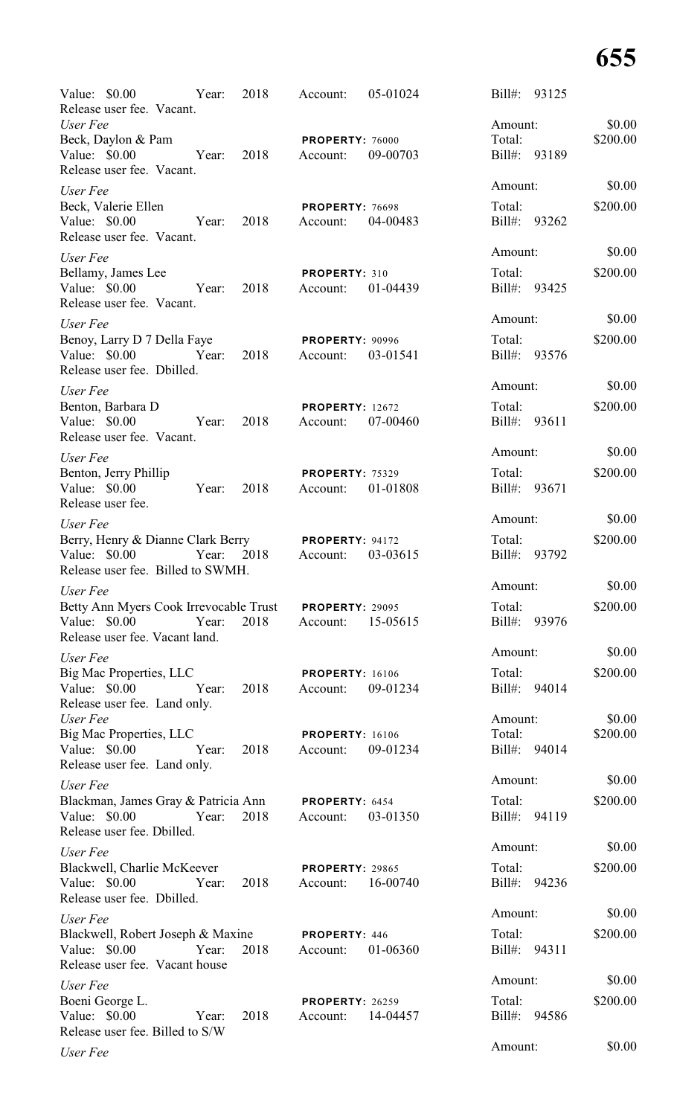| Value: \$0.00<br>Release user fee. Vacant.                                                 | Year: | 2018 | Account:                           | 05-01024 | Bill#: 93125           |       |                    |
|--------------------------------------------------------------------------------------------|-------|------|------------------------------------|----------|------------------------|-------|--------------------|
| User Fee<br>Beck, Daylon & Pam                                                             |       |      | PROPERTY: 76000                    |          | Amount:<br>Total:      |       | \$0.00<br>\$200.00 |
| Value: \$0.00<br>Release user fee. Vacant.                                                 | Year: | 2018 | Account:                           | 09-00703 | $Bill#$ :              | 93189 |                    |
| User Fee                                                                                   |       |      |                                    |          | Amount:                |       | \$0.00             |
| Beck, Valerie Ellen<br>Value: \$0.00<br>Release user fee. Vacant.                          | Year: | 2018 | PROPERTY: 76698<br>Account:        | 04-00483 | Total:<br>Bill#: 93262 |       | \$200.00           |
| User Fee                                                                                   |       |      |                                    |          | Amount:                |       | \$0.00             |
| Bellamy, James Lee<br>Value: \$0.00<br>Release user fee. Vacant.                           | Year: | 2018 | PROPERTY: 310<br>Account:          | 01-04439 | Total:<br>Bill#: 93425 |       | \$200.00           |
| User Fee                                                                                   |       |      |                                    |          | Amount:                |       | \$0.00             |
| Benoy, Larry D 7 Della Faye<br>Value: \$0.00<br>Release user fee. Dbilled.                 | Year: | 2018 | PROPERTY: 90996<br>Account:        | 03-01541 | Total:<br>Bill#: 93576 |       | \$200.00           |
| User Fee                                                                                   |       |      |                                    |          | Amount:                |       | \$0.00             |
| Benton, Barbara D<br>Value: \$0.00<br>Release user fee. Vacant.                            | Year: | 2018 | <b>PROPERTY: 12672</b><br>Account: | 07-00460 | Total:<br>Bill#: 93611 |       | \$200.00           |
| User Fee                                                                                   |       |      |                                    |          | Amount:                |       | \$0.00             |
| Benton, Jerry Phillip<br>Value: \$0.00<br>Release user fee.                                | Year: | 2018 | PROPERTY: 75329<br>Account:        | 01-01808 | Total:<br>Bill#:       | 93671 | \$200.00           |
| User Fee                                                                                   |       |      |                                    |          | Amount:                |       | \$0.00             |
| Berry, Henry & Dianne Clark Berry<br>Value: \$0.00<br>Release user fee. Billed to SWMH.    | Year: | 2018 | PROPERTY: 94172<br>Account:        | 03-03615 | Total:<br>$Bill#$ :    | 93792 | \$200.00           |
| User Fee                                                                                   |       |      |                                    |          | Amount:                |       | \$0.00             |
| Betty Ann Myers Cook Irrevocable Trust<br>Value: $$0.00$<br>Release user fee. Vacant land. | Year: | 2018 | <b>PROPERTY: 29095</b><br>Account: | 15-05615 | Total:<br>Bill#: 93976 |       | \$200.00           |
| User Fee                                                                                   |       |      |                                    |          | Amount:                |       | \$0.00             |
| Big Mac Properties, LLC<br>Value: \$0.00<br>Release user fee. Land only.                   | Year: | 2018 | <b>PROPERTY: 16106</b><br>Account: | 09-01234 | Total:<br>Bill#: 94014 |       | \$200.00           |
| User Fee                                                                                   |       |      |                                    |          | Amount:                |       | \$0.00             |
| <b>Big Mac Properties, LLC</b><br>Value: \$0.00<br>Release user fee. Land only.            | Year: | 2018 | <b>PROPERTY: 16106</b><br>Account: | 09-01234 | Total:<br>Bill#: 94014 |       | \$200.00           |
| User Fee                                                                                   |       |      |                                    |          | Amount:                |       | \$0.00             |
| Blackman, James Gray & Patricia Ann<br>Value: \$0.00<br>Release user fee. Dbilled.         | Year: | 2018 | PROPERTY: 6454<br>Account:         | 03-01350 | Total:<br>Bill#: 94119 |       | \$200.00           |
| User Fee                                                                                   |       |      |                                    |          | Amount:                |       | \$0.00             |
| Blackwell, Charlie McKeever<br>Value: \$0.00<br>Release user fee. Dbilled.                 | Year: | 2018 | <b>PROPERTY: 29865</b><br>Account: | 16-00740 | Total:<br>Bill#: 94236 |       | \$200.00           |
| User Fee                                                                                   |       |      |                                    |          | Amount:                |       | \$0.00             |
| Blackwell, Robert Joseph & Maxine<br>Value: \$0.00<br>Release user fee. Vacant house       | Year: | 2018 | PROPERTY: 446<br>Account:          | 01-06360 | Total:<br>Bill#: 94311 |       | \$200.00           |
| User Fee                                                                                   |       |      |                                    |          | Amount:                |       | \$0.00             |
| Boeni George L.<br>Value: \$0.00<br>Release user fee. Billed to S/W                        | Year: | 2018 | <b>PROPERTY: 26259</b><br>Account: | 14-04457 | Total:<br>Bill#: 94586 |       | \$200.00           |
| User Fee                                                                                   |       |      |                                    |          | Amount:                |       | \$0.00             |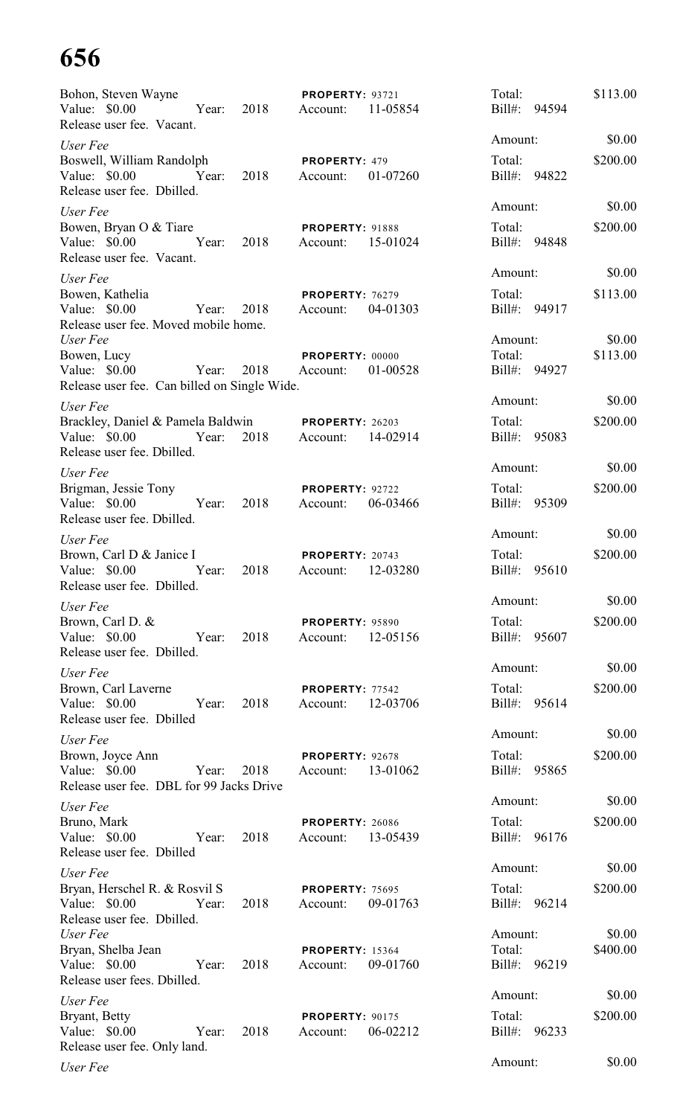| Bohon, Steven Wayne<br>Value: \$0.00<br>Year:                                                     | 2018 | <b>PROPERTY: 93721</b><br>Account: | 11-05854 | Total:<br>Bill#: 94594            | \$113.00           |
|---------------------------------------------------------------------------------------------------|------|------------------------------------|----------|-----------------------------------|--------------------|
| Release user fee. Vacant.                                                                         |      |                                    |          | Amount:                           | \$0.00             |
| User Fee<br>Boswell, William Randolph                                                             |      | PROPERTY: 479                      |          | Total:                            | \$200.00           |
| Value: $$0.00$<br>Year:<br>Release user fee. Dbilled.                                             | 2018 | Account:                           | 01-07260 | Bill#: 94822                      |                    |
| User Fee                                                                                          |      |                                    |          | Amount:                           | \$0.00             |
| Bowen, Bryan O & Tiare<br>Value: \$0.00<br>Year:                                                  | 2018 | <b>PROPERTY: 91888</b><br>Account: | 15-01024 | Total:<br>Bill#: 94848            | \$200.00           |
| Release user fee. Vacant.                                                                         |      |                                    |          | Amount:                           | \$0.00             |
| User Fee<br>Bowen, Kathelia<br>Value: \$0.00<br>Year:<br>Release user fee. Moved mobile home.     | 2018 | <b>PROPERTY: 76279</b><br>Account: | 04-01303 | Total:<br>Bill#: 94917            | \$113.00           |
| User Fee<br>Bowen, Lucy<br>Value: \$0.00<br>Year:<br>Release user fee. Can billed on Single Wide. | 2018 | PROPERTY: 00000<br>Account:        | 01-00528 | Amount:<br>Total:<br>Bill#: 94927 | \$0.00<br>\$113.00 |
| User Fee                                                                                          |      |                                    |          | Amount:                           | \$0.00             |
| Brackley, Daniel & Pamela Baldwin<br>Value: \$0.00<br>Year:<br>Release user fee. Dbilled.         | 2018 | <b>PROPERTY: 26203</b><br>Account: | 14-02914 | Total:<br>$Bill#$ :<br>95083      | \$200.00           |
| User Fee                                                                                          |      |                                    |          | Amount:                           | \$0.00             |
| Brigman, Jessie Tony<br>Value: \$0.00<br>Year:                                                    | 2018 | PROPERTY: 92722<br>Account:        | 06-03466 | Total:<br>$Bill#$ :<br>95309      | \$200.00           |
| Release user fee. Dbilled.                                                                        |      |                                    |          |                                   |                    |
| User Fee                                                                                          |      |                                    |          | Amount:                           | \$0.00             |
| Brown, Carl D & Janice I<br>Value: \$0.00<br>Year:<br>Release user fee. Dbilled.                  | 2018 | PROPERTY: 20743<br>Account:        | 12-03280 | Total:<br>$Bill#$ :<br>95610      | \$200.00           |
| User Fee                                                                                          |      |                                    |          | Amount:                           | \$0.00             |
| Brown, Carl D. &<br>Value: \$0.00<br>Year:<br>Release user fee. Dbilled.                          | 2018 | <b>PROPERTY: 95890</b><br>Account: | 12-05156 | Total:<br>Bill#: 95607            | \$200.00           |
| User Fee                                                                                          |      |                                    |          | Amount:                           | \$0.00             |
| Brown, Carl Laverne<br>Value: \$0.00<br>Year:<br>Release user fee. Dbilled                        | 2018 | PROPERTY: 77542<br>Account:        | 12-03706 | Total:<br>Bill#: 95614            | \$200.00           |
| User Fee                                                                                          |      |                                    |          | Amount:                           | \$0.00             |
| Brown, Joyce Ann<br>Value: \$0.00<br>Year:<br>Release user fee. DBL for 99 Jacks Drive            | 2018 | PROPERTY: 92678<br>Account:        | 13-01062 | Total:<br>Bill#: 95865            | \$200.00           |
| User Fee                                                                                          |      |                                    |          | Amount:                           | \$0.00             |
| Bruno, Mark<br>Value: $$0.00$<br>Year:                                                            | 2018 | <b>PROPERTY: 26086</b><br>Account: | 13-05439 | Total:<br>Bill#: 96176            | \$200.00           |
| Release user fee. Dbilled                                                                         |      |                                    |          | Amount:                           | \$0.00             |
| User Fee                                                                                          |      |                                    |          | Total:                            | \$200.00           |
| Bryan, Herschel R. & Rosvil S<br>Value: \$0.00<br>Year:<br>Release user fee. Dbilled.             | 2018 | <b>PROPERTY: 75695</b><br>Account: | 09-01763 | Bill#: 96214                      |                    |
| User Fee                                                                                          |      |                                    |          | Amount:                           | \$0.00             |
| Bryan, Shelba Jean<br>Value: \$0.00<br>Year:<br>Release user fees. Dbilled.                       | 2018 | <b>PROPERTY: 15364</b><br>Account: | 09-01760 | Total:<br>Bill#: 96219            | \$400.00           |
| User Fee                                                                                          |      |                                    |          | Amount:                           | \$0.00             |
| Bryant, Betty<br>Value: \$0.00<br>Year:<br>Release user fee. Only land.                           | 2018 | <b>PROPERTY: 90175</b><br>Account: | 06-02212 | Total:<br>$Bill#$ :<br>96233      | \$200.00           |
| User Fee                                                                                          |      |                                    |          | Amount:                           | \$0.00             |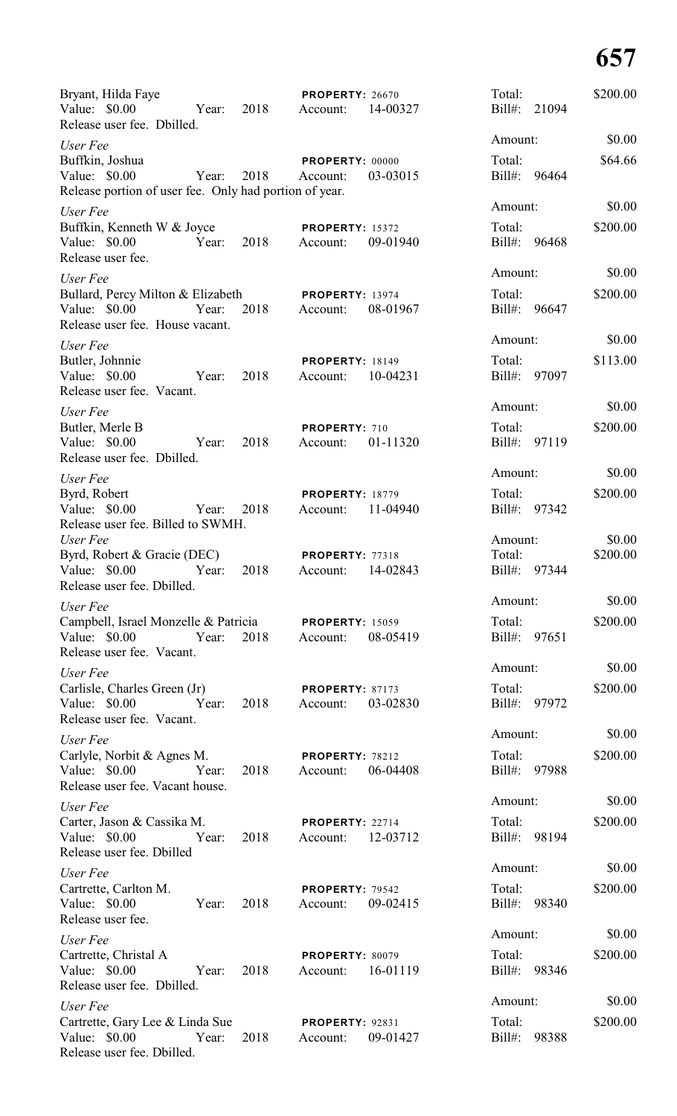| Bryant, Hilda Faye<br>Value: \$0.00<br>Year:<br>Release user fee. Dbilled.                          | 2018 | <b>PROPERTY: 26670</b><br>Account: | 14-00327 | Total:<br>Bill#:<br>21094            | \$200.00           |
|-----------------------------------------------------------------------------------------------------|------|------------------------------------|----------|--------------------------------------|--------------------|
| User Fee                                                                                            |      |                                    |          | Amount:                              | \$0.00             |
| Buffkin, Joshua<br>Value: \$0.00<br>Year:<br>Release portion of user fee. Only had portion of year. | 2018 | PROPERTY: 00000<br>Account:        | 03-03015 | Total:<br>Bill#: 96464               | \$64.66            |
| User Fee<br>Buffkin, Kenneth W & Joyce<br>Value: \$0.00<br>Year:<br>Release user fee.               | 2018 | <b>PROPERTY: 15372</b><br>Account: | 09-01940 | Amount:<br>Total:<br>Bill#: 96468    | \$0.00<br>\$200.00 |
| User Fee                                                                                            |      |                                    |          | Amount:                              | \$0.00             |
| Bullard, Percy Milton & Elizabeth<br>Value: \$0.00<br>Year:<br>Release user fee. House vacant.      | 2018 | <b>PROPERTY: 13974</b><br>Account: | 08-01967 | Total:<br>Bill#:<br>96647            | \$200.00           |
| User Fee                                                                                            |      |                                    |          | Amount:                              | \$0.00             |
| Butler, Johnnie<br>Value: \$0.00<br>Year:<br>Release user fee. Vacant.                              | 2018 | <b>PROPERTY: 18149</b><br>Account: | 10-04231 | Total:<br>Bill#:<br>97097            | \$113.00           |
| User Fee                                                                                            |      |                                    |          | Amount:                              | \$0.00             |
| Butler, Merle B<br>Value: \$0.00<br>Year:<br>Release user fee. Dbilled.                             | 2018 | PROPERTY: 710<br>Account:          | 01-11320 | Total:<br>Bill#:<br>97119            | \$200.00           |
| User Fee                                                                                            |      |                                    |          | Amount:                              | \$0.00             |
| Byrd, Robert<br>Value: \$0.00<br>Year:<br>Release user fee. Billed to SWMH.                         | 2018 | <b>PROPERTY: 18779</b><br>Account: | 11-04940 | Total:<br>Bill#:<br>97342            | \$200.00           |
| User Fee<br>Byrd, Robert & Gracie (DEC)<br>Value: \$0.00<br>Year:<br>Release user fee. Dbilled.     | 2018 | <b>PROPERTY: 77318</b><br>Account: | 14-02843 | Amount:<br>Total:<br>Bill#:<br>97344 | \$0.00<br>\$200.00 |
| User Fee                                                                                            |      |                                    |          | Amount:                              | \$0.00             |
| Campbell, Israel Monzelle & Patricia<br>Value: \$0.00<br>Year:<br>Release user fee. Vacant.         | 2018 | <b>PROPERTY: 15059</b><br>Account: | 08-05419 | Total:<br>Bill#: 97651               | \$200.00           |
| User Fee                                                                                            |      |                                    |          | Amount:                              | \$0.00             |
| Carlisle, Charles Green (Jr)<br>Value: \$0.00<br>Year:<br>Release user fee. Vacant.                 | 2018 | PROPERTY: 87173<br>Account:        | 03-02830 | Total:<br>Bill#: 97972               | \$200.00           |
| User Fee                                                                                            |      |                                    |          | Amount:                              | \$0.00             |
| Carlyle, Norbit & Agnes M.<br>Value: \$0.00<br>Year:<br>Release user fee. Vacant house.             | 2018 | PROPERTY: 78212<br>Account:        | 06-04408 | Total:<br>Bill#: 97988               | \$200.00           |
| User Fee                                                                                            |      |                                    |          | Amount:                              | \$0.00             |
| Carter, Jason & Cassika M.<br>Value: \$0.00<br>Year:<br>Release user fee. Dbilled                   | 2018 | PROPERTY: 22714<br>Account:        | 12-03712 | Total:<br>Bill#: 98194               | \$200.00           |
| User Fee                                                                                            |      |                                    |          | Amount:                              | \$0.00             |
| Cartrette, Carlton M.<br>Value: \$0.00<br>Year:<br>Release user fee.                                | 2018 | PROPERTY: 79542<br>Account:        | 09-02415 | Total:<br>Bill#: 98340               | \$200.00           |
| User Fee                                                                                            |      |                                    |          | Amount:                              | \$0.00             |
| Cartrette, Christal A<br>Value: \$0.00<br>Year:<br>Release user fee. Dbilled.                       | 2018 | PROPERTY: 80079<br>Account:        | 16-01119 | Total:<br>Bill#: 98346               | \$200.00           |
| User Fee                                                                                            |      |                                    |          | Amount:                              | \$0.00             |
| Cartrette, Gary Lee & Linda Sue<br>Value: \$0.00<br>Year:<br>Release user fee. Dbilled.             | 2018 | <b>PROPERTY: 92831</b><br>Account: | 09-01427 | Total:<br>Bill#:<br>98388            | \$200.00           |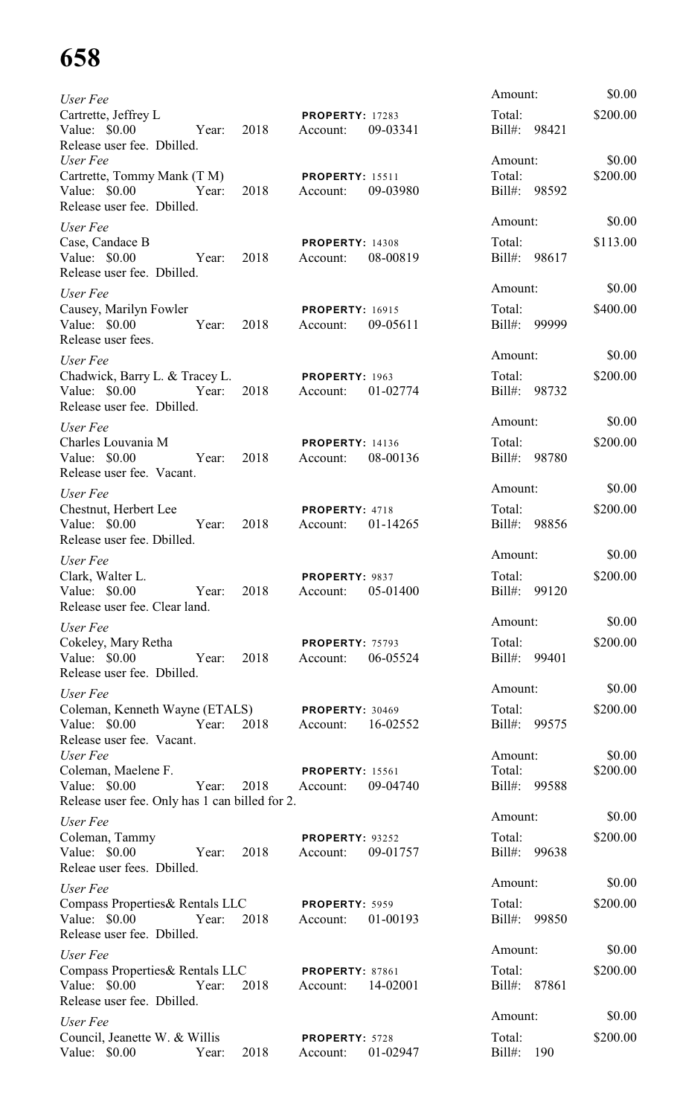| User Fee                                                                                                                        |                                                | Amount:                               | \$0.00             |
|---------------------------------------------------------------------------------------------------------------------------------|------------------------------------------------|---------------------------------------|--------------------|
| Cartrette, Jeffrey L<br>Value: \$0.00 Year:<br>2018<br>Release user fee. Dbilled.                                               | <b>PROPERTY: 17283</b><br>09-03341<br>Account: | Total:<br>Bill#: 98421                | \$200.00           |
| User Fee<br>Cartrette, Tommy Mank (T M) PROPERTY: 15511<br>Year: 2018 Account:<br>Value: \$0.00<br>Release user fee. Dbilled.   | 09-03980                                       | Amount:<br>Total:<br>Bill#: 98592     | \$0.00<br>\$200.00 |
| User Fee<br>Case, Candace B<br>Value: \$0.00<br>Year: 2018 Account:<br>Release user fee. Dbilled.                               | <b>PROPERTY: 14308</b><br>08-00819             | Amount:<br>Total:<br>Bill#: 98617     | \$0.00<br>\$113.00 |
| User Fee<br>Causey, Marilyn Fowler<br>Value: \$0.00 Year: 2018 Account:<br>Release user fees.                                   | <b>PROPERTY: 16915</b><br>09-05611             | Amount:<br>Total:<br>Bill#: 99999     | \$0.00<br>\$400.00 |
| User Fee<br>Chadwick, Barry L. & Tracey L. PROPERTY: 1963<br>Value: \$0.00<br>Year: 2018 Account:<br>Release user fee. Dbilled. | 01-02774                                       | Amount:<br>Total:<br>Bill#: 98732     | \$0.00<br>\$200.00 |
| User Fee<br>Charles Louvania M<br>Year: 2018<br>Value: \$0.00<br>Release user fee. Vacant.                                      | <b>PROPERTY: 14136</b><br>08-00136<br>Account: | Amount:<br>Total:<br>Bill#: 98780     | \$0.00<br>\$200.00 |
| User Fee<br>Chestnut, Herbert Lee<br>Value: \$0.00 Year: 2018<br>Release user fee. Dbilled.                                     | <b>PROPERTY: 4718</b><br>Account: 01-14265     | Amount:<br>Total:<br>Bill#: 98856     | \$0.00<br>\$200.00 |
| User Fee<br>Clark, Walter L.<br>Value: $$0.00$<br>2018<br>Year:<br>Release user fee. Clear land.                                | PROPERTY: 9837<br>05-01400<br>Account:         | Amount:<br>Total:<br>Bill#: 99120     | \$0.00<br>\$200.00 |
| User Fee<br>Cokeley, Mary Retha<br>Value: \$0.00 Year:<br>2018<br>Release user fee. Dbilled.                                    | <b>PROPERTY: 75793</b><br>06-05524<br>Account: | Amount:<br>Total:<br>Bill#: 99401     | \$0.00<br>\$200.00 |
| User Fee<br>Coleman, Kenneth Wayne (ETALS) PROPERTY: 30469<br>Value: \$0.00 Year:<br>2018<br>Release user fee. Vacant.          | 16-02552<br>Account:                           | Amount:<br>Total:<br>Bill#: 99575     | \$0.00<br>\$200.00 |
| User Fee<br>Coleman, Maelene F.<br>Value: \$0.00<br>Year:<br>2018<br>Release user fee. Only has 1 can billed for 2.             | <b>PROPERTY: 15561</b><br>09-04740<br>Account: | Amount:<br>Total:<br>Bill#: 99588     | \$0.00<br>\$200.00 |
| User Fee<br>Coleman, Tammy<br>Value: \$0.00 Year:<br>2018<br>Releae user fees. Dbilled.                                         | <b>PROPERTY: 93252</b><br>09-01757<br>Account: | Amount:<br>Total:<br>Bill#: 99638     | \$0.00<br>\$200.00 |
| User Fee<br>Compass Properties& Rentals LLC<br>Value: \$0.00<br>2018<br>Year:<br>Release user fee. Dbilled.                     | PROPERTY: 5959<br>01-00193<br>Account:         | Amount:<br>Total:<br>Bill#: 99850     | \$0.00<br>\$200.00 |
| User Fee<br>Compass Properties& Rentals LLC<br>Value: \$0.00<br>2018<br>Year:<br>Release user fee. Dbilled.                     | PROPERTY: 87861<br>14-02001<br>Account:        | Amount:<br>Total:<br>Bill#: 87861     | \$0.00<br>\$200.00 |
| User Fee<br>Council, Jeanette W. & Willis<br>2018<br>Value: \$0.00<br>Year:                                                     | PROPERTY: 5728<br>01-02947<br>Account:         | Amount:<br>Total:<br>$Bill#$ :<br>190 | \$0.00<br>\$200.00 |
|                                                                                                                                 |                                                |                                       |                    |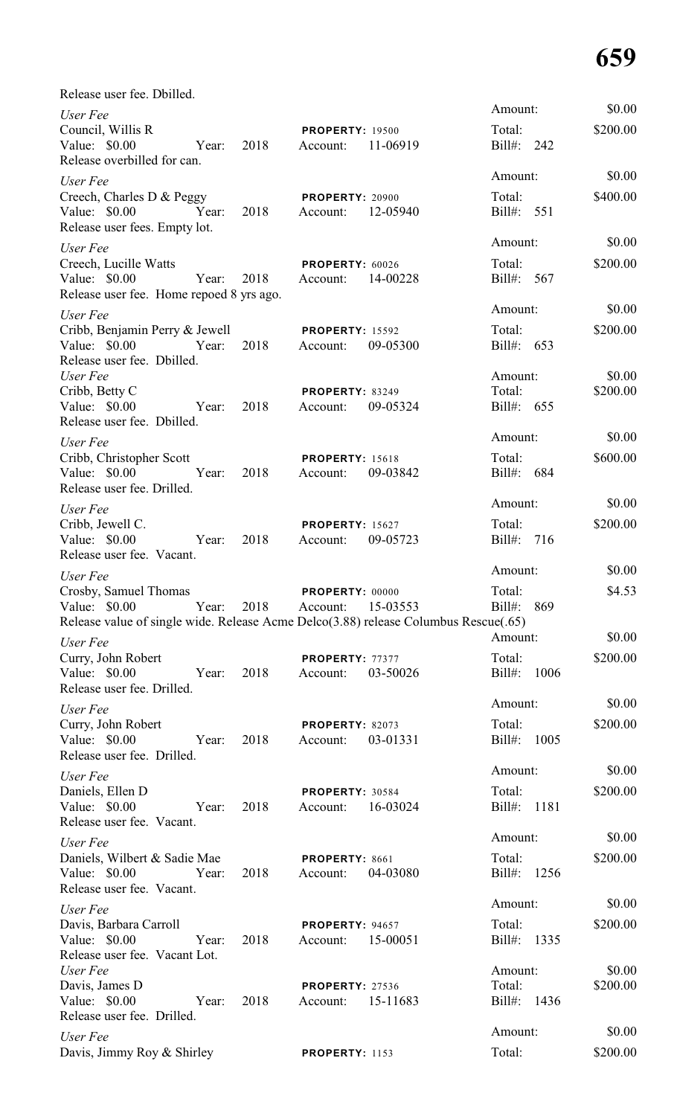| Release user fee. Dbilled.                                                          |       |      |                             |          |                   |      |                    |
|-------------------------------------------------------------------------------------|-------|------|-----------------------------|----------|-------------------|------|--------------------|
| User Fee                                                                            |       |      |                             |          | Amount:           |      | \$0.00             |
| Council, Willis R                                                                   |       |      | <b>PROPERTY: 19500</b>      |          | Total:            |      | \$200.00           |
| Value: \$0.00<br>Release overbilled for can.                                        | Year: | 2018 | Account:                    | 11-06919 | Bill#: 242        |      |                    |
|                                                                                     |       |      |                             |          | Amount:           |      | \$0.00             |
| User Fee<br>Creech, Charles D & Peggy                                               |       |      | PROPERTY: 20900             |          | Total:            |      | \$400.00           |
| Value: \$0.00                                                                       | Year: | 2018 | Account:                    | 12-05940 | Bill#: 551        |      |                    |
| Release user fees. Empty lot.                                                       |       |      |                             |          |                   |      |                    |
| User Fee                                                                            |       |      |                             |          | Amount:           |      | \$0.00             |
| Creech, Lucille Watts                                                               |       |      | PROPERTY: 60026             |          | Total:            |      | \$200.00           |
| Value: \$0.00                                                                       | Year: | 2018 | Account:                    | 14-00228 | Bill#: 567        |      |                    |
| Release user fee. Home repoed 8 yrs ago.                                            |       |      |                             |          | Amount:           |      | \$0.00             |
| User Fee<br>Cribb, Benjamin Perry & Jewell                                          |       |      | <b>PROPERTY: 15592</b>      |          | Total:            |      | \$200.00           |
| Value: \$0.00                                                                       | Year: | 2018 | Account:                    | 09-05300 | Bill#: 653        |      |                    |
| Release user fee. Dbilled.                                                          |       |      |                             |          |                   |      |                    |
| User Fee                                                                            |       |      |                             |          | Amount:           |      | \$0.00             |
| Cribb, Betty C                                                                      | Year: | 2018 | <b>PROPERTY: 83249</b>      | 09-05324 | Total:            |      | \$200.00           |
| Value: \$0.00<br>Release user fee. Dbilled.                                         |       |      | Account:                    |          | Bill#: 655        |      |                    |
| User Fee                                                                            |       |      |                             |          | Amount:           |      | \$0.00             |
| Cribb, Christopher Scott                                                            |       |      | <b>PROPERTY: 15618</b>      |          | Total:            |      | \$600.00           |
| Value: $$0.00$                                                                      | Year: | 2018 | Account:                    | 09-03842 | Bill#: 684        |      |                    |
| Release user fee. Drilled.                                                          |       |      |                             |          |                   |      |                    |
| User Fee                                                                            |       |      |                             |          | Amount:           |      | \$0.00             |
| Cribb, Jewell C.                                                                    |       |      | <b>PROPERTY: 15627</b>      |          | Total:            |      | \$200.00           |
| Value: \$0.00                                                                       | Year: | 2018 | Account:                    | 09-05723 | Bill#: 716        |      |                    |
| Release user fee. Vacant.                                                           |       |      |                             |          | Amount:           |      | \$0.00             |
| User Fee<br>Crosby, Samuel Thomas                                                   |       |      | PROPERTY: 00000             |          | Total:            |      | \$4.53             |
| Value: \$0.00                                                                       | Year: | 2018 | Account:                    | 15-03553 | Bill#:            | 869  |                    |
| Release value of single wide. Release Acme Delco(3.88) release Columbus Rescue(.65) |       |      |                             |          |                   |      |                    |
| User Fee                                                                            |       |      |                             |          | Amount:           |      | \$0.00             |
| Curry, John Robert                                                                  |       |      | PROPERTY: 77377             |          | Total:            |      | \$200.00           |
| Value: \$0.00                                                                       | Year: | 2018 | Account:                    | 03-50026 | $Bill#$ :         | 1006 |                    |
| Release user fee. Drilled.                                                          |       |      |                             |          | Amount:           |      | \$0.00             |
| User Fee                                                                            |       |      |                             |          |                   |      |                    |
| Curry, John Robert<br>Value: \$0.00                                                 | Year: | 2018 | PROPERTY: 82073<br>Account: | 03-01331 | Total:<br>Bill#:  | 1005 | \$200.00           |
| Release user fee. Drilled.                                                          |       |      |                             |          |                   |      |                    |
| User Fee                                                                            |       |      |                             |          | Amount:           |      | \$0.00             |
| Daniels, Ellen D                                                                    |       |      | PROPERTY: 30584             |          | Total:            |      | \$200.00           |
| Value: \$0.00                                                                       | Year: | 2018 | Account:                    | 16-03024 | Bill#:            | 1181 |                    |
| Release user fee. Vacant.                                                           |       |      |                             |          |                   |      |                    |
| User Fee                                                                            |       |      |                             |          | Amount:           |      | \$0.00             |
| Daniels, Wilbert & Sadie Mae<br>Value: \$0.00                                       | Year: | 2018 | PROPERTY: 8661<br>Account:  | 04-03080 | Total:<br>Bill#:  | 1256 | \$200.00           |
| Release user fee. Vacant.                                                           |       |      |                             |          |                   |      |                    |
| User Fee                                                                            |       |      |                             |          | Amount:           |      | \$0.00             |
| Davis, Barbara Carroll                                                              |       |      | PROPERTY: 94657             |          | Total:            |      | \$200.00           |
| Value: \$0.00                                                                       | Year: | 2018 | Account:                    | 15-00051 | Bill#:            | 1335 |                    |
| Release user fee. Vacant Lot.                                                       |       |      |                             |          |                   |      |                    |
| User Fee<br>Davis, James D                                                          |       |      | <b>PROPERTY: 27536</b>      |          | Amount:<br>Total: |      | \$0.00<br>\$200.00 |
| Value: $$0.00$                                                                      | Year: | 2018 | Account:                    | 15-11683 | Bill#: 1436       |      |                    |
| Release user fee. Drilled.                                                          |       |      |                             |          |                   |      |                    |
| User Fee                                                                            |       |      |                             |          | Amount:           |      | \$0.00             |
| Davis, Jimmy Roy & Shirley                                                          |       |      | PROPERTY: 1153              |          | Total:            |      | \$200.00           |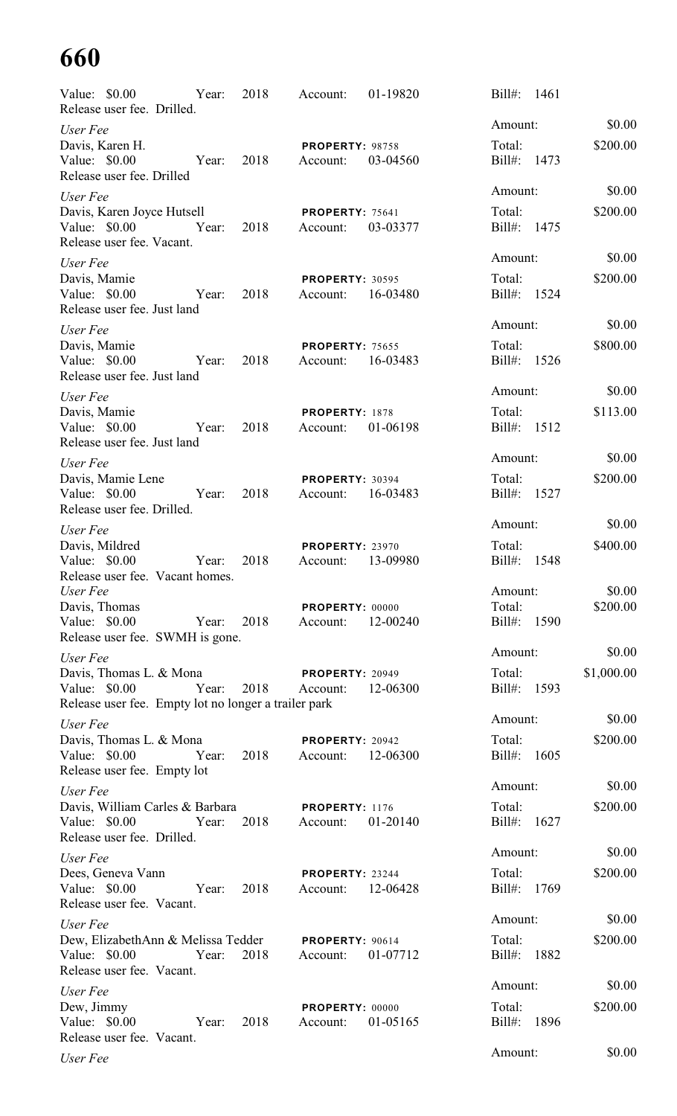| Value: \$0.00<br>Release user fee. Drilled.                                                      | Year: | 2018 | Account:                           | 01-19820 | $Bill#$ :<br>1461           |            |
|--------------------------------------------------------------------------------------------------|-------|------|------------------------------------|----------|-----------------------------|------------|
| User Fee                                                                                         |       |      |                                    |          | Amount:                     | \$0.00     |
| Davis, Karen H.<br>Value: \$0.00<br>Release user fee. Drilled                                    | Year: | 2018 | <b>PROPERTY: 98758</b><br>Account: | 03-04560 | Total:<br>$Bill#$ :<br>1473 | \$200.00   |
| User Fee                                                                                         |       |      |                                    |          | Amount:                     | \$0.00     |
| Davis, Karen Joyce Hutsell<br>Value: \$0.00<br>Release user fee. Vacant.                         | Year: | 2018 | <b>PROPERTY: 75641</b><br>Account: | 03-03377 | Total:<br>Bill#:<br>1475    | \$200.00   |
| User Fee                                                                                         |       |      |                                    |          | Amount:                     | \$0.00     |
| Davis, Mamie<br>Value: $$0.00$<br>Release user fee. Just land                                    | Year: | 2018 | <b>PROPERTY: 30595</b><br>Account: | 16-03480 | Total:<br>Bill#:<br>1524    | \$200.00   |
| User Fee                                                                                         |       |      |                                    |          | Amount:                     | \$0.00     |
| Davis, Mamie<br>Value: \$0.00<br>Release user fee. Just land                                     | Year: | 2018 | <b>PROPERTY: 75655</b><br>Account: | 16-03483 | Total:<br>$Bill#$ :<br>1526 | \$800.00   |
| User Fee                                                                                         |       |      |                                    |          | Amount:                     | \$0.00     |
| Davis, Mamie<br>Value: $$0.00$<br>Release user fee. Just land                                    | Year: | 2018 | PROPERTY: 1878<br>Account:         | 01-06198 | Total:<br>Bill#:<br>1512    | \$113.00   |
| User Fee                                                                                         |       |      |                                    |          | Amount:                     | \$0.00     |
| Davis, Mamie Lene<br>Value: \$0.00<br>Release user fee. Drilled.                                 | Year: | 2018 | <b>PROPERTY: 30394</b><br>Account: | 16-03483 | Total:<br>$Bill#$ :<br>1527 | \$200.00   |
| User Fee                                                                                         |       |      |                                    |          | Amount:                     | \$0.00     |
| Davis, Mildred<br>Value: \$0.00<br>Release user fee. Vacant homes.                               | Year: | 2018 | <b>PROPERTY: 23970</b><br>Account: | 13-09980 | Total:<br>$Bill#$ :<br>1548 | \$400.00   |
| User Fee                                                                                         |       |      |                                    |          | Amount:                     | \$0.00     |
| Davis, Thomas<br>Value: \$0.00<br>Release user fee. SWMH is gone.                                | Year: | 2018 | PROPERTY: 00000<br>Account:        | 12-00240 | Total:<br>Bill#:<br>1590    | \$200.00   |
| User Fee                                                                                         |       |      |                                    |          | Amount:                     | \$0.00     |
| Davis, Thomas L. & Mona<br>Value: \$0.00<br>Release user fee. Empty lot no longer a trailer park | Year: | 2018 | <b>PROPERTY: 20949</b><br>Account: | 12-06300 | Total:<br>Bill#: 1593       | \$1,000.00 |
| User Fee                                                                                         |       |      |                                    |          | Amount:                     | \$0.00     |
| Davis, Thomas L. & Mona<br>Value: \$0.00<br>Release user fee. Empty lot                          | Year: | 2018 | PROPERTY: 20942<br>Account:        | 12-06300 | Total:<br>$Bill#$ :<br>1605 | \$200.00   |
| User Fee                                                                                         |       |      |                                    |          | Amount:                     | \$0.00     |
| Davis, William Carles & Barbara<br>Value: \$0.00<br>Release user fee. Drilled.                   | Year: | 2018 | PROPERTY: 1176<br>Account:         | 01-20140 | Total:<br>$Bill#$ :<br>1627 | \$200.00   |
| User Fee                                                                                         |       |      |                                    |          | Amount:                     | \$0.00     |
| Dees, Geneva Vann<br>Value: \$0.00<br>Release user fee. Vacant.                                  | Year: | 2018 | PROPERTY: 23244<br>Account:        | 12-06428 | Total:<br>Bill#:<br>1769    | \$200.00   |
| User Fee                                                                                         |       |      |                                    |          | Amount:                     | \$0.00     |
| Dew, ElizabethAnn & Melissa Tedder<br>Value: \$0.00<br>Release user fee. Vacant.                 | Year: | 2018 | PROPERTY: 90614<br>Account:        | 01-07712 | Total:<br>$Bill#$ :<br>1882 | \$200.00   |
| User Fee                                                                                         |       |      |                                    |          | Amount:                     | \$0.00     |
| Dew, Jimmy<br>Value: \$0.00<br>Release user fee. Vacant.                                         | Year: | 2018 | PROPERTY: 00000<br>Account:        | 01-05165 | Total:<br>$Bill#$ :<br>1896 | \$200.00   |
| User Fee                                                                                         |       |      |                                    |          | Amount:                     | \$0.00     |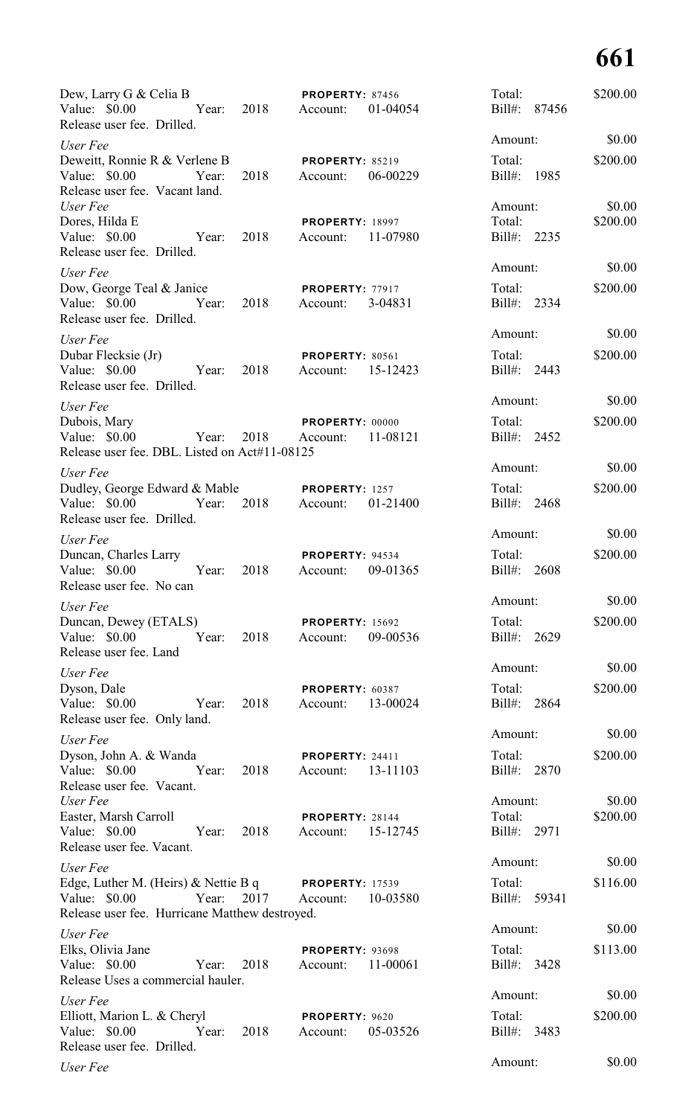| Dew, Larry G & Celia B<br>Value: \$0.00<br>Release user fee. Drilled.                                                               | Year: 2018 Account: | <b>PROPERTY: 87456</b><br>01-04054             | Total:<br>Bill#: 87456           | \$200.00           |
|-------------------------------------------------------------------------------------------------------------------------------------|---------------------|------------------------------------------------|----------------------------------|--------------------|
| User Fee                                                                                                                            |                     |                                                | Amount:                          | \$0.00             |
| Deweitt, Ronnie R & Verlene B <b>PROPERTY</b> : 85219<br>Value: \$0.00<br>Year:<br>Release user fee. Vacant land.                   | 2018                | 06-00229<br>Account:                           | Total:<br>Bill#: 1985            | \$200.00           |
| User Fee<br>Dores, Hilda E<br>Value: \$0.00 Year:<br>Release user fee. Drilled.                                                     | 2018                | <b>PROPERTY: 18997</b><br>11-07980<br>Account: | Amount:<br>Total:<br>Bill#: 2235 | \$0.00<br>\$200.00 |
| User Fee                                                                                                                            |                     |                                                | Amount:                          | \$0.00             |
| Dow, George Teal & Janice<br>Value: \$0.00 Year: 2018<br>Release user fee. Drilled.                                                 |                     | <b>PROPERTY: 77917</b><br>3-04831<br>Account:  | Total:<br>Bill#: 2334            | \$200.00           |
| User Fee                                                                                                                            |                     |                                                | Amount:                          | \$0.00             |
| Dubar Flecksie (Jr)<br>Value: \$0.00 Year:<br>Release user fee. Drilled.                                                            | 2018                | PROPERTY: 80561<br>15-12423<br>Account:        | Total:<br>Bill#: 2443            | \$200.00           |
| User Fee                                                                                                                            |                     |                                                | Amount:                          | \$0.00             |
| Dubois, Mary<br>Value: \$0.00<br>Year:<br>Release user fee. DBL. Listed on Act#11-08125                                             | 2018                | PROPERTY: 00000<br>11-08121<br>Account:        | Total:<br>Bill#: 2452            | \$200.00           |
| User Fee                                                                                                                            |                     |                                                | Amount:                          | \$0.00             |
| Dudley, George Edward & Mable<br>Value: \$0.00 Year: 2018<br>Release user fee. Drilled.                                             |                     | PROPERTY: 1257<br>01-21400<br>Account:         | Total:<br>Bill#: 2468            | \$200.00           |
| User Fee                                                                                                                            |                     |                                                | Amount:                          | \$0.00             |
| Duncan, Charles Larry<br>Value: \$0.00<br>Year:<br>Release user fee. No can                                                         | 2018                | PROPERTY: 94534<br>09-01365<br>Account:        | Total:<br>Bill#:<br>2608         | \$200.00           |
| User Fee                                                                                                                            |                     |                                                | Amount:                          | \$0.00             |
| Duncan, Dewey (ETALS)<br>Value: \$0.00<br>Year:<br>Release user fee. Land                                                           | 2018                | <b>PROPERTY: 15692</b><br>09-00536<br>Account: | Total:<br>Bill#: 2629            | \$200.00           |
| User Fee                                                                                                                            |                     |                                                | Amount:                          | \$0.00             |
| Dyson, Dale<br>Value: \$0.00<br>Year:<br>Release user fee. Only land.                                                               | 2018                | PROPERTY: 60387<br>13-00024<br>Account:        | Total:<br>Bill#: 2864            | \$200.00           |
| User Fee                                                                                                                            |                     |                                                | Amount:                          | \$0.00             |
| Dyson, John A. & Wanda<br>Value: \$0.00<br>Year:<br>Release user fee. Vacant.                                                       | 2018                | PROPERTY: 24411<br>13-11103<br>Account:        | Total:<br>Bill#: 2870            | \$200.00           |
| User Fee<br>Easter, Marsh Carroll<br>Value: \$0.00<br>Year:                                                                         | 2018                | <b>PROPERTY: 28144</b><br>15-12745<br>Account: | Amount:<br>Total:<br>Bill#: 2971 | \$0.00<br>\$200.00 |
| Release user fee. Vacant.                                                                                                           |                     |                                                | Amount:                          | \$0.00             |
| User Fee<br>Edge, Luther M. (Heirs) & Nettie B q PROPERTY: 17539<br>Value: \$0.00<br>Release user fee. Hurricane Matthew destroyed. | Year: 2017 Account: | 10-03580                                       | Total:<br>Bill#: 59341           | \$116.00           |
| User Fee                                                                                                                            |                     |                                                | Amount:                          | \$0.00             |
| Elks, Olivia Jane<br>Value: \$0.00<br>Year:<br>Release Uses a commercial hauler.                                                    | 2018                | PROPERTY: 93698<br>11-00061<br>Account:        | Total:<br>Bill#: 3428            | \$113.00           |
| User Fee                                                                                                                            |                     |                                                | Amount:                          | \$0.00             |
| Elliott, Marion L. & Cheryl<br>Value: \$0.00<br>Release user fee. Drilled.                                                          | 2018<br>Year:       | PROPERTY: 9620<br>05-03526<br>Account:         | Total:<br>Bill#: 3483            | \$200.00           |
| User Fee                                                                                                                            |                     |                                                | Amount:                          | \$0.00             |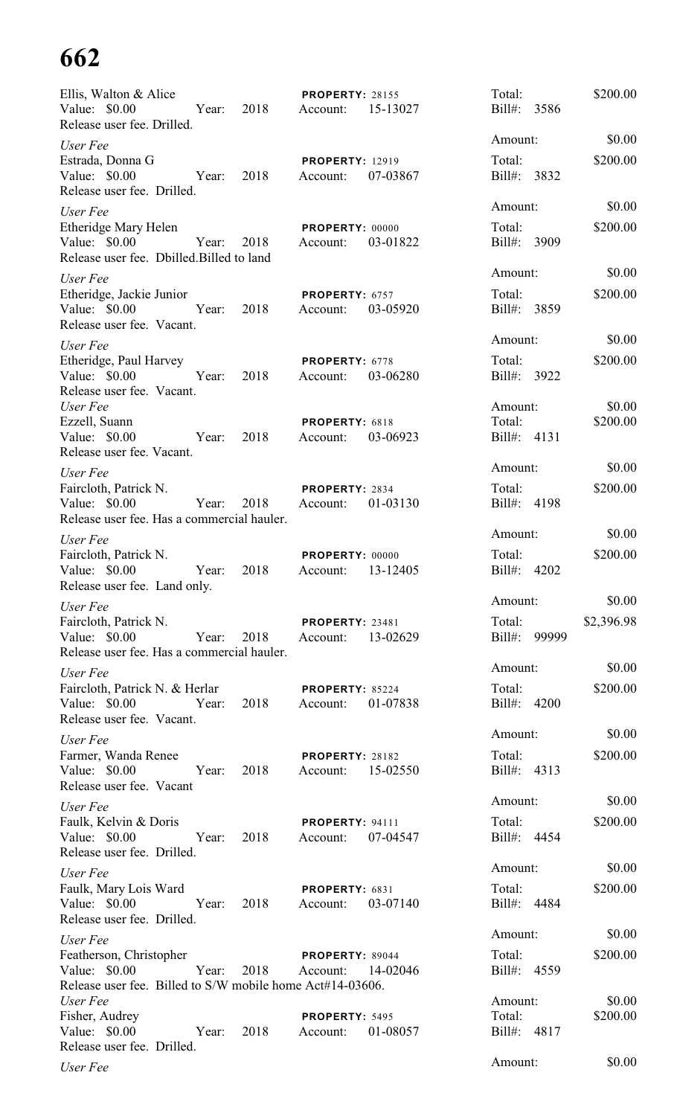| Ellis, Walton & Alice<br>Value: \$0.00<br>Release user fee. Drilled.                                  | Year: 2018 |      | <b>PROPERTY: 28155</b><br>Account: | 15-13027 | Total:<br>Bill#: 3586    | \$200.00           |
|-------------------------------------------------------------------------------------------------------|------------|------|------------------------------------|----------|--------------------------|--------------------|
| User Fee                                                                                              |            |      |                                    |          | Amount:                  | \$0.00             |
| Estrada, Donna G<br>Value: \$0.00<br>Release user fee. Drilled.                                       | Year:      | 2018 | <b>PROPERTY: 12919</b><br>Account: | 07-03867 | Total:<br>Bill#: 3832    | \$200.00           |
| User Fee<br>Etheridge Mary Helen                                                                      |            |      | <b>PROPERTY: 00000</b>             |          | Amount:<br>Total:        | \$0.00<br>\$200.00 |
| Value: \$0.00<br>Release user fee. Dbilled.Billed to land                                             | Year:      | 2018 | Account:                           | 03-01822 | Bill#: 3909              |                    |
| User Fee                                                                                              |            |      |                                    |          | Amount:                  | \$0.00             |
| Etheridge, Jackie Junior<br>Value: \$0.00<br>Release user fee. Vacant.                                | Year:      | 2018 | PROPERTY: 6757<br>Account:         | 03-05920 | Total:<br>Bill#: 3859    | \$200.00           |
| User Fee                                                                                              |            |      |                                    |          | Amount:                  | \$0.00             |
| Etheridge, Paul Harvey<br>Value: \$0.00<br>Release user fee. Vacant.                                  | Year:      | 2018 | PROPERTY: 6778<br>Account:         | 03-06280 | Total:<br>Bill#: 3922    | \$200.00           |
| User Fee                                                                                              |            |      |                                    |          | Amount:                  | \$0.00             |
| Ezzell, Suann<br>Value: \$0.00<br>Release user fee. Vacant.                                           | Year:      | 2018 | PROPERTY: 6818<br>Account:         | 03-06923 | Total:<br>Bill#: 4131    | \$200.00           |
| User Fee                                                                                              |            |      |                                    |          | Amount:                  | \$0.00             |
| Faircloth, Patrick N.                                                                                 |            |      | PROPERTY: 2834                     |          | Total:                   | \$200.00           |
| Value: \$0.00<br>Release user fee. Has a commercial hauler.                                           | Year:      | 2018 | Account:                           | 01-03130 | Bill#: 4198              |                    |
| User Fee                                                                                              |            |      |                                    |          | Amount:                  | \$0.00             |
| Faircloth, Patrick N.<br>Value: \$0.00<br>Release user fee. Land only.                                | Year:      | 2018 | PROPERTY: 00000<br>Account:        | 13-12405 | Total:<br>Bill#:<br>4202 | \$200.00           |
| User Fee                                                                                              |            |      |                                    |          | Amount:                  | \$0.00             |
| Faircloth, Patrick N.<br>Value: \$0.00                                                                | Year:      | 2018 | <b>PROPERTY: 23481</b><br>Account: | 13-02629 | Total:<br>Bill#: 99999   | \$2,396.98         |
| Release user fee. Has a commercial hauler.                                                            |            |      |                                    |          | Amount:                  | \$0.00             |
| User Fee<br>Faircloth, Patrick N. & Herlar                                                            |            | 2018 | PROPERTY: 85224                    |          | Total:                   | \$200.00           |
| Value: $$0.00$<br>Release user fee. Vacant.                                                           | Year:      |      | Account:                           | 01-07838 | Bill#: 4200              |                    |
| User Fee                                                                                              |            |      |                                    |          | Amount:                  | \$0.00             |
| Farmer, Wanda Renee<br>Value: \$0.00<br>Release user fee. Vacant                                      | Year:      | 2018 | <b>PROPERTY: 28182</b><br>Account: | 15-02550 | Total:<br>Bill#: 4313    | \$200.00           |
| User Fee                                                                                              |            |      |                                    |          | Amount:                  | \$0.00             |
| Faulk, Kelvin & Doris<br>Value: \$0.00                                                                | Year:      | 2018 | <b>PROPERTY: 94111</b><br>Account: | 07-04547 | Total:<br>Bill#: 4454    | \$200.00           |
| Release user fee. Drilled.<br>User Fee                                                                |            |      |                                    |          | Amount:                  | \$0.00             |
| Faulk, Mary Lois Ward<br>Value: \$0.00<br>Release user fee. Drilled.                                  | Year:      | 2018 | PROPERTY: 6831<br>Account:         | 03-07140 | Total:<br>Bill#: 4484    | \$200.00           |
| User Fee                                                                                              |            |      |                                    |          | Amount:                  | \$0.00             |
| Featherson, Christopher<br>Value: \$0.00<br>Release user fee. Billed to S/W mobile home Act#14-03606. | Year:      | 2018 | PROPERTY: 89044<br>Account:        | 14-02046 | Total:<br>Bill#: 4559    | \$200.00           |
| User Fee                                                                                              |            |      |                                    |          | Amount:                  | \$0.00             |
| Fisher, Audrey<br>Value: \$0.00<br>Release user fee. Drilled.                                         | Year:      | 2018 | PROPERTY: 5495<br>Account:         | 01-08057 | Total:<br>Bill#: 4817    | \$200.00           |
| User Fee                                                                                              |            |      |                                    |          | Amount:                  | \$0.00             |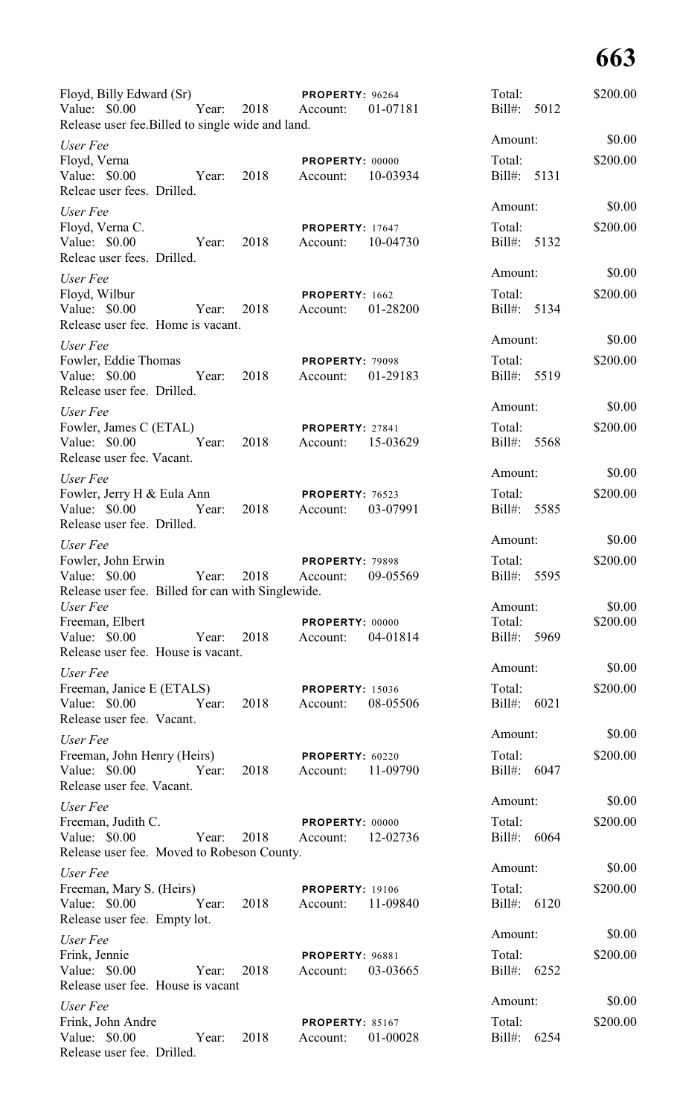| Floyd, Billy Edward (Sr)<br>Value: \$0.00<br>Year:<br>Release user fee. Billed to single wide and land. | 2018 | <b>PROPERTY: 96264</b><br>Account: | 01-07181 | Total:<br>Bill#: 5012 | \$200.00           |
|---------------------------------------------------------------------------------------------------------|------|------------------------------------|----------|-----------------------|--------------------|
| User Fee                                                                                                |      |                                    |          | Amount:               | \$0.00             |
| Floyd, Verna<br>Value: \$0.00<br>Year:<br>Releae user fees. Drilled.                                    | 2018 | PROPERTY: 00000<br>Account:        | 10-03934 | Total:<br>Bill#: 5131 | \$200.00           |
| User Fee                                                                                                |      |                                    |          | Amount:               | \$0.00             |
| Floyd, Verna C.<br>Value: $$0.00$<br>Year:<br>Releae user fees. Drilled.                                | 2018 | <b>PROPERTY: 17647</b><br>Account: | 10-04730 | Total:<br>Bill#: 5132 | \$200.00           |
| User Fee                                                                                                |      |                                    |          | Amount:               | \$0.00             |
| Floyd, Wilbur<br>Value: \$0.00<br>Year:<br>Release user fee. Home is vacant.                            | 2018 | PROPERTY: 1662<br>Account:         | 01-28200 | Total:<br>Bill#: 5134 | \$200.00           |
| User Fee                                                                                                |      |                                    |          | Amount:               | \$0.00             |
| Fowler, Eddie Thomas<br>Value: $$0.00$<br>Year:<br>Release user fee. Drilled.                           | 2018 | <b>PROPERTY: 79098</b><br>Account: | 01-29183 | Total:<br>Bill#: 5519 | \$200.00           |
| User Fee                                                                                                |      |                                    |          | Amount:               | \$0.00             |
| Fowler, James C (ETAL)<br>Value: \$0.00<br>Year:<br>Release user fee. Vacant.                           | 2018 | PROPERTY: 27841<br>Account:        | 15-03629 | Total:<br>Bill#: 5568 | \$200.00           |
| User Fee                                                                                                |      |                                    |          | Amount:               | \$0.00             |
| Fowler, Jerry H & Eula Ann                                                                              |      | PROPERTY: 76523                    |          | Total:                | \$200.00           |
| Value: \$0.00<br>Year:<br>Release user fee. Drilled.                                                    | 2018 | Account:                           | 03-07991 | Bill#: 5585           |                    |
| User Fee                                                                                                |      |                                    |          | Amount:               | \$0.00             |
| Fowler, John Erwin                                                                                      |      | PROPERTY: 79898                    |          | Total:                | \$200.00           |
| Value: \$0.00<br>Year:<br>Release user fee. Billed for can with Singlewide.                             | 2018 | Account: 09-05569                  |          | Bill#: 5595           |                    |
| User Fee<br>Freeman, Elbert                                                                             |      | PROPERTY: 00000                    |          | Amount:<br>Total:     | \$0.00<br>\$200.00 |
| Value: \$0.00 Year:                                                                                     | 2018 | Account:                           | 04-01814 | Bill#: 5969           |                    |
| Release user fee. House is vacant.                                                                      |      |                                    |          |                       |                    |
| User Fee                                                                                                |      |                                    |          | Amount:               | \$0.00             |
| Freeman, Janice E (ETALS)                                                                               |      | <b>PROPERTY: 15036</b>             |          | Total:                | \$200.00           |
| Value: \$0.00 Year:<br>Release user fee. Vacant.                                                        | 2018 | Account:                           | 08-05506 | Bill#: 6021           |                    |
| User Fee                                                                                                |      |                                    |          | Amount:               | \$0.00             |
| Freeman, John Henry (Heirs)<br>Value: \$0.00 Year:<br>Release user fee. Vacant.                         | 2018 | PROPERTY: 60220<br>Account:        | 11-09790 | Total:<br>Bill#: 6047 | \$200.00           |
| User Fee                                                                                                |      |                                    |          | Amount:               | \$0.00             |
| Freeman, Judith C.                                                                                      |      | PROPERTY: 00000                    |          | Total:                | \$200.00           |
| Value: $$0.00$<br>Year:<br>Release user fee. Moved to Robeson County.                                   | 2018 | Account:                           | 12-02736 | Bill#: 6064           |                    |
| User Fee                                                                                                |      |                                    |          | Amount:               | \$0.00             |
| Freeman, Mary S. (Heirs)                                                                                |      | <b>PROPERTY: 19106</b>             |          | Total:                | \$200.00           |
| Value: \$0.00<br>Year:<br>Release user fee. Empty lot.                                                  | 2018 | Account: 11-09840                  |          | Bill#: 6120           |                    |
| User Fee                                                                                                |      |                                    |          | Amount:               | \$0.00             |
| Frink, Jennie<br>Value: \$0.00<br>Year:<br>Release user fee. House is vacant                            | 2018 | PROPERTY: 96881<br>Account:        | 03-03665 | Total:<br>Bill#: 6252 | \$200.00           |
| User Fee                                                                                                |      |                                    |          | Amount:               | \$0.00             |
| Frink, John Andre<br>Value: \$0.00<br>Year:<br>Release user fee. Drilled.                               | 2018 | <b>PROPERTY: 85167</b><br>Account: | 01-00028 | Total:<br>Bill#: 6254 | \$200.00           |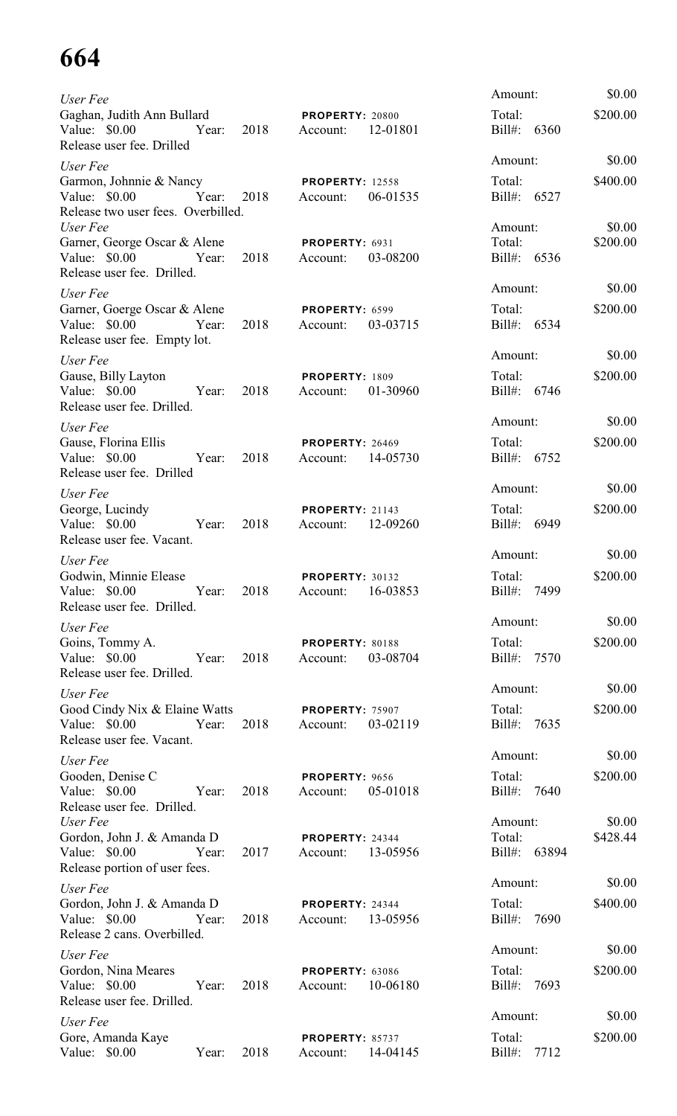| User Fee                                                                                |      |                                                | Amount:                  | \$0.00             |
|-----------------------------------------------------------------------------------------|------|------------------------------------------------|--------------------------|--------------------|
| Gaghan, Judith Ann Bullard<br>Value: \$0.00<br>Year:<br>Release user fee. Drilled       | 2018 | <b>PROPERTY: 20800</b><br>12-01801<br>Account: | Total:<br>Bill#: 6360    | \$200.00           |
| User Fee                                                                                |      |                                                | Amount:                  | \$0.00             |
| Garmon, Johnnie & Nancy<br>Value: \$0.00<br>Year:<br>Release two user fees. Overbilled. | 2018 | <b>PROPERTY: 12558</b><br>06-01535<br>Account: | Total:<br>Bill#: 6527    | \$400.00           |
| User Fee                                                                                |      |                                                | Amount:                  | \$0.00             |
| Garner, George Oscar & Alene                                                            |      | PROPERTY: 6931                                 | Total:                   | \$200.00           |
| Value: \$0.00 Year:<br>Release user fee. Drilled.                                       | 2018 | 03-08200<br>Account:                           | Bill#: 6536              |                    |
| User Fee                                                                                |      |                                                | Amount:                  | \$0.00             |
| Garner, Goerge Oscar & Alene<br>Value: \$0.00 Year:<br>Release user fee. Empty lot.     | 2018 | PROPERTY: 6599<br>03-03715<br>Account:         | Total:<br>Bill#: 6534    | \$200.00           |
| User Fee                                                                                |      |                                                | Amount:                  | \$0.00             |
| Gause, Billy Layton<br>Value: $$0.00$<br>Year:<br>Release user fee. Drilled.            | 2018 | PROPERTY: 1809<br>01-30960<br>Account:         | Total:<br>Bill#: 6746    | \$200.00           |
| User Fee                                                                                |      |                                                | Amount:                  | \$0.00             |
| Gause, Florina Ellis                                                                    |      | PROPERTY: 26469                                | Total:                   | \$200.00           |
| Value: \$0.00<br>Year:<br>Release user fee. Drilled                                     | 2018 | Account:<br>14-05730                           | Bill#: 6752              |                    |
| User Fee                                                                                |      |                                                | Amount:                  | \$0.00             |
| George, Lucindy<br>Value: \$0.00<br>Year:<br>Release user fee. Vacant.                  | 2018 | <b>PROPERTY: 21143</b><br>Account:<br>12-09260 | Total:<br>Bill#: 6949    | \$200.00           |
| User Fee                                                                                |      |                                                | Amount:                  | \$0.00             |
| Godwin, Minnie Elease<br>Release user fee. Drilled.                                     |      | <b>PROPERTY: 30132</b>                         | Total:<br>Bill#: 7499    | \$200.00           |
| User Fee                                                                                |      |                                                | Amount:                  | \$0.00             |
| Goins, Tommy A.<br>Value: \$0.00 Year:<br>Release user fee. Drilled.                    | 2018 | PROPERTY: 80188<br>Account: 03-08704           | Total:<br>Bill#: 7570    | \$200.00           |
| User Fee                                                                                |      |                                                | Amount:                  | \$0.00             |
| Good Cindy Nix & Elaine Watts<br>Value: \$0.00 Year: 2018<br>Release user fee. Vacant.  |      | <b>PROPERTY: 75907</b><br>Account: 03-02119    | Total:<br>Bill#: 7635    | \$200.00           |
| User Fee                                                                                |      |                                                | Amount:                  | \$0.00             |
| Gooden, Denise C                                                                        |      | PROPERTY: 9656                                 | Total:                   | \$200.00           |
| Value: \$0.00 Year:<br>Release user fee. Drilled.                                       | 2018 | Account: 05-01018                              | Bill#: 7640              |                    |
| User Fee<br>Gordon, John J. & Amanda D                                                  |      | <b>PROPERTY: 24344</b>                         | Amount:<br>Total:        | \$0.00<br>\$428.44 |
| Value: \$0.00<br>Year:<br>Release portion of user fees.                                 | 2017 | 13-05956<br>Account:                           | Bill#: 63894             |                    |
| User Fee                                                                                |      |                                                | Amount:                  | \$0.00             |
| Gordon, John J. & Amanda D<br>Value: \$0.00<br>Year:<br>Release 2 cans. Overbilled.     | 2018 | <b>PROPERTY: 24344</b><br>13-05956<br>Account: | Total:<br>Bill#: 7690    | \$400.00           |
| User Fee                                                                                |      |                                                | Amount:                  | \$0.00             |
| Gordon, Nina Meares<br>Value: \$0.00<br>Year:<br>Release user fee. Drilled.             | 2018 | <b>PROPERTY: 63086</b><br>10-06180<br>Account: | Total:<br>Bill#: 7693    | \$200.00           |
| User Fee                                                                                |      |                                                | Amount:                  | \$0.00             |
| Gore, Amanda Kaye<br>Value: \$0.00<br>Year:                                             | 2018 | PROPERTY: 85737<br>Account:<br>14-04145        | Total:<br>Bill#:<br>7712 | \$200.00           |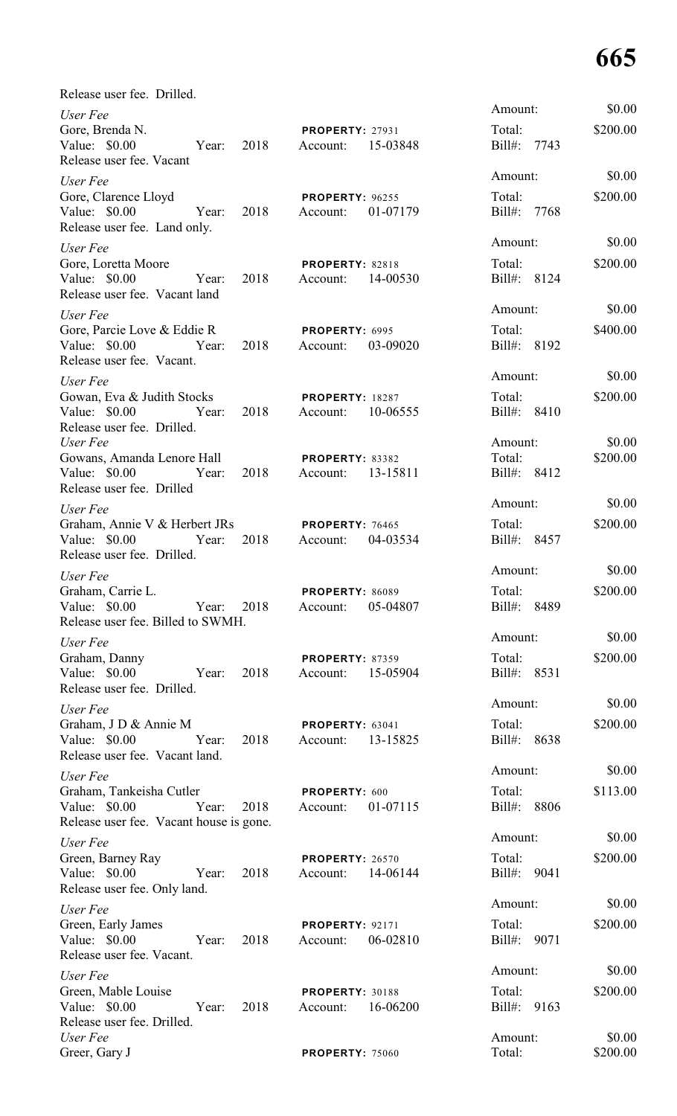| Release user fee. Drilled.                                                                                        |                                                |                                                              |
|-------------------------------------------------------------------------------------------------------------------|------------------------------------------------|--------------------------------------------------------------|
| User Fee<br>Gore, Brenda N.<br>Value: $$0.00$<br>2018<br>Year:<br>Release user fee. Vacant                        | <b>PROPERTY: 27931</b><br>15-03848<br>Account: | \$0.00<br>Amount:<br>\$200.00<br>Total:<br>Bill#: 7743       |
| User Fee<br>Gore, Clarence Lloyd<br>Value: \$0.00<br>2018<br>Year:<br>Release user fee. Land only.                | <b>PROPERTY: 96255</b><br>01-07179<br>Account: | Amount:<br>\$0.00<br>\$200.00<br>Total:<br>Bill#: 7768       |
| User Fee<br>Gore, Loretta Moore<br>Value: \$0.00<br>2018<br>Year:<br>Release user fee. Vacant land                | <b>PROPERTY: 82818</b><br>14-00530<br>Account: | Amount:<br>\$0.00<br>\$200.00<br>Total:<br>Bill#: 8124       |
| User Fee<br>Gore, Parcie Love & Eddie R<br>Value: $$0.00$<br>2018<br>Year:<br>Release user fee. Vacant.           | PROPERTY: 6995<br>Account:<br>03-09020         | \$0.00<br>Amount:<br>\$400.00<br>Total:<br>Bill#: 8192       |
| User Fee<br>Gowan, Eva & Judith Stocks<br>Value: \$0.00 Year:<br>2018<br>Release user fee. Drilled.               | <b>PROPERTY: 18287</b><br>Account:<br>10-06555 | \$0.00<br>Amount:<br>\$200.00<br>Total:<br>Bill#: 8410       |
| User Fee<br>Gowans, Amanda Lenore Hall<br>Value: \$0.00<br>2018<br>Year:<br>Release user fee. Drilled             | PROPERTY: 83382<br>13-15811<br>Account:        | \$0.00<br>Amount:<br>\$200.00<br>Total:<br>Bill#: 8412       |
| User Fee<br>Graham, Annie V & Herbert JRs<br>2018<br>Value: $$0.00$<br>Year:<br>Release user fee. Drilled.        | PROPERTY: 76465<br>04-03534<br>Account:        | Amount:<br>\$0.00<br>\$200.00<br>Total:<br>Bill#: 8457       |
| User Fee<br>Graham, Carrie L.<br>Value: \$0.00<br>2018<br>Year:<br>Release user fee. Billed to SWMH.              | PROPERTY: 86089<br>05-04807<br>Account:        | Amount:<br>\$0.00<br>Total:<br>\$200.00<br>$Bill#$ :<br>8489 |
| User Fee<br>Graham, Danny<br>Value: \$0.00<br>2018<br>Year:<br>Release user fee. Drilled.                         | <b>PROPERTY: 87359</b><br>15-05904<br>Account: | \$0.00<br>Amount:<br>Total:<br>\$200.00<br>Bill#: 8531       |
| User Fee<br>Graham, J D & Annie M<br>Value: \$0.00<br>Year:<br>2018<br>Release user fee. Vacant land.             | PROPERTY: 63041<br>13-15825<br>Account:        | \$0.00<br>Amount:<br>Total:<br>\$200.00<br>Bill#: 8638       |
| User Fee<br>Graham, Tankeisha Cutler<br>Value: \$0.00<br>Year:<br>2018<br>Release user fee. Vacant house is gone. | PROPERTY: 600<br>01-07115<br>Account:          | \$0.00<br>Amount:<br>Total:<br>\$113.00<br>Bill#: 8806       |
| User Fee<br>Green, Barney Ray<br>Value: \$0.00<br>Year:<br>2018<br>Release user fee. Only land.                   | <b>PROPERTY: 26570</b><br>14-06144<br>Account: | \$0.00<br>Amount:<br>Total:<br>\$200.00<br>Bill#: 9041       |
| User Fee<br>Green, Early James<br>Value: \$0.00<br>Year:<br>2018<br>Release user fee. Vacant.                     | <b>PROPERTY: 92171</b><br>06-02810<br>Account: | \$0.00<br>Amount:<br>Total:<br>\$200.00<br>Bill#: 9071       |
| User Fee<br>Green, Mable Louise<br>Value: \$0.00<br>2018<br>Year:<br>Release user fee. Drilled.                   | <b>PROPERTY: 30188</b><br>16-06200<br>Account: | \$0.00<br>Amount:<br>\$200.00<br>Total:<br>Bill#: 9163       |
| User Fee<br>Greer, Gary J                                                                                         | <b>PROPERTY: 75060</b>                         | \$0.00<br>Amount:<br>Total:<br>\$200.00                      |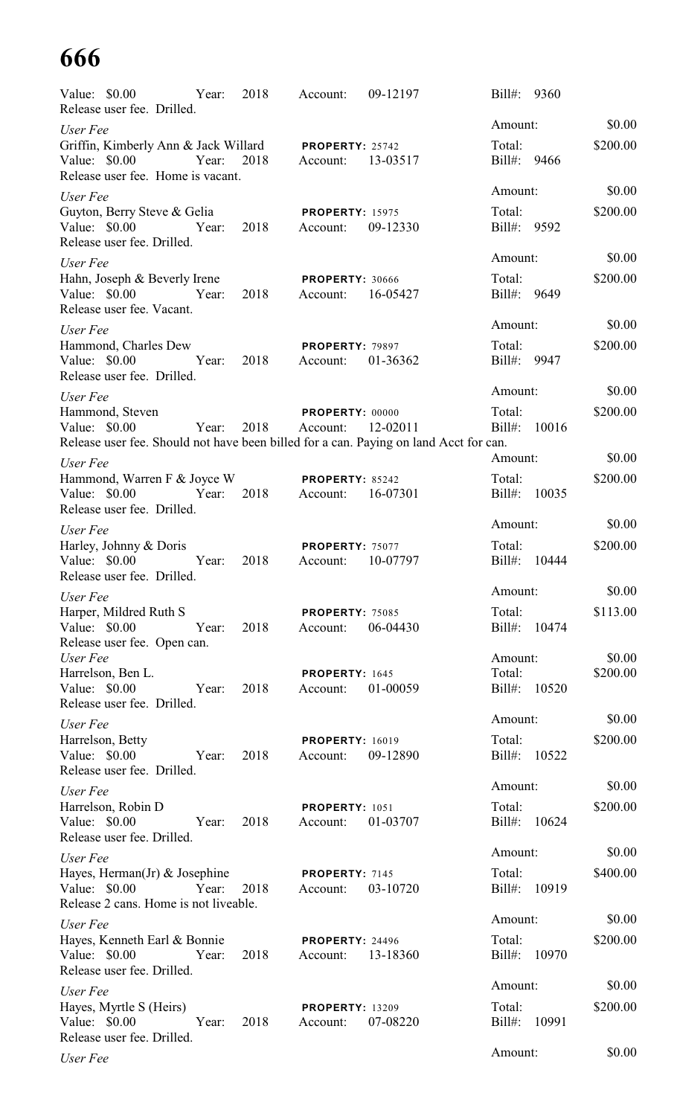| Value: $$0.00$<br>Release user fee. Drilled.                                                                              | Year: | 2018 | Account:                                    | 09-12197 | $Bill#$ :              | 9360  |          |
|---------------------------------------------------------------------------------------------------------------------------|-------|------|---------------------------------------------|----------|------------------------|-------|----------|
| User Fee                                                                                                                  |       |      |                                             |          | Amount:                |       | \$0.00   |
| Griffin, Kimberly Ann & Jack Willard<br>Value: \$0.00<br>Year:<br>Release user fee. Home is vacant.                       |       | 2018 | PROPERTY: 25742<br>Account:                 | 13-03517 | Total:<br>Bill#: 9466  |       | \$200.00 |
| User Fee                                                                                                                  |       |      |                                             |          | Amount:                |       | \$0.00   |
| Guyton, Berry Steve & Gelia<br>Value: \$0.00<br>Release user fee. Drilled.                                                | Year: | 2018 | <b>PROPERTY: 15975</b><br>Account:          | 09-12330 | Total:<br>Bill#: 9592  |       | \$200.00 |
| User Fee                                                                                                                  |       |      |                                             |          | Amount:                |       | \$0.00   |
| Hahn, Joseph & Beverly Irene<br>Value: \$0.00<br>Release user fee. Vacant.                                                | Year: | 2018 | <b>PROPERTY: 30666</b><br>Account:          | 16-05427 | Total:<br>Bill#:       | 9649  | \$200.00 |
| User Fee                                                                                                                  |       |      |                                             |          | Amount:                |       | \$0.00   |
| Hammond, Charles Dew<br>Value: \$0.00<br>Release user fee. Drilled.                                                       | Year: | 2018 | <b>PROPERTY: 79897</b><br>Account:          | 01-36362 | Total:<br>Bill#: 9947  |       | \$200.00 |
| User Fee                                                                                                                  |       |      |                                             |          | Amount:                |       | \$0.00   |
| Hammond, Steven<br>Value: \$0.00<br>Release user fee. Should not have been billed for a can. Paying on land Acct for can. | Year: | 2018 | PROPERTY: 00000<br>Account:                 | 12-02011 | Total:<br>$Bill#$ :    | 10016 | \$200.00 |
| User Fee                                                                                                                  |       |      |                                             |          | Amount:                |       | \$0.00   |
| Hammond, Warren F & Joyce W<br>Value: \$0.00<br>Release user fee. Drilled.                                                | Year: | 2018 | PROPERTY: 85242<br>Account:                 | 16-07301 | Total:<br>$Bill#$ :    | 10035 | \$200.00 |
| User Fee                                                                                                                  |       |      |                                             |          | Amount:                |       | \$0.00   |
| Harley, Johnny & Doris<br>Value: $$0.00$<br>Release user fee. Drilled.                                                    | Year: | 2018 | PROPERTY: 75077<br>Account:                 | 10-07797 | Total:<br>$Bill#$ :    | 10444 | \$200.00 |
| User Fee                                                                                                                  |       |      |                                             |          | Amount:                |       | \$0.00   |
| Harper, Mildred Ruth S<br>Value: \$0.00<br>Release user fee. Open can.                                                    | Year: | 2018 | <b>PROPERTY: 75085</b><br>Account:          | 06-04430 | Total:<br>Bill#:       | 10474 | \$113.00 |
| User Fee                                                                                                                  |       |      |                                             |          | Amount:                |       | \$0.00   |
| Harrelson, Ben L.<br>Value: \$0.00<br>Release user fee. Drilled.                                                          | Year: | 2018 | PROPERTY: 1645<br>Account:                  | 01-00059 | Total:<br>Bill#: 10520 |       | \$200.00 |
| User Fee                                                                                                                  |       |      |                                             |          | Amount:                |       | \$0.00   |
| Harrelson, Betty<br>Value: \$0.00<br>Release user fee. Drilled.                                                           | Year: | 2018 | <b>PROPERTY: 16019</b><br>Account:          | 09-12890 | Total:<br>Bill#: 10522 |       | \$200.00 |
| User Fee                                                                                                                  |       |      |                                             |          | Amount:                |       | \$0.00   |
| Harrelson, Robin D<br>Value: \$0.00<br>Release user fee. Drilled.                                                         | Year: | 2018 | PROPERTY: 1051<br>Account:                  | 01-03707 | Total:<br>Bill#: 10624 |       | \$200.00 |
| User Fee                                                                                                                  |       |      |                                             |          | Amount:                |       | \$0.00   |
| Hayes, Herman(Jr) & Josephine<br>Value: \$0.00<br>Release 2 cans. Home is not liveable.                                   | Year: | 2018 | PROPERTY: 7145<br>Account:                  | 03-10720 | Total:<br>Bill#: 10919 |       | \$400.00 |
| User Fee                                                                                                                  |       |      |                                             |          | Amount:                |       | \$0.00   |
| Hayes, Kenneth Earl & Bonnie<br>Value: \$0.00<br>Release user fee. Drilled.                                               | Year: | 2018 | <b>PROPERTY: 24496</b><br>Account: 13-18360 |          | Total:<br>Bill#:       | 10970 | \$200.00 |
| User Fee                                                                                                                  |       |      |                                             |          | Amount:                |       | \$0.00   |
| Hayes, Myrtle S (Heirs)<br>Value: \$0.00<br>Release user fee. Drilled.                                                    | Year: | 2018 | <b>PROPERTY: 13209</b><br>Account:          | 07-08220 | Total:<br>Bill#:       | 10991 | \$200.00 |
| User Fee                                                                                                                  |       |      |                                             |          | Amount:                |       | \$0.00   |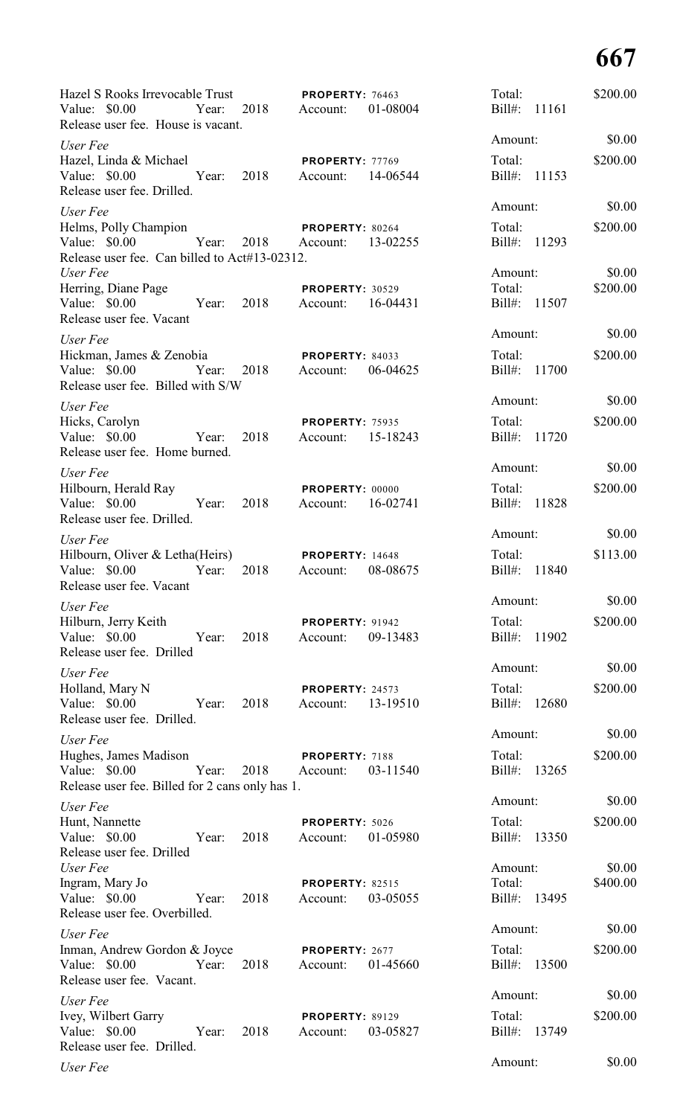| Hazel S Rooks Irrevocable Trust<br>Value: $$0.00$<br>Year:<br>Release user fee. House is vacant. | 2018          | PROPERTY: 76463<br>Account:        | 01-08004 | Total:<br>Bill#: 11161 |       | \$200.00 |
|--------------------------------------------------------------------------------------------------|---------------|------------------------------------|----------|------------------------|-------|----------|
| User Fee                                                                                         |               |                                    |          | Amount:                |       | \$0.00   |
| Hazel, Linda & Michael                                                                           |               | PROPERTY: 77769                    |          | Total:                 |       | \$200.00 |
| Value: $$0.00$<br>Year:<br>Release user fee. Drilled.                                            | 2018          | Account: 14-06544                  |          | Bill#: 11153           |       |          |
| User Fee                                                                                         |               |                                    |          | Amount:                |       | \$0.00   |
| Helms, Polly Champion<br>Value: $$0.00$<br>Year:                                                 | 2018 Account: | PROPERTY: 80264                    | 13-02255 | Total:<br>Bill#: 11293 |       | \$200.00 |
| Release user fee. Can billed to Act#13-02312.<br>User Fee                                        |               |                                    |          | Amount:                |       | \$0.00   |
| Herring, Diane Page                                                                              |               | <b>PROPERTY: 30529</b>             |          | Total:                 |       | \$200.00 |
| Value: $$0.00$<br>Year:<br>Release user fee. Vacant                                              | 2018          | Account:                           | 16-04431 | Bill#: 11507           |       |          |
| User Fee                                                                                         |               |                                    |          | Amount:                |       | \$0.00   |
| Hickman, James & Zenobia<br>Value: \$0.00<br>Year:<br>Release user fee. Billed with S/W          | 2018          | PROPERTY: 84033<br>Account:        | 06-04625 | Total:<br>Bill#: 11700 |       | \$200.00 |
| User Fee                                                                                         |               |                                    |          | Amount:                |       | \$0.00   |
| Hicks, Carolyn                                                                                   |               | <b>PROPERTY: 75935</b>             |          | Total:                 |       | \$200.00 |
| Value: \$0.00<br>Year:<br>Release user fee. Home burned.                                         | 2018          | Account:                           | 15-18243 | Bill#: 11720           |       |          |
| User Fee                                                                                         |               |                                    |          | Amount:                |       | \$0.00   |
| Hilbourn, Herald Ray<br>Value: $$0.00$<br>Year:                                                  | 2018          | <b>PROPERTY: 00000</b><br>Account: | 16-02741 | Total:<br>Bill#: 11828 |       | \$200.00 |
| Release user fee. Drilled.                                                                       |               |                                    |          | Amount:                |       | \$0.00   |
| User Fee<br>Hilbourn, Oliver & Letha(Heirs)                                                      |               | <b>PROPERTY: 14648</b>             |          | Total:                 |       | \$113.00 |
| Value: $$0.00$<br>Year:<br>Release user fee. Vacant                                              | 2018          | Account:                           | 08-08675 | Bill#: 11840           |       |          |
| User Fee                                                                                         |               |                                    |          | Amount:                |       | \$0.00   |
| Hilburn, Jerry Keith<br>Value: \$0.00<br>Year:                                                   | 2018          | <b>PROPERTY: 91942</b><br>Account: | 09-13483 | Total:<br>Bill#: 11902 |       | \$200.00 |
| Release user fee. Drilled                                                                        |               |                                    |          | Amount:                |       | \$0.00   |
| User Fee<br>Holland, Mary N                                                                      |               | PROPERTY: 24573                    |          | Total:                 |       | \$200.00 |
| Value: \$0.00<br>Year:<br>Release user fee. Drilled.                                             | 2018          | Account:                           | 13-19510 | Bill#:                 | 12680 |          |
| User Fee                                                                                         |               |                                    |          | Amount:                |       | \$0.00   |
| Hughes, James Madison                                                                            |               | PROPERTY: 7188                     |          | Total:                 |       | \$200.00 |
| Value: $$0.00$<br>Year:<br>Release user fee. Billed for 2 cans only has 1.                       | 2018          | Account:                           | 03-11540 | Bill#:                 | 13265 |          |
| User Fee                                                                                         |               |                                    |          | Amount:                |       | \$0.00   |
| Hunt, Nannette<br>Value: \$0.00<br>Year:                                                         | 2018          | PROPERTY: 5026<br>Account:         | 01-05980 | Total:<br>Bill#: 13350 |       | \$200.00 |
| Release user fee. Drilled<br>User Fee                                                            |               |                                    |          | Amount:                |       | \$0.00   |
| Ingram, Mary Jo                                                                                  |               | <b>PROPERTY: 82515</b>             |          | Total:                 |       | \$400.00 |
| Value: \$0.00<br>Year:<br>Release user fee. Overbilled.                                          | 2018          | Account:                           | 03-05055 | Bill#:                 | 13495 |          |
| User Fee                                                                                         |               |                                    |          | Amount:                |       | \$0.00   |
| Inman, Andrew Gordon & Joyce<br>Value: $$0.00$<br>Year:<br>Release user fee. Vacant.             | 2018          | PROPERTY: 2677<br>Account:         | 01-45660 | Total:<br>Bill#:       | 13500 | \$200.00 |
| User Fee                                                                                         |               |                                    |          | Amount:                |       | \$0.00   |
| Ivey, Wilbert Garry<br>Value: \$0.00<br>Year:<br>Release user fee. Drilled.                      | 2018          | <b>PROPERTY: 89129</b><br>Account: | 03-05827 | Total:<br>$Bill#$ :    | 13749 | \$200.00 |
| User Fee                                                                                         |               |                                    |          | Amount:                |       | \$0.00   |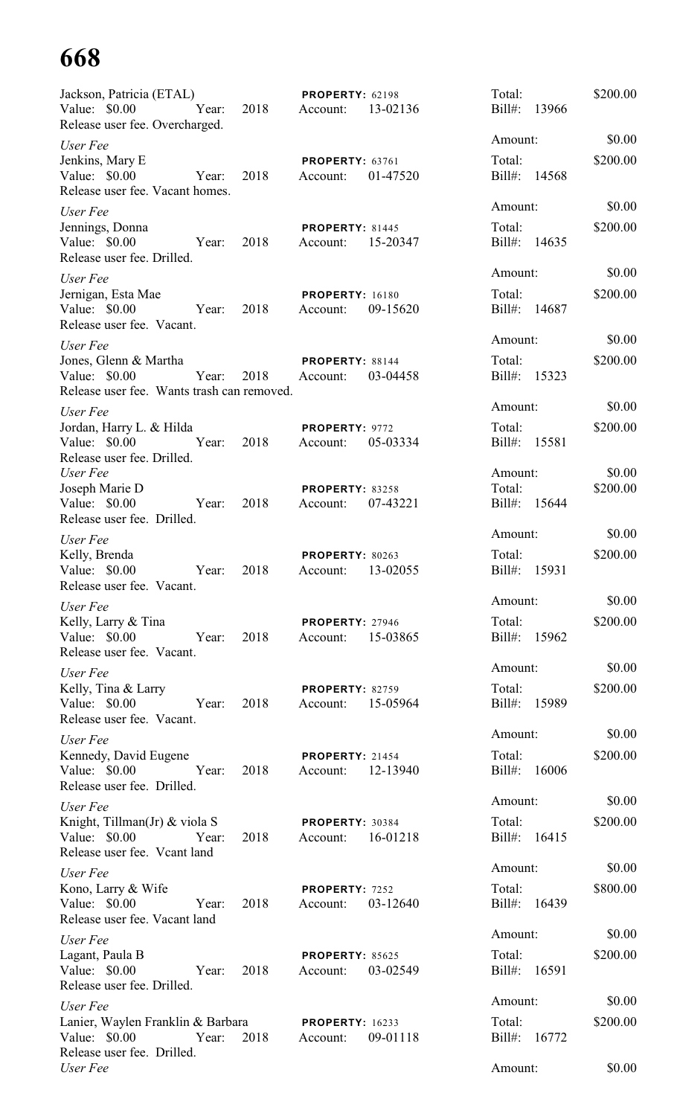| Jackson, Patricia (ETAL)                                                              |       |      | PROPERTY: 62198                    |          | Total:                 |       | \$200.00 |
|---------------------------------------------------------------------------------------|-------|------|------------------------------------|----------|------------------------|-------|----------|
| Value: \$0.00<br>Release user fee. Overcharged.                                       | Year: | 2018 | Account:                           | 13-02136 | $Bill#$ :              | 13966 |          |
| User Fee                                                                              |       |      |                                    |          | Amount:                |       | \$0.00   |
| Jenkins, Mary E<br>Value: \$0.00<br>Release user fee. Vacant homes.                   | Year: | 2018 | PROPERTY: 63761<br>Account:        | 01-47520 | Total:<br>$Bill#$ :    | 14568 | \$200.00 |
| User Fee                                                                              |       |      |                                    |          | Amount:                |       | \$0.00   |
| Jennings, Donna<br>Value: \$0.00<br>Release user fee. Drilled.                        | Year: | 2018 | PROPERTY: 81445<br>Account:        | 15-20347 | Total:<br>Bill#:       | 14635 | \$200.00 |
| User Fee                                                                              |       |      |                                    |          | Amount:                |       | \$0.00   |
| Jernigan, Esta Mae<br>Value: \$0.00<br>Release user fee. Vacant.                      | Year: | 2018 | <b>PROPERTY: 16180</b><br>Account: | 09-15620 | Total:<br>$Bill#$ :    | 14687 | \$200.00 |
| User Fee                                                                              |       |      |                                    |          | Amount:                |       | \$0.00   |
| Jones, Glenn & Martha<br>Value: $$0.00$<br>Release user fee. Wants trash can removed. | Year: | 2018 | PROPERTY: 88144<br>Account:        | 03-04458 | Total:<br>Bill#:       | 15323 | \$200.00 |
| User Fee                                                                              |       |      |                                    |          | Amount:                |       | \$0.00   |
| Jordan, Harry L. & Hilda<br>Value: \$0.00<br>Release user fee. Drilled.               | Year: | 2018 | PROPERTY: 9772<br>Account:         | 05-03334 | Total:<br>$Bill#$ :    | 15581 | \$200.00 |
| User Fee                                                                              |       |      |                                    |          | Amount:                |       | \$0.00   |
| Joseph Marie D<br>Value: \$0.00<br>Release user fee. Drilled.                         | Year: | 2018 | PROPERTY: 83258<br>Account:        | 07-43221 | Total:<br>$Bill#$ :    | 15644 | \$200.00 |
| User Fee                                                                              |       |      |                                    |          | Amount:                |       | \$0.00   |
| Kelly, Brenda<br>Value: \$0.00<br>Release user fee. Vacant.                           | Year: | 2018 | <b>PROPERTY: 80263</b><br>Account: | 13-02055 | Total:<br>$Bill#$ :    | 15931 | \$200.00 |
| User Fee                                                                              |       |      |                                    |          | Amount:                |       | \$0.00   |
| Kelly, Larry & Tina<br>Value: \$0.00<br>Release user fee. Vacant.                     | Year: | 2018 | <b>PROPERTY: 27946</b><br>Account: | 15-03865 | Total:<br>Bill#: 15962 |       | \$200.00 |
| User Fee                                                                              |       |      |                                    |          | Amount:                |       | \$0.00   |
| Kelly, Tina & Larry<br>Value: \$0.00 Year:<br>Release user fee. Vacant.               |       | 2018 | PROPERTY: 82759<br>Account:        | 15-05964 | Total:<br>Bill#: 15989 |       | \$200.00 |
| User Fee                                                                              |       |      |                                    |          | Amount:                |       | \$0.00   |
| Kennedy, David Eugene<br>Value: \$0.00 Year:<br>Release user fee. Drilled.            |       | 2018 | <b>PROPERTY: 21454</b><br>Account: | 12-13940 | Total:<br>Bill#: 16006 |       | \$200.00 |
| User Fee                                                                              |       |      |                                    |          | Amount:                |       | \$0.00   |
| Knight, Tillman(Jr) & viola S<br>Value: \$0.00 Year:<br>Release user fee. Vcant land  |       | 2018 | <b>PROPERTY: 30384</b><br>Account: | 16-01218 | Total:<br>Bill#: 16415 |       | \$200.00 |
| User Fee                                                                              |       |      |                                    |          | Amount:                |       | \$0.00   |
| Kono, Larry & Wife<br>Value: \$0.00<br>Release user fee. Vacant land                  | Year: | 2018 | PROPERTY: 7252<br>Account:         | 03-12640 | Total:<br>Bill#: 16439 |       | \$800.00 |
| User Fee                                                                              |       |      |                                    |          | Amount:                |       | \$0.00   |
| Lagant, Paula B<br>Value: $$0.00$<br>Release user fee. Drilled.                       | Year: | 2018 | <b>PROPERTY: 85625</b><br>Account: | 03-02549 | Total:<br>Bill#: 16591 |       | \$200.00 |
| User Fee                                                                              |       |      |                                    |          | Amount:                |       | \$0.00   |
| Lanier, Waylen Franklin & Barbara<br>Value: \$0.00<br>Release user fee. Drilled.      | Year: | 2018 | <b>PROPERTY: 16233</b><br>Account: | 09-01118 | Total:<br>Bill#: 16772 |       | \$200.00 |
| User Fee                                                                              |       |      |                                    |          | Amount:                |       | \$0.00   |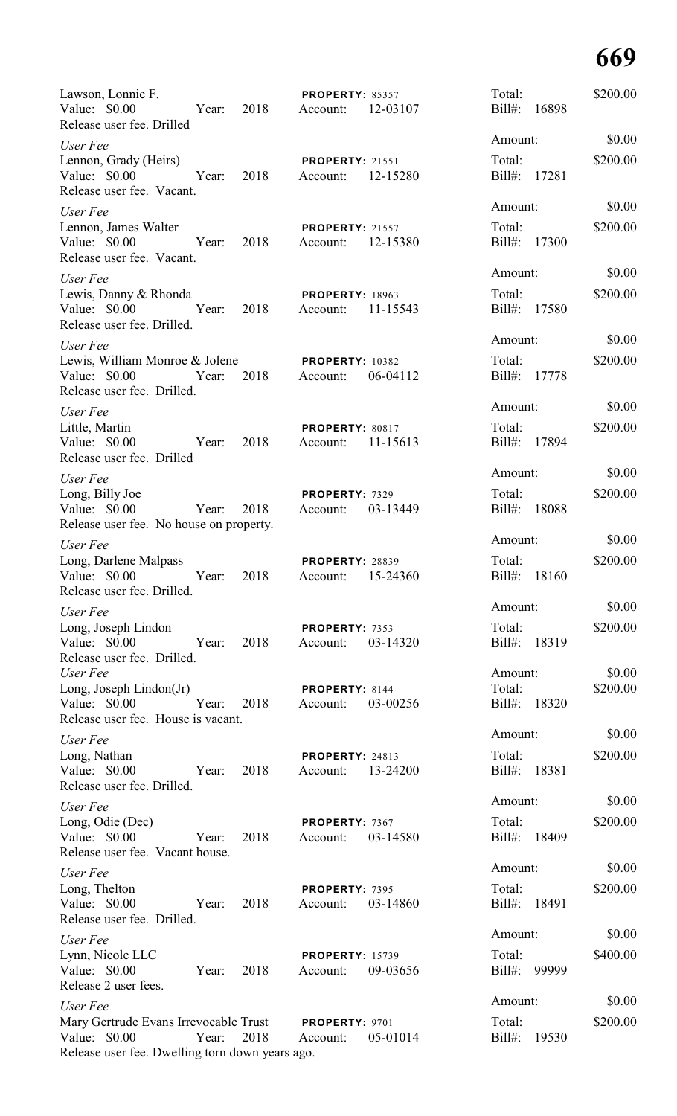| Lawson, Lonnie F.<br>Value: \$0.00<br>Release user fee. Drilled                                           |       | Year: 2018 | <b>PROPERTY: 85357</b><br>Account:          | 12-03107 | Total:<br>Bill#: 16898 |       | \$200.00           |
|-----------------------------------------------------------------------------------------------------------|-------|------------|---------------------------------------------|----------|------------------------|-------|--------------------|
| User Fee                                                                                                  |       |            |                                             |          | Amount:                |       | \$0.00             |
| Lennon, Grady (Heirs)<br>Value: \$0.00<br>Release user fee. Vacant.                                       | Year: | 2018       | <b>PROPERTY: 21551</b><br>Account:          | 12-15280 | Total:<br>Bill#: 17281 |       | \$200.00           |
| User Fee                                                                                                  |       |            |                                             |          | Amount:                |       | \$0.00             |
| Lennon, James Walter<br>Value: \$0.00<br>Release user fee. Vacant.                                        | Year: | 2018       | <b>PROPERTY: 21557</b><br>Account:          | 12-15380 | Total:<br>Bill#: 17300 |       | \$200.00           |
| User Fee                                                                                                  |       |            |                                             |          | Amount:                |       | \$0.00             |
| Lewis, Danny & Rhonda<br>Value: \$0.00<br>Release user fee. Drilled.                                      | Year: | 2018       | <b>PROPERTY: 18963</b><br>Account:          | 11-15543 | Total:<br>Bill#: 17580 |       | \$200.00           |
| User Fee                                                                                                  |       |            |                                             |          | Amount:                |       | \$0.00             |
| Lewis, William Monroe & Jolene<br>Value: \$0.00<br>Release user fee. Drilled.                             | Year: | 2018       | <b>PROPERTY: 10382</b><br>Account:          | 06-04112 | Total:<br>Bill#: 17778 |       | \$200.00           |
| User Fee                                                                                                  |       |            |                                             |          | Amount:                |       | \$0.00             |
| Little, Martin<br>Value: \$0.00<br>Release user fee. Drilled                                              | Year: | 2018       | PROPERTY: 80817<br>Account: 11-15613        |          | Total:<br>Bill#: 17894 |       | \$200.00           |
| User Fee                                                                                                  |       |            |                                             |          | Amount:                |       | \$0.00             |
| Long, Billy Joe<br>Value: \$0.00<br>Release user fee. No house on property.                               | Year: | 2018       | PROPERTY: 7329<br>Account:                  | 03-13449 | Total:<br>Bill#: 18088 |       | \$200.00           |
| User Fee                                                                                                  |       |            |                                             |          | Amount:                |       | \$0.00             |
| Long, Darlene Malpass<br>Value: \$0.00<br>Release user fee. Drilled.                                      | Year: | 2018       | <b>PROPERTY: 28839</b><br>Account: 15-24360 |          | Total:<br>Bill#:       | 18160 | \$200.00           |
| User Fee                                                                                                  |       |            |                                             |          | Amount:                |       | \$0.00             |
| Long, Joseph Lindon<br>Value: \$0.00<br>Release user fee. Drilled.                                        | Year: | 2018       | PROPERTY: 7353<br>Account:                  | 03-14320 | Total:<br>$Bill#$ :    | 18319 | \$200.00           |
| User Fee<br>Long, Joseph Lindon( $Jr$ )                                                                   |       |            | PROPERTY: 8144                              |          | Amount:<br>Total:      |       | \$0.00<br>\$200.00 |
| Value: \$0.00<br>Release user fee. House is vacant.                                                       | Year: | 2018       | Account:                                    | 03-00256 | Bill#:                 | 18320 |                    |
| User Fee                                                                                                  |       |            |                                             |          | Amount:                |       | \$0.00             |
| Long, Nathan<br>Value: \$0.00<br>Release user fee. Drilled.                                               | Year: | 2018       | PROPERTY: 24813<br>Account:                 | 13-24200 | Total:<br>Bill#:       | 18381 | \$200.00           |
| User Fee                                                                                                  |       |            |                                             |          | Amount:                |       | \$0.00             |
| Long, Odie (Dec)<br>Value: \$0.00<br>Release user fee. Vacant house.                                      | Year: | 2018       | PROPERTY: 7367<br>Account:                  | 03-14580 | Total:<br>Bill#:       | 18409 | \$200.00           |
| User Fee                                                                                                  |       |            |                                             |          | Amount:                |       | \$0.00             |
| Long, Thelton<br>Value: \$0.00<br>Release user fee. Drilled.                                              | Year: | 2018       | PROPERTY: 7395<br>Account:                  | 03-14860 | Total:<br>Bill#:       | 18491 | \$200.00           |
| User Fee                                                                                                  |       |            |                                             |          | Amount:                |       | \$0.00             |
| Lynn, Nicole LLC<br>Value: \$0.00<br>Release 2 user fees.                                                 | Year: | 2018       | <b>PROPERTY: 15739</b><br>Account:          | 09-03656 | Total:<br>Bill#:       | 99999 | \$400.00           |
| User Fee                                                                                                  |       |            |                                             |          | Amount:                |       | \$0.00             |
| Mary Gertrude Evans Irrevocable Trust<br>Value: \$0.00<br>Release user fee. Dwelling torn down years ago. | Year: | 2018       | PROPERTY: 9701<br>Account:                  | 05-01014 | Total:<br>$Bill#$ :    | 19530 | \$200.00           |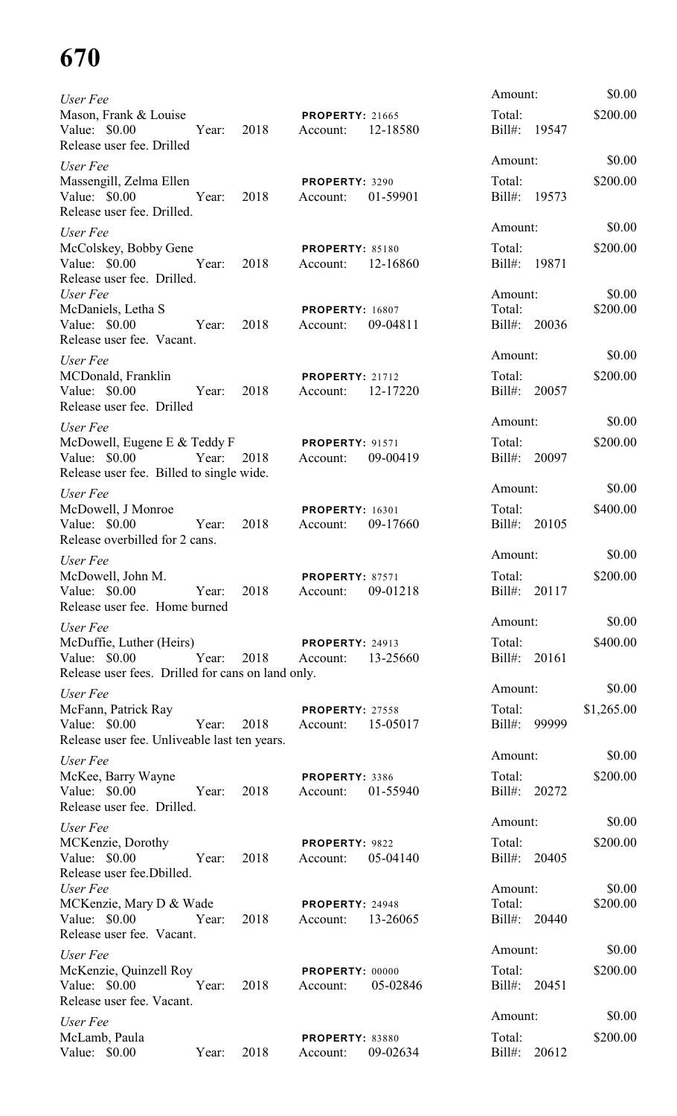| User Fee                                                                                             |      |                                                  |          | Amount:                           |        | \$0.00             |
|------------------------------------------------------------------------------------------------------|------|--------------------------------------------------|----------|-----------------------------------|--------|--------------------|
| Mason, Frank & Louise<br>Value: \$0.00<br>Year:<br>Release user fee. Drilled                         | 2018 | <b>PROPERTY: 21665</b><br>Account:               | 12-18580 | Total:<br>Bill#: 19547            |        | \$200.00           |
| User Fee                                                                                             |      |                                                  |          | Amount:                           |        | \$0.00             |
| Massengill, Zelma Ellen<br>Value: \$0.00 Year:<br>Release user fee. Drilled.                         | 2018 | PROPERTY: 3290<br>Account:                       | 01-59901 | Total:<br>Bill#: 19573            |        | \$200.00           |
| User Fee                                                                                             |      |                                                  |          | Amount:                           |        | \$0.00             |
| McColskey, Bobby Gene<br>Value: \$0.00 Year:<br>Release user fee. Drilled.                           | 2018 | <b>PROPERTY: 85180</b><br>Account:               | 12-16860 | Total:<br>Bill#: 19871            |        | \$200.00           |
| User Fee<br>McDaniels, Letha S<br>Value: \$0.00<br>Year: 2018<br>Release user fee. Vacant.           |      | <b>PROPERTY: 16807</b><br>Account:               | 09-04811 | Amount:<br>Total:<br>Bill#: 20036 |        | \$0.00<br>\$200.00 |
| User Fee                                                                                             |      |                                                  |          | Amount:                           |        | \$0.00             |
| MCDonald, Franklin<br>Value: \$0.00<br>Year: 2018<br>Release user fee. Drilled                       |      | <b>PROPERTY: 21712</b><br>Account:               | 12-17220 | Total:<br>Bill#: 20057            |        | \$200.00           |
| User Fee                                                                                             |      |                                                  |          | Amount:                           |        | \$0.00             |
| McDowell, Eugene E & Teddy F<br>Value: \$0.00<br>Year:<br>Release user fee. Billed to single wide.   | 2018 | <b>PROPERTY: 91571</b><br>Account:               | 09-00419 | Total:<br>Bill#: 20097            |        | \$200.00           |
| User Fee                                                                                             |      |                                                  |          | Amount:                           |        | \$0.00             |
| McDowell, J Monroe<br>Year:<br>Value: \$0.00<br>Release overbilled for 2 cans.                       | 2018 | <b>PROPERTY: 16301</b><br>Account:               | 09-17660 | Total:<br>Bill#: 20105            |        | \$400.00           |
| User Fee                                                                                             |      |                                                  |          | Amount:                           |        | \$0.00             |
| McDowell, John M.<br>Value: \$0.00<br>Year:<br>Release user fee. Home burned                         | 2018 | <b>PROPERTY: 87571</b><br>Account:               | 09-01218 | Total:<br>Bill#: 20117            |        | \$200.00           |
| User Fee                                                                                             |      |                                                  |          | Amount:                           |        | \$0.00             |
| McDuffie, Luther (Heirs)<br>Value: \$0.00 Year:<br>Release user fees. Drilled for cans on land only. |      | <b>PROPERTY: 24913</b><br>2018 Account: 13-25660 |          | Bill#: 20161                      | Total: | \$400.00           |
| User Fee                                                                                             |      |                                                  |          | Amount:                           |        | \$0.00             |
| McFann, Patrick Ray<br>Value: \$0.00 Year: 2018<br>Release user fee. Unliveable last ten years.      |      | <b>PROPERTY: 27558</b><br>Account: 15-05017      |          | Total:<br>Bill#: 99999            |        | \$1,265.00         |
| User Fee                                                                                             |      |                                                  |          | Amount:                           |        | \$0.00             |
| McKee, Barry Wayne<br>Value: \$0.00 Year: 2018<br>Release user fee. Drilled.                         |      | PROPERTY: 3386<br>Account: 01-55940              |          | Total:<br>Bill#: 20272            |        | \$200.00           |
| User Fee                                                                                             |      |                                                  |          | Amount:                           |        | \$0.00             |
| MCKenzie, Dorothy<br>Value: \$0.00 Year:<br>Release user fee.Dbilled.                                | 2018 | PROPERTY: 9822<br>Account: 05-04140              |          | Total:<br>Bill#: 20405            |        | \$200.00           |
| User Fee<br>MCKenzie, Mary D & Wade<br>Value: \$0.00 Year:                                           | 2018 | <b>PROPERTY: 24948</b><br>Account: 13-26065      |          | Amount:<br>Total:<br>Bill#: 20440 |        | \$0.00<br>\$200.00 |
| Release user fee. Vacant.                                                                            |      |                                                  |          | Amount:                           |        | \$0.00             |
| User Fee<br>McKenzie, Quinzell Roy<br>Value: \$0.00 Year:<br>Release user fee. Vacant.               | 2018 | PROPERTY: 00000<br>Account: 05-02846             |          | Total:<br>Bill#: 20451            |        | \$200.00           |
| User Fee                                                                                             |      |                                                  |          | Amount:                           |        | \$0.00             |
| McLamb, Paula<br>Value: $$0.00$<br>Year:                                                             | 2018 | PROPERTY: 83880<br>Account:                      | 09-02634 | Total:<br>Bill#: 20612            |        | \$200.00           |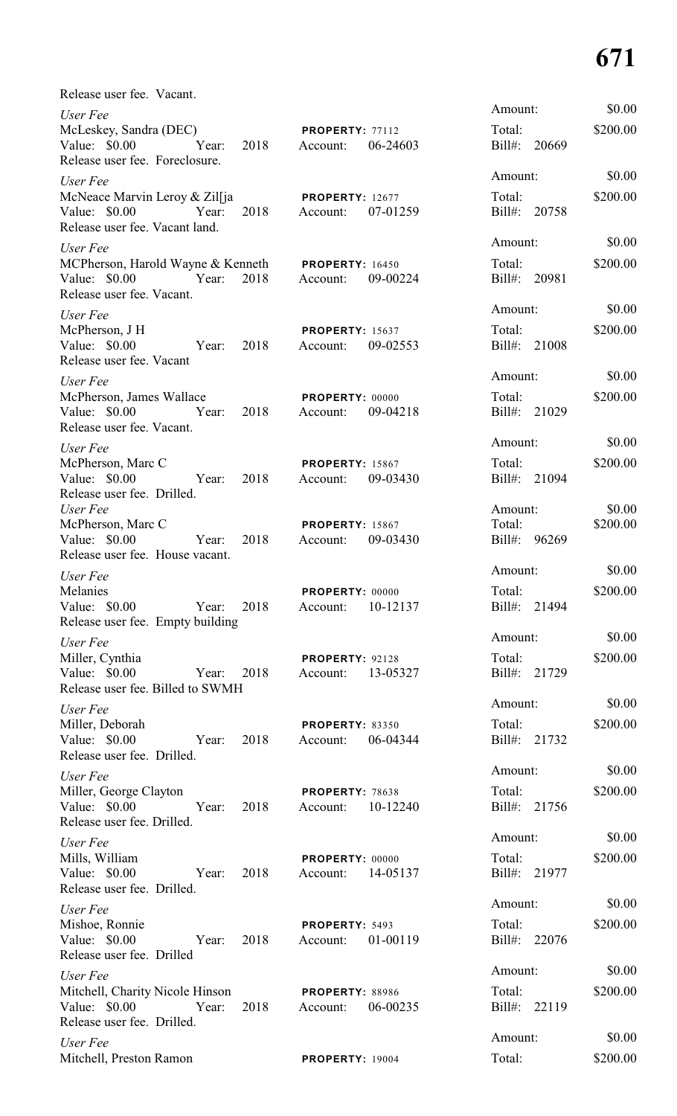| Release user fee. Vacant.                                                                                         |      |                                             |          |                                   |                    |
|-------------------------------------------------------------------------------------------------------------------|------|---------------------------------------------|----------|-----------------------------------|--------------------|
| User Fee<br>McLeskey, Sandra (DEC)<br>Value: \$0.00 Year:<br>Release user fee. Foreclosure.                       | 2018 | <b>PROPERTY: 77112</b><br>Account:          | 06-24603 | Amount:<br>Total:<br>Bill#: 20669 | \$0.00<br>\$200.00 |
| User Fee<br>McNeace Marvin Leroy & Zilfja<br>Value: \$0.00 Year:<br>Release user fee. Vacant land.                | 2018 | <b>PROPERTY: 12677</b><br>Account: 07-01259 |          | Amount:<br>Total:<br>Bill#: 20758 | \$0.00<br>\$200.00 |
| User Fee<br>MCPherson, Harold Wayne & Kenneth PROPERTY: 16450<br>Value: \$0.00 Year:<br>Release user fee. Vacant. | 2018 | Account: 09-00224                           |          | Amount:<br>Total:<br>Bill#: 20981 | \$0.00<br>\$200.00 |
| User Fee<br>McPherson, J H<br>Value: \$0.00 Year:<br>Release user fee. Vacant                                     | 2018 | <b>PROPERTY: 15637</b><br>Account:          | 09-02553 | Amount:<br>Total:<br>Bill#: 21008 | \$0.00<br>\$200.00 |
| User Fee<br>McPherson, James Wallace<br>Value: \$0.00 Year:<br>Release user fee. Vacant.                          | 2018 | <b>PROPERTY: 00000</b><br>Account: 09-04218 |          | Amount:<br>Total:<br>Bill#: 21029 | \$0.00<br>\$200.00 |
| User Fee<br>McPherson, Marc C<br>Value: \$0.00 Year:<br>Release user fee. Drilled.                                | 2018 | <b>PROPERTY: 15867</b><br>Account: 09-03430 |          | Amount:<br>Total:<br>Bill#: 21094 | \$0.00<br>\$200.00 |
| User Fee<br>McPherson, Marc C<br>Value: \$0.00<br>Year:<br>Release user fee. House vacant.                        | 2018 | <b>PROPERTY: 15867</b><br>Account: 09-03430 |          | Amount:<br>Total:<br>Bill#: 96269 | \$0.00<br>\$200.00 |
| User Fee<br>Melanies<br>Value: \$0.00<br>Year:<br>Release user fee. Empty building                                | 2018 | PROPERTY: 00000<br>Account:                 | 10-12137 | Amount:<br>Total:<br>Bill#: 21494 | \$0.00<br>\$200.00 |
| User Fee<br>Miller, Cynthia<br>Value: $$0.00$<br>Year:<br>Release user fee. Billed to SWMH                        | 2018 | PROPERTY: 92128<br>Account:                 | 13-05327 | Amount:<br>Total:<br>Bill#: 21729 | \$0.00<br>\$200.00 |
| User Fee<br>Miller, Deborah<br>Value: \$0.00<br>Year:<br>Release user fee. Drilled.                               | 2018 | <b>PROPERTY: 83350</b><br>Account:          | 06-04344 | Amount:<br>Total:<br>Bill#: 21732 | \$0.00<br>\$200.00 |
| User Fee<br>Miller, George Clayton<br>Value: $$0.00$<br>Year:<br>Release user fee. Drilled.                       | 2018 | <b>PROPERTY: 78638</b><br>Account:          | 10-12240 | Amount:<br>Total:<br>Bill#: 21756 | \$0.00<br>\$200.00 |
| User Fee<br>Mills, William<br>Value: $$0.00$<br>Year:<br>Release user fee. Drilled.                               | 2018 | <b>PROPERTY: 00000</b><br>Account:          | 14-05137 | Amount:<br>Total:<br>Bill#: 21977 | \$0.00<br>\$200.00 |
| User Fee<br>Mishoe, Ronnie<br>Value: \$0.00<br>Year:<br>Release user fee. Drilled                                 | 2018 | PROPERTY: 5493<br>Account:                  | 01-00119 | Amount:<br>Total:<br>Bill#: 22076 | \$0.00<br>\$200.00 |
| User Fee<br>Mitchell, Charity Nicole Hinson<br>Value: $$0.00$<br>Year:<br>Release user fee. Drilled.              | 2018 | <b>PROPERTY: 88986</b><br>Account:          | 06-00235 | Amount:<br>Total:<br>Bill#: 22119 | \$0.00<br>\$200.00 |
| User Fee<br>Mitchell, Preston Ramon                                                                               |      | <b>PROPERTY: 19004</b>                      |          | Amount:<br>Total:                 | \$0.00<br>\$200.00 |

| Amount:                           | \$0.00             |
|-----------------------------------|--------------------|
| Total:<br>Bill#: 20669            | \$200.00           |
| Amount:<br>Total:<br>Bill#: 20758 | \$0.00<br>\$200.00 |
| Amount:<br>Total:                 | \$0.00<br>\$200.00 |
| Bill#: 20981                      |                    |
| Amount:                           | \$0.00             |
| Total:<br>Bill#: 21008            | \$200.00           |
| Amount:                           | \$0.00             |
| Total:<br>Bill#: 21029            | \$200.00           |
| Amount:                           | \$0.00             |
| Total:                            | \$200.00           |
| Bill#: 21094                      |                    |
| Amount:                           | \$0.00             |
| Total:<br>Bill#: 96269            | \$200.00           |
| Amount:                           | \$0.00             |
| Total:<br>Bill#: 21494            | \$200.00           |
| Amount:                           | \$0.00             |
| Total:                            | \$200.00           |
| Bill#: 21729                      |                    |
| Amount:                           | \$0.00             |
| Total:<br>Bill#: 21732            | \$200.00           |
| Amount:                           | \$0.00             |
| Total:<br>Bill#: 21756            | \$200.00           |
| Amount:                           | \$0.00             |
| Total:                            | \$200.00           |
| Bill#: 21977                      |                    |
| Amount:                           | \$0.00             |
| Total:<br>Bill#: 22076            | \$200.00           |
| Amount:                           | \$0.00             |
| Total:                            | \$200.00           |
| Bill#: 22119                      |                    |
|                                   | 0000               |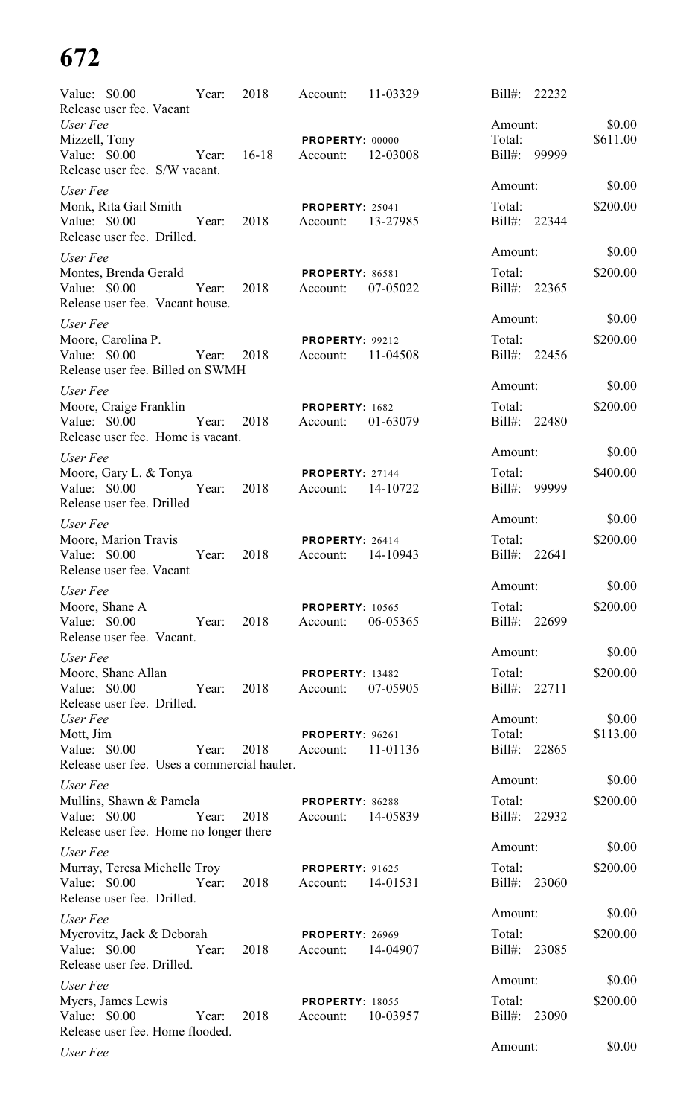| Value: \$0.00                                                                      | Year: | 2018    | Account:                           | 11-03329 | Bill#:<br>22232           |                    |
|------------------------------------------------------------------------------------|-------|---------|------------------------------------|----------|---------------------------|--------------------|
| Release user fee. Vacant<br>User Fee<br>Mizzell, Tony                              |       |         | PROPERTY: 00000                    |          | Amount:<br>Total:         | \$0.00<br>\$611.00 |
| Value: \$0.00<br>Release user fee. S/W vacant.                                     | Year: | $16-18$ | Account:                           | 12-03008 | Bill#: 99999              |                    |
| User Fee                                                                           |       |         |                                    |          | Amount:                   | \$0.00             |
| Monk, Rita Gail Smith<br>Value: \$0.00<br>Release user fee. Drilled.               | Year: | 2018    | <b>PROPERTY: 25041</b><br>Account: | 13-27985 | Total:<br>Bill#: 22344    | \$200.00           |
| User Fee                                                                           |       |         |                                    |          | Amount:                   | \$0.00             |
| Montes, Brenda Gerald<br>Value: \$0.00<br>Release user fee. Vacant house.          | Year: | 2018    | <b>PROPERTY: 86581</b><br>Account: | 07-05022 | Total:<br>Bill#: 22365    | \$200.00           |
| User Fee                                                                           |       |         |                                    |          | Amount:                   | \$0.00             |
| Moore, Carolina P.<br>Value: \$0.00<br>Release user fee. Billed on SWMH            | Year: | 2018    | <b>PROPERTY: 99212</b><br>Account: | 11-04508 | Total:<br>Bill#: 22456    | \$200.00           |
| User Fee                                                                           |       |         |                                    |          | Amount:                   | \$0.00             |
| Moore, Craige Franklin<br>Value: \$0.00<br>Release user fee. Home is vacant.       | Year: | 2018    | PROPERTY: 1682<br>Account:         | 01-63079 | Total:<br>Bill#: 22480    | \$200.00           |
| User Fee                                                                           |       |         |                                    |          | Amount:                   | \$0.00             |
| Moore, Gary L. & Tonya<br>Value: \$0.00<br>Release user fee. Drilled               | Year: | 2018    | PROPERTY: 27144<br>Account:        | 14-10722 | Total:<br>Bill#: 99999    | \$400.00           |
| User Fee                                                                           |       |         |                                    |          | Amount:                   | \$0.00             |
| Moore, Marion Travis<br>Value: \$0.00<br>Release user fee. Vacant                  | Year: | 2018    | PROPERTY: 26414<br>Account:        | 14-10943 | Total:<br>Bill#:<br>22641 | \$200.00           |
| User Fee                                                                           |       |         |                                    |          | Amount:                   | \$0.00             |
| Moore, Shane A<br>Value: \$0.00<br>Release user fee. Vacant.                       | Year: | 2018    | <b>PROPERTY: 10565</b><br>Account: | 06-05365 | Total:<br>Bill#: 22699    | \$200.00           |
| User Fee                                                                           |       |         |                                    |          | Amount:                   | \$0.00             |
| Moore, Shane Allan<br>Value: \$0.00<br>Release user fee. Drilled.                  | Year: | 2018    | PROPERTY: 13482<br>Account:        | 07-05905 | Total:<br>Bill#: 22711    | \$200.00           |
| User Fee                                                                           |       |         |                                    |          | Amount:                   | \$0.00             |
| Mott, Jim<br>Value: $$0.00$<br>Release user fee. Uses a commercial hauler.         | Year: | 2018    | PROPERTY: 96261<br>Account:        | 11-01136 | Total:<br>Bill#: 22865    | \$113.00           |
| User Fee                                                                           |       |         |                                    |          | Amount:                   | \$0.00             |
| Mullins, Shawn & Pamela<br>Value: \$0.00<br>Release user fee. Home no longer there | Year: | 2018    | PROPERTY: 86288<br>Account:        | 14-05839 | Total:<br>Bill#:<br>22932 | \$200.00           |
| User Fee                                                                           |       |         |                                    |          | Amount:                   | \$0.00             |
| Murray, Teresa Michelle Troy<br>Value: \$0.00<br>Release user fee. Drilled.        | Year: | 2018    | <b>PROPERTY: 91625</b><br>Account: | 14-01531 | Total:<br>Bill#:<br>23060 | \$200.00           |
| User Fee                                                                           |       |         |                                    |          | Amount:                   | \$0.00             |
| Myerovitz, Jack & Deborah<br>Value: \$0.00<br>Release user fee. Drilled.           | Year: | 2018    | <b>PROPERTY: 26969</b><br>Account: | 14-04907 | Total:<br>Bill#:<br>23085 | \$200.00           |
| User Fee                                                                           |       |         |                                    |          | Amount:                   | \$0.00             |
| Myers, James Lewis<br>Value: \$0.00<br>Release user fee. Home flooded.             | Year: | 2018    | <b>PROPERTY: 18055</b><br>Account: | 10-03957 | Total:<br>Bill#:<br>23090 | \$200.00           |
| User Fee                                                                           |       |         |                                    |          | Amount:                   | \$0.00             |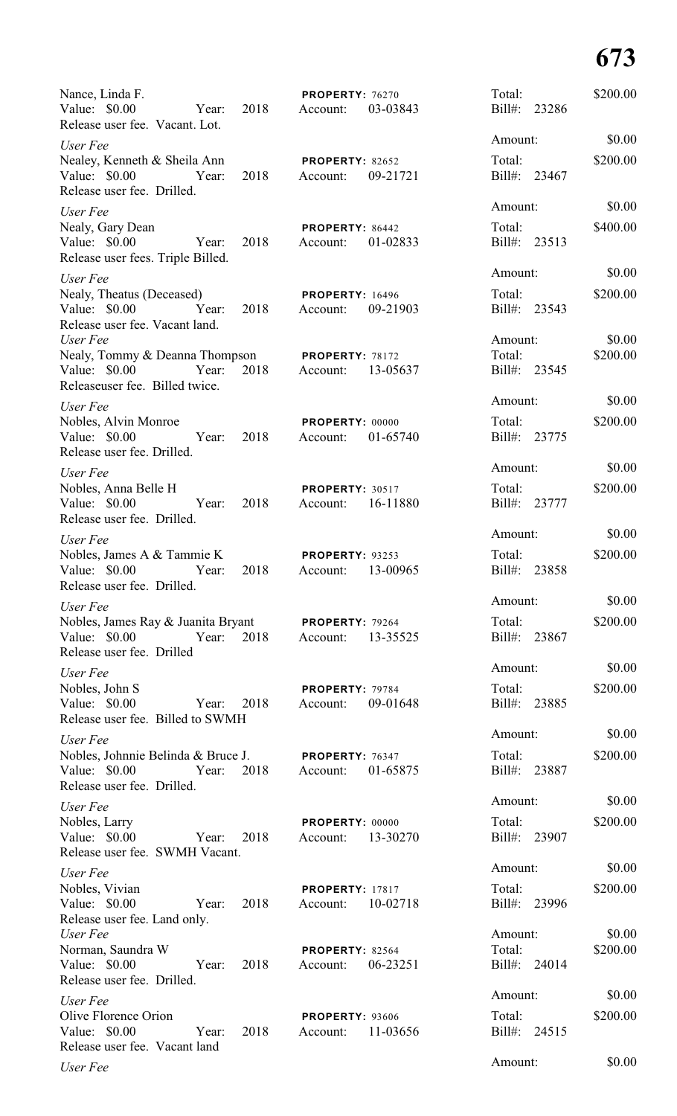| Nance, Linda F.<br>Value: \$0.00<br>2018<br>Year:<br>Release user fee. Vacant. Lot.                                | PROPERTY: 76270<br>03-03843<br>Account:        | Total:<br>$Bill#$ :<br>23286            | \$200.00           |
|--------------------------------------------------------------------------------------------------------------------|------------------------------------------------|-----------------------------------------|--------------------|
| User Fee                                                                                                           |                                                | Amount:                                 | \$0.00             |
| Nealey, Kenneth & Sheila Ann<br>Value: \$0.00<br>Year:<br>2018<br>Release user fee. Drilled.                       | <b>PROPERTY: 82652</b><br>09-21721<br>Account: | Total:<br>Bill#: 23467                  | \$200.00           |
| User Fee                                                                                                           |                                                | Amount:                                 | \$0.00             |
| Nealy, Gary Dean<br>Value: \$0.00<br>Year:<br>2018<br>Release user fees. Triple Billed.                            | PROPERTY: 86442<br>Account:<br>01-02833        | Total:<br>Bill#: 23513                  | \$400.00           |
| User Fee                                                                                                           |                                                | Amount:                                 | \$0.00             |
| Nealy, Theatus (Deceased)<br>Year:<br>Value: \$0.00<br>2018<br>Release user fee. Vacant land.                      | <b>PROPERTY: 16496</b><br>Account:<br>09-21903 | Total:<br>Bill#: 23543                  | \$200.00           |
| User Fee                                                                                                           |                                                | Amount:                                 | \$0.00             |
| Nealy, Tommy & Deanna Thompson PROPERTY: 78172<br>2018<br>Value: \$0.00<br>Year:<br>Releaseuser fee. Billed twice. | 13-05637<br>Account:                           | Total:<br>Bill#: 23545                  | \$200.00           |
| User Fee                                                                                                           |                                                | Amount:                                 | \$0.00             |
| Nobles, Alvin Monroe<br>2018<br>Value: \$0.00<br>Year:<br>Release user fee. Drilled.                               | PROPERTY: 00000<br>01-65740<br>Account:        | Total:<br>Bill#: 23775                  | \$200.00           |
| User Fee                                                                                                           |                                                | Amount:                                 | \$0.00             |
| Nobles, Anna Belle H<br>2018<br>Value: $$0.00$<br>Year:<br>Release user fee. Drilled.                              | PROPERTY: 30517<br>Account:<br>16-11880        | Total:<br>Bill#: 23777                  | \$200.00           |
| User Fee                                                                                                           |                                                | Amount:                                 | \$0.00             |
| Nobles, James A & Tammie K<br>Value: \$0.00<br>2018<br>Year:<br>Release user fee. Drilled.                         | PROPERTY: 93253<br>13-00965<br>Account:        | Total:<br>Bill#:<br>23858               | \$200.00           |
| User Fee                                                                                                           |                                                | Amount:                                 | \$0.00             |
| Nobles, James Ray & Juanita Bryant PROPERTY: 79264<br>2018<br>Value: \$0.00<br>Year:<br>Release user fee. Drilled  | 13-35525<br>Account:                           | Total:<br>Bill#: 23867                  | \$200.00           |
| User Fee                                                                                                           |                                                | Amount:                                 | \$0.00             |
| Nobles, John S<br>Value: \$0.00<br>2018<br>Year:<br>Release user fee. Billed to SWMH                               | PROPERTY: 79784<br>09-01648<br>Account:        | Total:<br>Bill#: 23885                  | \$200.00           |
| User Fee                                                                                                           |                                                | Amount:                                 | \$0.00             |
| Nobles, Johnnie Belinda & Bruce J.<br>2018<br>Value: \$0.00<br>Year:<br>Release user fee. Drilled.                 | <b>PROPERTY: 76347</b><br>01-65875<br>Account: | Total:<br>Bill#: 23887                  | \$200.00           |
| User Fee                                                                                                           |                                                | Amount:                                 | \$0.00             |
| Nobles, Larry<br>Value: $$0.00$<br>2018<br>Year:<br>Release user fee. SWMH Vacant.                                 | PROPERTY: 00000<br>13-30270<br>Account:        | Total:<br>Bill#: 23907                  | \$200.00           |
| User Fee                                                                                                           |                                                | Amount:                                 | \$0.00             |
| Nobles, Vivian<br>Value: \$0.00<br>2018<br>Year:<br>Release user fee. Land only.                                   | <b>PROPERTY: 17817</b><br>10-02718<br>Account: | Total:<br>Bill#:<br>23996               | \$200.00           |
| User Fee<br>Norman, Saundra W<br>Value: \$0.00<br>2018<br>Year:<br>Release user fee. Drilled.                      | PROPERTY: 82564<br>06-23251<br>Account:        | Amount:<br>Total:<br>$Bill#$ :<br>24014 | \$0.00<br>\$200.00 |
| User Fee                                                                                                           |                                                | Amount:                                 | \$0.00             |
| Olive Florence Orion<br>Value: \$0.00<br>Year:<br>2018<br>Release user fee. Vacant land                            | <b>PROPERTY: 93606</b><br>11-03656<br>Account: | Total:<br>Bill#:<br>24515               | \$200.00           |
| User Fee                                                                                                           |                                                | Amount:                                 | \$0.00             |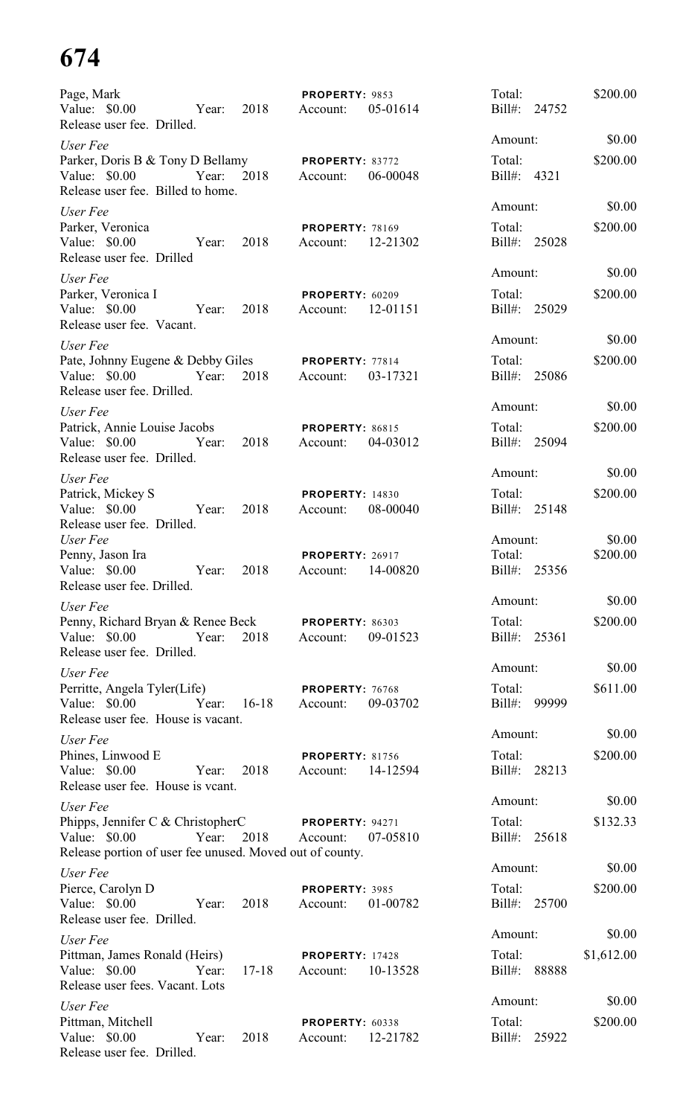| Page, Mark<br>Value: \$0.00<br>Release user fee. Drilled.                                                                   | Year: | 2018          | PROPERTY: 9853<br>Account:         | 05-01614 | Total:<br>Bill#: 24752            |       | \$200.00             |
|-----------------------------------------------------------------------------------------------------------------------------|-------|---------------|------------------------------------|----------|-----------------------------------|-------|----------------------|
| User Fee<br>Parker, Doris B & Tony D Bellamy                                                                                |       |               | PROPERTY: 83772                    |          | Amount:<br>Total:                 |       | \$0.00<br>\$200.00   |
| Value: $$0.00$<br>Release user fee. Billed to home.                                                                         | Year: | 2018          | Account:                           | 06-00048 | Bill#: 4321                       |       |                      |
| User Fee<br>Parker, Veronica<br>Value: \$0.00<br>Release user fee. Drilled                                                  | Year: | 2018          | <b>PROPERTY: 78169</b><br>Account: | 12-21302 | Amount:<br>Total:<br>Bill#: 25028 |       | \$0.00<br>\$200.00   |
| User Fee<br>Parker, Veronica I<br>Value: \$0.00<br>Release user fee. Vacant.                                                | Year: | 2018          | PROPERTY: 60209<br>Account:        | 12-01151 | Amount:<br>Total:<br>Bill#: 25029 |       | \$0.00<br>\$200.00   |
| User Fee<br>Pate, Johnny Eugene & Debby Giles<br>Value: \$0.00                                                              | Year: | 2018          | PROPERTY: 77814<br>Account:        | 03-17321 | Amount:<br>Total:<br>Bill#: 25086 |       | \$0.00<br>\$200.00   |
| Release user fee. Drilled.<br>User Fee<br>Patrick, Annie Louise Jacobs<br>Value: $$0.00$<br>Release user fee. Drilled.      | Year: | 2018          | PROPERTY: 86815<br>Account:        | 04-03012 | Amount:<br>Total:<br>Bill#: 25094 |       | \$0.00<br>\$200.00   |
| User Fee<br>Patrick, Mickey S<br>Value: $$0.00$<br>Release user fee. Drilled.                                               | Year: | 2018          | <b>PROPERTY: 14830</b><br>Account: | 08-00040 | Amount:<br>Total:<br>Bill#: 25148 |       | \$0.00<br>\$200.00   |
| User Fee<br>Penny, Jason Ira<br>Value: \$0.00<br>Release user fee. Drilled.                                                 | Year: | 2018          | <b>PROPERTY: 26917</b><br>Account: | 14-00820 | Amount:<br>Total:<br>$Bill#$ :    | 25356 | \$0.00<br>\$200.00   |
| User Fee<br>Penny, Richard Bryan & Renee Beck<br>Value: \$0.00 Year:<br>Release user fee. Drilled.                          |       | 2018          | <b>PROPERTY: 86303</b><br>Account: | 09-01523 | Amount:<br>Total:<br>Bill#: 25361 |       | \$0.00<br>\$200.00   |
| User Fee<br>Perritte, Angela Tyler(Life)<br>Value: \$0.00<br>Release user fee. House is vacant.                             | Year: | $16-18$       | PROPERTY: 76768<br>Account:        | 09-03702 | Amount:<br>Total:<br>Bill#: 99999 |       | \$0.00<br>\$611.00   |
| User Fee<br>Phines, Linwood E<br>Value: $$0.00$<br>Release user fee. House is vcant.                                        | Year: | 2018          | <b>PROPERTY: 81756</b><br>Account: | 14-12594 | Amount:<br>Total:<br>Bill#: 28213 |       | \$0.00<br>\$200.00   |
| User Fee<br>Phipps, Jennifer C & ChristopherC<br>Value: $$0.00$<br>Release portion of user fee unused. Moved out of county. | Year: | 2018 Account: | <b>PROPERTY: 94271</b>             | 07-05810 | Amount:<br>Total:<br>Bill#: 25618 |       | \$0.00<br>\$132.33   |
| User Fee<br>Pierce, Carolyn D<br>Value: \$0.00<br>Release user fee. Drilled.                                                | Year: | 2018          | PROPERTY: 3985<br>Account:         | 01-00782 | Amount:<br>Total:<br>Bill#: 25700 |       | \$0.00<br>\$200.00   |
| User Fee<br>Pittman, James Ronald (Heirs)<br>Value: \$0.00<br>Release user fees. Vacant. Lots                               | Year: | $17 - 18$     | PROPERTY: 17428<br>Account:        | 10-13528 | Amount:<br>Total:<br>Bill#: 88888 |       | \$0.00<br>\$1,612.00 |
| User Fee<br>Pittman, Mitchell<br>Value: \$0.00<br>Release user fee. Drilled.                                                | Year: | 2018          | PROPERTY: 60338<br>Account:        | 12-21782 | Amount:<br>Total:<br>Bill#: 25922 |       | \$0.00<br>\$200.00   |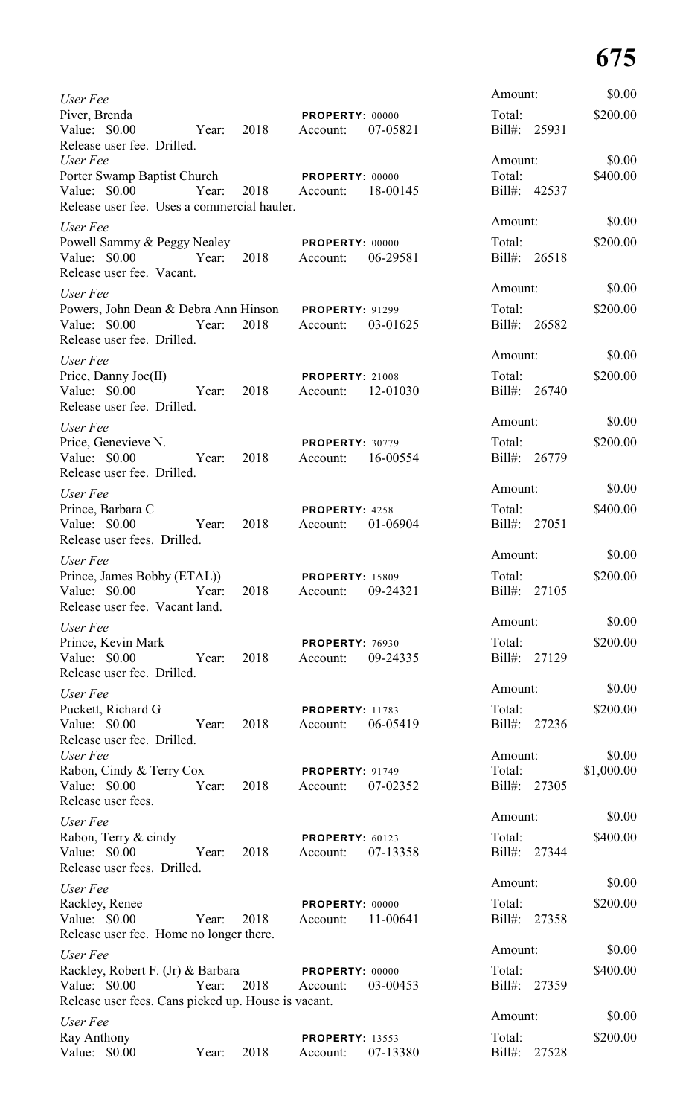| User Fee                                                                                            |                     |      |                                    |          | Amount:             |              | \$0.00               |
|-----------------------------------------------------------------------------------------------------|---------------------|------|------------------------------------|----------|---------------------|--------------|----------------------|
| Piver, Brenda<br>Value: \$0.00                                                                      | Year:               | 2018 | PROPERTY: 00000<br>Account:        | 07-05821 | Total:              | Bill#: 25931 | \$200.00             |
| Release user fee. Drilled.<br>User Fee                                                              |                     |      |                                    |          | Amount:             |              | \$0.00               |
| Porter Swamp Baptist Church PROPERTY: 00000                                                         |                     |      |                                    |          | Total:              |              | \$400.00             |
| Value: \$0.00<br>Release user fee. Uses a commercial hauler.                                        | Year: 2018 Account: |      |                                    | 18-00145 |                     | Bill#: 42537 |                      |
| User Fee                                                                                            |                     |      |                                    |          | Amount:             |              | \$0.00               |
| Powell Sammy & Peggy Nealey PROPERTY: 00000                                                         |                     |      |                                    |          | Total:              |              | \$200.00             |
| Value: \$0.00<br>Release user fee. Vacant.                                                          | Year: 2018 Account: |      |                                    | 06-29581 |                     | Bill#: 26518 |                      |
| User Fee                                                                                            |                     |      |                                    |          | Amount:             |              | \$0.00               |
| Powers, John Dean & Debra Ann Hinson PROPERTY: 91299<br>Value: \$0.00<br>Release user fee. Drilled. | Year:               |      | 2018 Account:                      | 03-01625 | Total:              | Bill#: 26582 | \$200.00             |
| User Fee                                                                                            |                     |      |                                    |          | Amount:             |              | \$0.00               |
| Price, Danny Joe(II)                                                                                |                     |      | <b>PROPERTY: 21008</b>             |          | Total:              |              | \$200.00             |
| Value: \$0.00<br>Release user fee. Drilled.                                                         | Year: 2018          |      | Account: 12-01030                  |          |                     | Bill#: 26740 |                      |
| User Fee                                                                                            |                     |      |                                    |          | Amount:             |              | \$0.00               |
| Price, Genevieve N.                                                                                 |                     |      | <b>PROPERTY: 30779</b>             |          | Total:              |              | \$200.00             |
| Value: \$0.00<br>Release user fee. Drilled.                                                         | Year: 2018          |      | Account: 16-00554                  |          |                     | Bill#: 26779 |                      |
| User Fee                                                                                            |                     |      |                                    |          | Amount:             |              | \$0.00               |
| Prince, Barbara C                                                                                   |                     |      | PROPERTY: 4258                     |          | Total:              |              | \$400.00             |
| Value: \$0.00 Year: 2018<br>Release user fees. Drilled.                                             |                     |      | Account:                           | 01-06904 |                     | Bill#: 27051 |                      |
| User Fee                                                                                            |                     |      |                                    |          | Amount:             |              | \$0.00               |
| Prince, James Bobby (ETAL))<br>Value: \$0.00<br>Release user fee. Vacant land.                      | Year:               | 2018 | <b>PROPERTY: 15809</b><br>Account: | 09-24321 | Total:<br>$Bill#$ : | 27105        | \$200.00             |
| User Fee                                                                                            |                     |      |                                    |          | Amount:             |              | \$0.00               |
| Prince, Kevin Mark                                                                                  |                     |      | PROPERTY: 76930                    |          | Total:              |              | \$200.00             |
| Value: \$0.00<br>Release user fee. Drilled.                                                         | Year:               | 2018 | Account:                           | 09-24335 |                     | Bill#: 27129 |                      |
| User Fee                                                                                            |                     |      |                                    |          | Amount:             |              | \$0.00               |
| Puckett, Richard G                                                                                  |                     |      | <b>PROPERTY: 11783</b>             |          | Total:              |              | \$200.00             |
| Value: \$0.00<br>Release user fee. Drilled.                                                         | Year:               | 2018 | Account:                           | 06-05419 |                     | Bill#: 27236 |                      |
| User Fee<br>Rabon, Cindy & Terry Cox                                                                |                     |      | PROPERTY: 91749                    |          | Amount:<br>Total:   |              | \$0.00<br>\$1,000.00 |
| Value: \$0.00<br>Release user fees.                                                                 | Year:               | 2018 | Account:                           | 07-02352 |                     | Bill#: 27305 |                      |
| User Fee                                                                                            |                     |      |                                    |          | Amount:             |              | \$0.00               |
| Rabon, Terry & cindy                                                                                |                     |      | PROPERTY: 60123                    |          | Total:              |              | \$400.00             |
| Value: \$0.00<br>Release user fees. Drilled.                                                        | Year:               | 2018 | Account:                           | 07-13358 |                     | Bill#: 27344 |                      |
| User Fee                                                                                            |                     |      |                                    |          | Amount:             |              | \$0.00               |
| Rackley, Renee                                                                                      |                     |      | PROPERTY: 00000                    |          | Total:              |              | \$200.00             |
| Value: \$0.00<br>Release user fee. Home no longer there.                                            | Year:               | 2018 | Account:                           | 11-00641 | $Bill#$ :           | 27358        |                      |
| User Fee                                                                                            |                     |      |                                    |          | Amount:             |              | \$0.00               |
| Rackley, Robert F. (Jr) & Barbara                                                                   |                     |      | PROPERTY: 00000                    |          | Total:              |              | \$400.00             |
| Value: \$0.00<br>Release user fees. Cans picked up. House is vacant.                                | Year:               | 2018 | Account:                           | 03-00453 | $Bill#$ :           | 27359        |                      |
| User Fee                                                                                            |                     |      |                                    |          | Amount:             |              | \$0.00               |
| Ray Anthony                                                                                         |                     |      | <b>PROPERTY: 13553</b>             |          | Total:              |              | \$200.00             |
| Value: \$0.00                                                                                       | Year:               | 2018 | Account:                           | 07-13380 | $Bill#$ :           | 27528        |                      |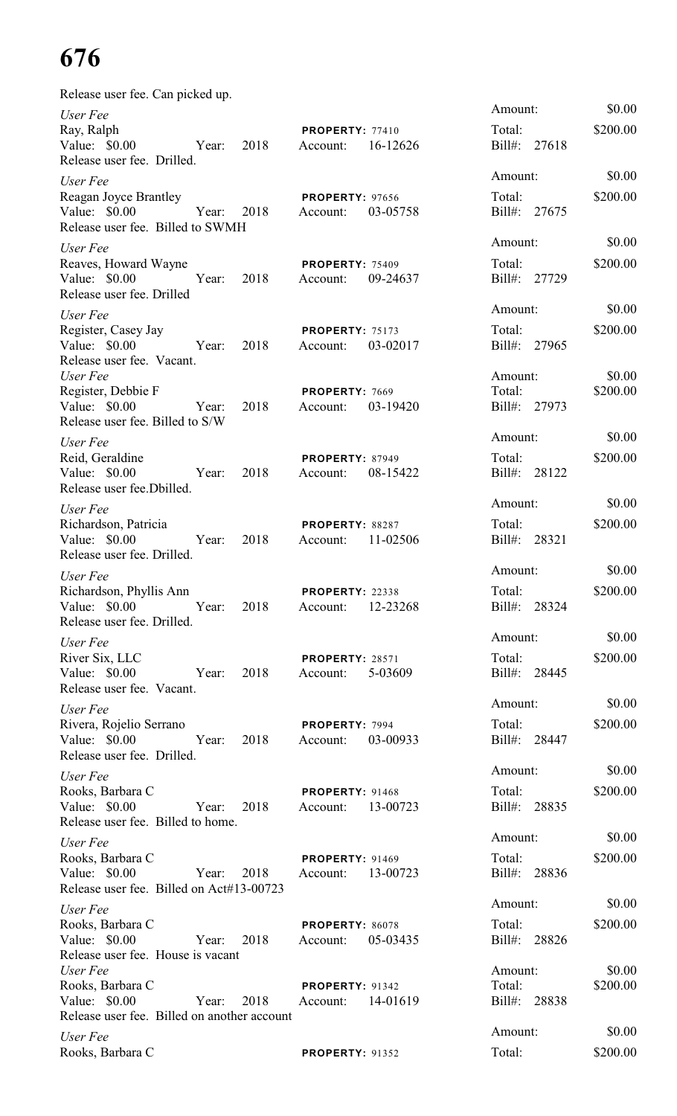| Release user fee. Can picked up.                                                                               |                                                |                                         |                    |
|----------------------------------------------------------------------------------------------------------------|------------------------------------------------|-----------------------------------------|--------------------|
| User Fee<br>Ray, Ralph<br>Value: $$0.00$<br>2018<br>Year:<br>Release user fee. Drilled.                        | PROPERTY: 77410<br>16-12626<br>Account:        | Amount:<br>Total:<br>$Bill#$ :<br>27618 | \$0.00<br>\$200.00 |
| User Fee<br>Reagan Joyce Brantley<br>Value: $$0.00$<br>Year:<br>2018<br>Release user fee. Billed to SWMH       | <b>PROPERTY: 97656</b><br>03-05758<br>Account: | Amount:<br>Total:<br>$Bill#$ :<br>27675 | \$0.00<br>\$200.00 |
| User Fee<br>Reaves, Howard Wayne<br>Value: \$0.00<br>Year:<br>2018<br>Release user fee. Drilled                | <b>PROPERTY: 75409</b><br>09-24637<br>Account: | Amount:<br>Total:<br>$Bill#$ :<br>27729 | \$0.00<br>\$200.00 |
| User Fee<br>Register, Casey Jay<br>Value: \$0.00<br>Year:<br>2018<br>Release user fee. Vacant.                 | <b>PROPERTY: 75173</b><br>03-02017<br>Account: | Amount:<br>Total:<br>$Bill#$ :<br>27965 | \$0.00<br>\$200.00 |
| User Fee<br>Register, Debbie F<br>Value: $$0.00$<br>2018<br>Year:<br>Release user fee. Billed to S/W           | PROPERTY: 7669<br>03-19420<br>Account:         | Amount:<br>Total:<br>Bill#: 27973       | \$0.00<br>\$200.00 |
| User Fee<br>Reid, Geraldine<br>Value: $$0.00$<br>2018<br>Year:<br>Release user fee. Dbilled.                   | <b>PROPERTY: 87949</b><br>08-15422<br>Account: | Amount:<br>Total:<br>Bill#: 28122       | \$0.00<br>\$200.00 |
| User Fee<br>Richardson, Patricia<br>Value: \$0.00<br>2018<br>Year:<br>Release user fee. Drilled.               | PROPERTY: 88287<br>11-02506<br>Account:        | Amount:<br>Total:<br>Bill#: 28321       | \$0.00<br>\$200.00 |
| User Fee<br>Richardson, Phyllis Ann<br>Value: \$0.00 Year: 2018<br>Release user fee. Drilled.                  | PROPERTY: 22338<br>12-23268<br>Account:        | Amount:<br>Total:<br>Bill#: 28324       | \$0.00<br>\$200.00 |
| User Fee<br>River Six, LLC<br>Value: \$0.00<br>2018<br>Year:<br>Release user fee. Vacant.                      | <b>PROPERTY: 28571</b><br>5-03609<br>Account:  | Amount:<br>Total:<br>Bill#: 28445       | \$0.00<br>\$200.00 |
| User Fee<br>Rivera, Rojelio Serrano<br>Value: \$0.00<br>Year:<br>2018<br>Release user fee. Drilled.            | PROPERTY: 7994<br>Account: 03-00933            | Amount:<br>Total:<br>Bill#: 28447       | \$0.00<br>\$200.00 |
| User Fee<br>Rooks, Barbara C<br>Value: \$0.00<br>2018<br>Year:<br>Release user fee. Billed to home.            | <b>PROPERTY: 91468</b><br>Account: 13-00723    | Amount:<br>Total:<br>Bill#: 28835       | \$0.00<br>\$200.00 |
| User Fee<br>Rooks, Barbara C<br>Value: \$0.00<br>Year:<br>2018<br>Release user fee. Billed on Act#13-00723     | <b>PROPERTY: 91469</b><br>Account: 13-00723    | Amount:<br>Total:<br>Bill#: 28836       | \$0.00<br>\$200.00 |
| User Fee<br>Rooks, Barbara C<br>2018<br>Value: $$0.00$<br>Year:<br>Release user fee. House is vacant           | PROPERTY: 86078<br>05-03435<br>Account:        | Amount:<br>Total:<br>Bill#: 28826       | \$0.00<br>\$200.00 |
| User Fee<br>Rooks, Barbara C<br>Value: $$0.00$<br>Year:<br>2018<br>Release user fee. Billed on another account | <b>PROPERTY: 91342</b><br>14-01619<br>Account: | Amount:<br>Total:<br>Bill#:<br>28838    | \$0.00<br>\$200.00 |
| User Fee<br>Rooks, Barbara C                                                                                   | <b>PROPERTY: 91352</b>                         | Amount:<br>Total:                       | \$0.00<br>\$200.00 |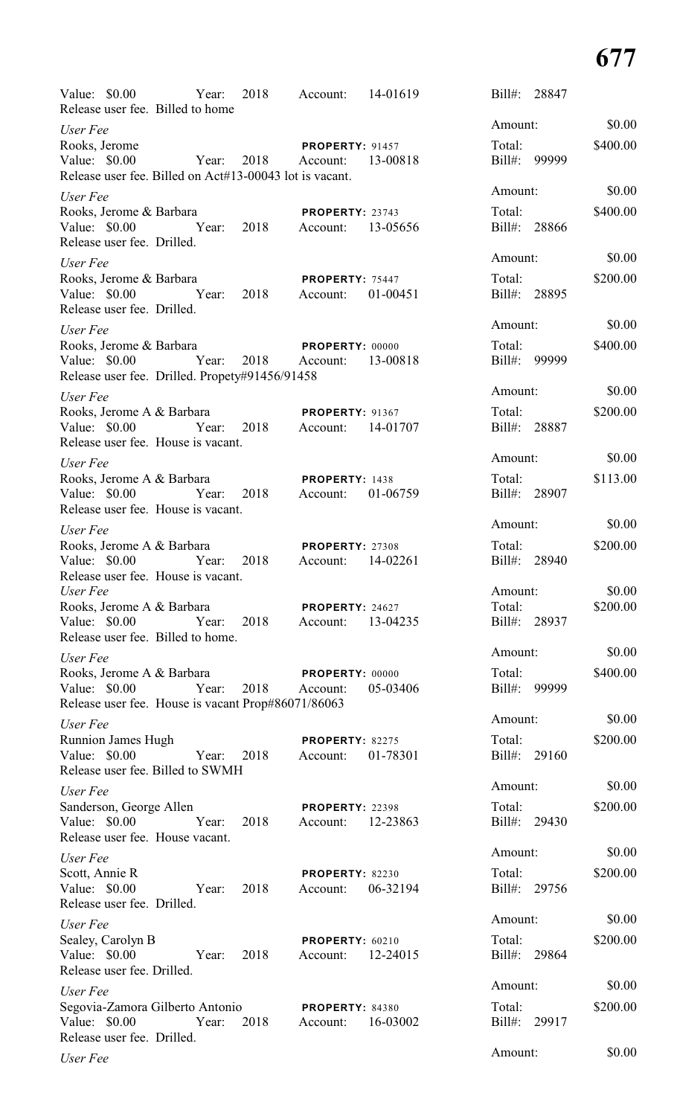| Value: \$0.00 		 Year: 2018 	 Account: 14-01619<br>Release user fee. Billed to home   |                     |      |                                    |          | Bill#: 28847           |        |          |
|---------------------------------------------------------------------------------------|---------------------|------|------------------------------------|----------|------------------------|--------|----------|
| User Fee                                                                              |                     |      |                                    |          | Amount:                |        | \$0.00   |
| Rooks, Jerome                                                                         |                     |      | <b>PROPERTY: 91457</b>             |          | Total:                 |        | \$400.00 |
| Value: $$0.00$                                                                        | Year: 2018 Account: |      |                                    | 13-00818 | Bill#: 99999           |        |          |
| Release user fee. Billed on Act#13-00043 lot is vacant.                               |                     |      |                                    |          |                        |        |          |
| User Fee                                                                              |                     |      |                                    |          | Amount:                |        | \$0.00   |
| Rooks, Jerome & Barbara<br>Value: \$0.00 		 Year: 2018 	 Account: 13-05656            |                     |      | <b>PROPERTY: 23743</b>             |          | Total:<br>Bill#: 28866 |        | \$400.00 |
| Release user fee. Drilled.                                                            |                     |      |                                    |          |                        |        |          |
| User Fee                                                                              |                     |      |                                    |          | Amount:                |        | \$0.00   |
| Rooks, Jerome & Barbara                                                               |                     |      | <b>PROPERTY: 75447</b>             |          | Total:                 |        | \$200.00 |
| Value: \$0.00 Year: 2018 Account:                                                     |                     |      |                                    | 01-00451 | Bill#: 28895           |        |          |
| Release user fee. Drilled.                                                            |                     |      |                                    |          |                        |        |          |
| User Fee                                                                              |                     |      |                                    |          | Amount:                |        | \$0.00   |
| Rooks, Jerome & Barbara<br>Value: \$0.00 Year: 2018 Account: 13-00818                 |                     |      | <b>PROPERTY: 00000</b>             |          | Total:<br>Bill#: 99999 |        | \$400.00 |
| Release user fee. Drilled. Propety#91456/91458                                        |                     |      |                                    |          |                        |        |          |
| User Fee                                                                              |                     |      |                                    |          | Amount:                |        | \$0.00   |
| Rooks, Jerome A & Barbara                                                             |                     |      | <b>PROPERTY: 91367</b>             |          | Total:                 |        | \$200.00 |
| Value: \$0.00 Year: 2018 Account: 14-01707                                            |                     |      |                                    |          | Bill#: 28887           |        |          |
| Release user fee. House is vacant.                                                    |                     |      |                                    |          |                        |        |          |
| User Fee                                                                              |                     |      |                                    |          | Amount:                |        | \$0.00   |
| Rooks, Jerome A & Barbara                                                             |                     |      | <b>PROPERTY: 1438</b>              |          | Total:                 |        | \$113.00 |
| Value: \$0.00 		 Year: 2018 	 Account: 01-06759<br>Release user fee. House is vacant. |                     |      |                                    |          | Bill#: 28907           |        |          |
| User Fee                                                                              |                     |      |                                    |          | Amount:                |        | \$0.00   |
| Rooks, Jerome A & Barbara                                                             |                     |      | <b>PROPERTY: 27308</b>             |          |                        | Total: | \$200.00 |
| Value: \$0.00 Year: 2018 Account:                                                     |                     |      |                                    | 14-02261 | Bill#: 28940           |        |          |
| Release user fee. House is vacant.                                                    |                     |      |                                    |          |                        |        |          |
| User Fee                                                                              |                     |      |                                    |          | Amount:                |        | \$0.00   |
| Rooks, Jerome A & Barbara<br>Value: \$0.00                                            | Year:               | 2018 | PROPERTY: 24627<br>Account:        | 13-04235 | Total:<br>Bill#: 28937 |        | \$200.00 |
| Release user fee. Billed to home.                                                     |                     |      |                                    |          |                        |        |          |
| User Fee                                                                              |                     |      |                                    |          | Amount:                |        | \$0.00   |
| Rooks, Jerome A & Barbara                                                             |                     |      | PROPERTY: 00000                    |          | Total:                 |        | \$400.00 |
| Value: $$0.00$                                                                        | Year:               | 2018 | Account:                           | 05-03406 | Bill#:                 | 99999  |          |
| Release user fee. House is vacant Prop#86071/86063                                    |                     |      |                                    |          | Amount:                |        | \$0.00   |
| User Fee                                                                              |                     |      |                                    |          |                        |        |          |
| <b>Runnion James Hugh</b><br>Value: $$0.00$                                           | Year:               | 2018 | PROPERTY: 82275<br>Account:        | 01-78301 | Total:<br>Bill#: 29160 |        | \$200.00 |
| Release user fee. Billed to SWMH                                                      |                     |      |                                    |          |                        |        |          |
| User Fee                                                                              |                     |      |                                    |          | Amount:                |        | \$0.00   |
| Sanderson, George Allen                                                               |                     |      | <b>PROPERTY: 22398</b>             |          | Total:                 |        | \$200.00 |
| Value: \$0.00                                                                         | Year:               | 2018 | Account:                           | 12-23863 | Bill#: 29430           |        |          |
| Release user fee. House vacant.                                                       |                     |      |                                    |          |                        |        |          |
| User Fee                                                                              |                     |      |                                    |          | Amount:                |        | \$0.00   |
| Scott, Annie R<br>Value: \$0.00                                                       | Year:               | 2018 | PROPERTY: 82230<br>Account:        | 06-32194 | Total:<br>Bill#: 29756 |        | \$200.00 |
| Release user fee. Drilled.                                                            |                     |      |                                    |          |                        |        |          |
| User Fee                                                                              |                     |      |                                    |          | Amount:                |        | \$0.00   |
| Sealey, Carolyn B                                                                     |                     |      | PROPERTY: 60210                    |          | Total:                 |        | \$200.00 |
| Value: \$0.00                                                                         | Year:               | 2018 | Account:                           | 12-24015 | $Bill#$ :              | 29864  |          |
| Release user fee. Drilled.                                                            |                     |      |                                    |          |                        |        |          |
| User Fee                                                                              |                     |      |                                    |          | Amount:                |        | \$0.00   |
| Segovia-Zamora Gilberto Antonio<br>Value: \$0.00                                      | Year:               | 2018 | <b>PROPERTY: 84380</b><br>Account: | 16-03002 | Total:<br>Bill#: 29917 |        | \$200.00 |
| Release user fee. Drilled.                                                            |                     |      |                                    |          |                        |        |          |
| User Fee                                                                              |                     |      |                                    |          | Amount:                |        | \$0.00   |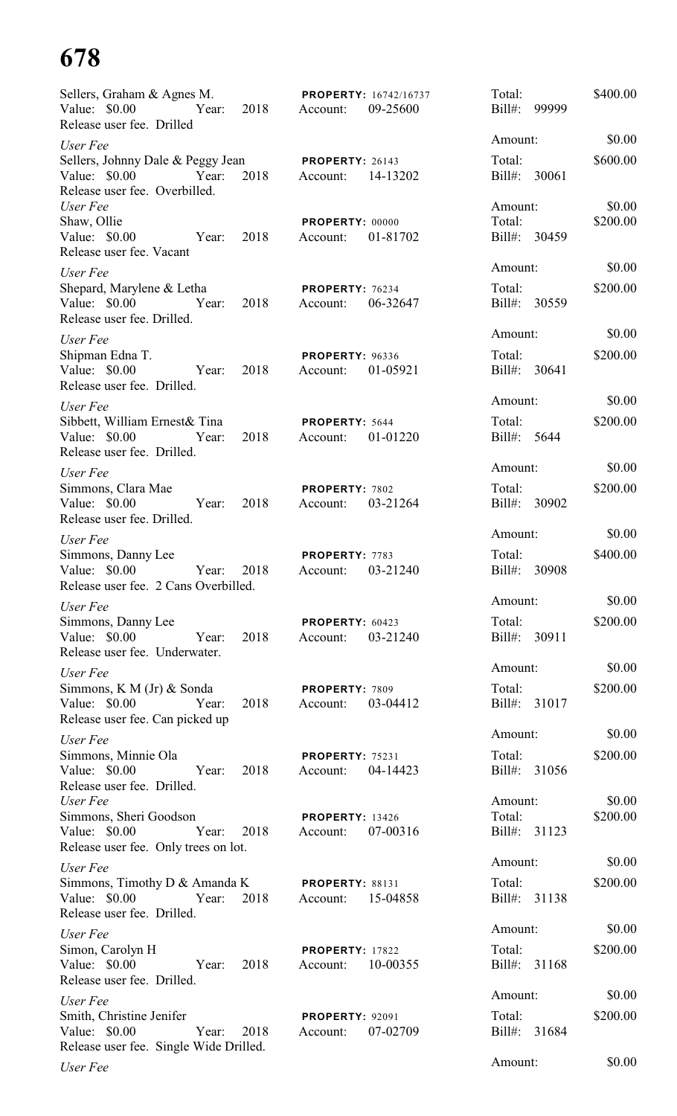| Sellers, Graham & Agnes M.<br>Value: \$0.00<br>Year: 2018<br>Release user fee. Drilled               | <b>PROPERTY: 16742/16737</b><br>09-25600<br>Account: | Total:<br>$Bill#$ :<br>99999 | \$400.00           |
|------------------------------------------------------------------------------------------------------|------------------------------------------------------|------------------------------|--------------------|
| User Fee                                                                                             |                                                      | Amount:                      | \$0.00             |
| Sellers, Johnny Dale & Peggy Jean<br>Value: \$0.00<br>2018<br>Year:<br>Release user fee. Overbilled. | <b>PROPERTY: 26143</b><br>14-13202<br>Account:       | Total:<br>Bill#: 30061       | \$600.00           |
| User Fee<br>Shaw, Ollie                                                                              | PROPERTY: 00000                                      | Amount:<br>Total:            | \$0.00<br>\$200.00 |
| Value: \$0.00<br>2018<br>Year:<br>Release user fee. Vacant                                           | 01-81702<br>Account:                                 | Bill#: 30459                 |                    |
| User Fee                                                                                             |                                                      | Amount:                      | \$0.00             |
| Shepard, Marylene & Letha<br>Value: \$0.00 Year:<br>2018<br>Release user fee. Drilled.               | <b>PROPERTY: 76234</b><br>06-32647<br>Account:       | Total:<br>Bill#: 30559       | \$200.00           |
| User Fee                                                                                             |                                                      | Amount:                      | \$0.00             |
| Shipman Edna T.<br>Value: \$0.00<br>2018<br>Year:<br>Release user fee. Drilled.                      | PROPERTY: 96336<br>01-05921<br>Account:              | Total:<br>Bill#: 30641       | \$200.00           |
| User Fee                                                                                             |                                                      | Amount:                      | \$0.00             |
| Sibbett, William Ernest& Tina<br>2018<br>Value: \$0.00<br>Year:<br>Release user fee. Drilled.        | PROPERTY: 5644<br>01-01220<br>Account:               | Total:<br>Bill#: 5644        | \$200.00           |
| User Fee                                                                                             |                                                      | Amount:                      | \$0.00             |
| Simmons, Clara Mae<br>Value: \$0.00<br>Year:<br>2018<br>Release user fee. Drilled.                   | PROPERTY: 7802<br>03-21264<br>Account:               | Total:<br>Bill#: 30902       | \$200.00           |
| User Fee                                                                                             |                                                      | Amount:                      | \$0.00             |
| Simmons, Danny Lee<br>Value: \$0.00<br>Year:<br>2018<br>Release user fee. 2 Cans Overbilled.         | PROPERTY: 7783<br>03-21240<br>Account:               | Total:<br>Bill#:<br>30908    | \$400.00           |
| User Fee                                                                                             |                                                      | Amount:                      | \$0.00             |
| Simmons, Danny Lee<br>Value: \$0.00<br>2018<br>Year:<br>Release user fee. Underwater.                | PROPERTY: 60423<br>03-21240<br>Account:              | Total:<br>Bill#: 30911       | \$200.00           |
| User Fee                                                                                             |                                                      | Amount:                      | \$0.00             |
| Simmons, K M (Jr) & Sonda<br>Value: \$0.00<br>Year:<br>2018<br>Release user fee. Can picked up       | PROPERTY: 7809<br>03-04412<br>Account:               | Total:<br>Bill#: 31017       | \$200.00           |
| User Fee                                                                                             |                                                      | Amount:                      | \$0.00             |
| Simmons, Minnie Ola<br>Value: \$0.00<br>Year:<br>2018<br>Release user fee. Drilled.                  | <b>PROPERTY: 75231</b><br>04-14423<br>Account:       | Total:<br>Bill#:<br>31056    | \$200.00           |
| User Fee                                                                                             |                                                      | Amount:                      | \$0.00             |
| Simmons, Sheri Goodson<br>Value: \$0.00<br>Year:<br>2018<br>Release user fee. Only trees on lot.     | <b>PROPERTY: 13426</b><br>07-00316<br>Account:       | Total:<br>Bill#: 31123       | \$200.00           |
| User Fee                                                                                             |                                                      | Amount:                      | \$0.00             |
| Simmons, Timothy D & Amanda K<br>Year:<br>Value: \$0.00<br>2018<br>Release user fee. Drilled.        | <b>PROPERTY: 88131</b><br>Account:<br>15-04858       | Total:<br>Bill#: 31138       | \$200.00           |
| User Fee                                                                                             |                                                      | Amount:                      | \$0.00             |
| Simon, Carolyn H<br>Value: \$0.00<br>Year:<br>2018<br>Release user fee. Drilled.                     | <b>PROPERTY: 17822</b><br>10-00355<br>Account:       | Total:<br>Bill#: 31168       | \$200.00           |
| User Fee                                                                                             |                                                      | Amount:                      | \$0.00             |
| Smith, Christine Jenifer<br>Value: \$0.00<br>Year:<br>2018<br>Release user fee. Single Wide Drilled. | <b>PROPERTY: 92091</b><br>07-02709<br>Account:       | Total:<br>Bill#: 31684       | \$200.00           |
| User Fee                                                                                             |                                                      | Amount:                      | \$0.00             |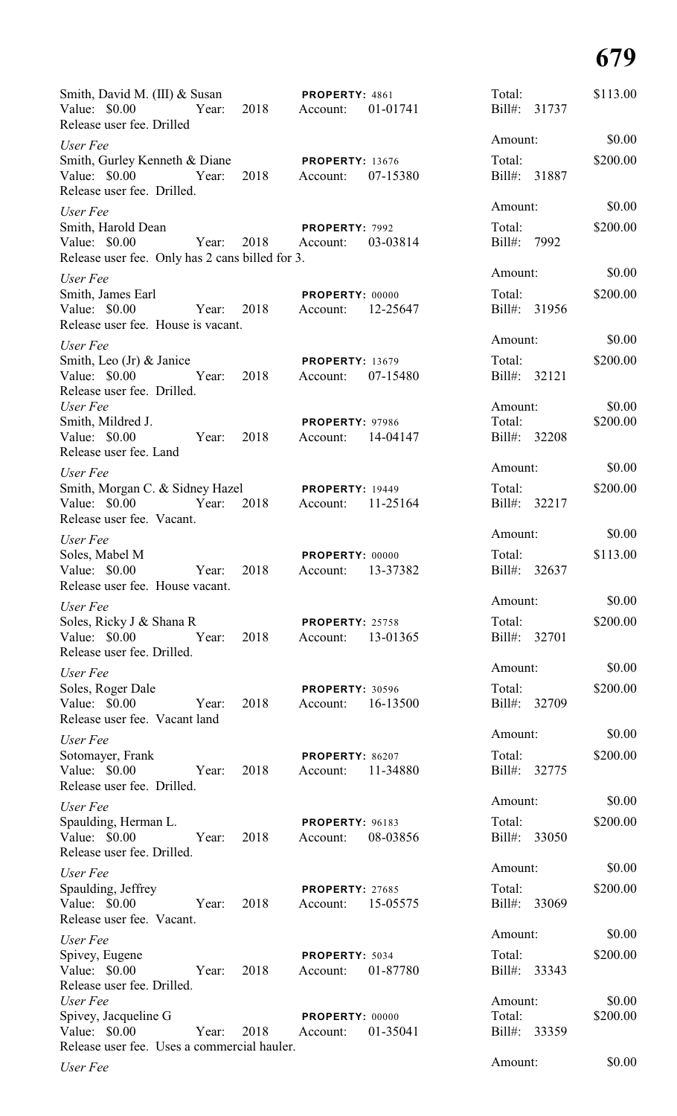| Smith, David M. (III) & Susan<br>Value: $$0.00$<br>Release user fee. Drilled          | Year: | 2018 | PROPERTY: 4861<br>Account:         | 01-01741 | Total:<br>Bill#:            | 31737        | \$113.00           |
|---------------------------------------------------------------------------------------|-------|------|------------------------------------|----------|-----------------------------|--------------|--------------------|
| User Fee                                                                              |       |      |                                    |          | Amount:                     |              | \$0.00             |
| Smith, Gurley Kenneth & Diane<br>Value: $$0.00$                                       | Year: | 2018 | <b>PROPERTY: 13676</b><br>Account: | 07-15380 | Total:                      | Bill#: 31887 | \$200.00           |
| Release user fee. Drilled.                                                            |       |      |                                    |          | Amount:                     |              | \$0.00             |
| User Fee<br>Smith, Harold Dean<br>Value: $$0.00$                                      | Year: | 2018 | PROPERTY: 7992<br>Account:         | 03-03814 | Total:<br>Bill#: 7992       |              | \$200.00           |
| Release user fee. Only has 2 cans billed for 3.                                       |       |      |                                    |          |                             |              |                    |
| User Fee                                                                              |       |      |                                    |          | Amount:                     |              | \$0.00             |
| Smith, James Earl<br>Value: $$0.00$<br>Release user fee. House is vacant.             | Year: | 2018 | <b>PROPERTY: 00000</b><br>Account: | 12-25647 | Total:                      | Bill#: 31956 | \$200.00           |
| User Fee                                                                              |       |      |                                    |          | Amount:                     |              | \$0.00             |
| Smith, Leo $(Jr)$ & Janice<br>Value: \$0.00<br>Release user fee. Drilled.             | Year: | 2018 | <b>PROPERTY: 13679</b><br>Account: | 07-15480 | Total:<br>Bill#: 32121      |              | \$200.00           |
| User Fee<br>Smith, Mildred J.<br>Value: \$0.00                                        | Year: | 2018 | <b>PROPERTY: 97986</b><br>Account: | 14-04147 | Amount:<br>Total:<br>Bill#: | 32208        | \$0.00<br>\$200.00 |
| Release user fee. Land                                                                |       |      |                                    |          |                             |              |                    |
| User Fee                                                                              |       |      |                                    |          | Amount:                     |              | \$0.00             |
| Smith, Morgan C. & Sidney Hazel                                                       |       |      | <b>PROPERTY: 19449</b>             |          | Total:                      |              | \$200.00           |
| Value: \$0.00<br>Release user fee. Vacant.                                            | Year: | 2018 | Account:                           | 11-25164 | Bill#:                      | 32217        |                    |
|                                                                                       |       |      |                                    |          | Amount:                     |              | \$0.00             |
| User Fee<br>Soles, Mabel M<br>Value: \$0.00<br>Release user fee. House vacant.        | Year: | 2018 | PROPERTY: 00000<br>Account:        | 13-37382 | Total:<br>$Bill#$ :         | 32637        | \$113.00           |
| User Fee                                                                              |       |      |                                    |          | Amount:                     |              | \$0.00             |
| Soles, Ricky J & Shana R<br>Value: \$0.00<br>Release user fee. Drilled.               | Year: | 2018 | <b>PROPERTY: 25758</b><br>Account: | 13-01365 | Total:<br>Bill#: 32701      |              | \$200.00           |
| User Fee                                                                              |       |      |                                    |          | Amount:                     |              | \$0.00             |
| Soles, Roger Dale<br>Value: \$0.00<br>Release user fee. Vacant land                   | Year: | 2018 | <b>PROPERTY: 30596</b><br>Account: | 16-13500 | Total:                      | Bill#: 32709 | \$200.00           |
| User Fee                                                                              |       |      |                                    |          | Amount:                     |              | \$0.00             |
| Sotomayer, Frank<br>Value: \$0.00<br>Release user fee. Drilled.                       | Year: | 2018 | PROPERTY: 86207<br>Account:        | 11-34880 | Total:                      | Bill#: 32775 | \$200.00           |
| User Fee                                                                              |       |      |                                    |          | Amount:                     |              | \$0.00             |
| Spaulding, Herman L.<br>Value: \$0.00                                                 | Year: | 2018 | PROPERTY: 96183<br>Account:        | 08-03856 | Total:                      | Bill#: 33050 | \$200.00           |
| Release user fee. Drilled.                                                            |       |      |                                    |          | Amount:                     |              | \$0.00             |
| User Fee<br>Spaulding, Jeffrey                                                        |       |      | PROPERTY: 27685                    |          | Total:                      |              | \$200.00           |
| Value: \$0.00                                                                         | Year: | 2018 | Account:                           | 15-05575 |                             | Bill#: 33069 |                    |
| Release user fee. Vacant.                                                             |       |      |                                    |          |                             |              |                    |
| User Fee                                                                              |       |      |                                    |          | Amount:                     |              | \$0.00             |
| Spivey, Eugene<br>Value: \$0.00<br>Release user fee. Drilled.                         | Year: | 2018 | PROPERTY: 5034<br>Account:         | 01-87780 | Total:<br>Bill#: 33343      |              | \$200.00           |
| User Fee                                                                              |       |      |                                    |          | Amount:                     |              | \$0.00             |
| Spivey, Jacqueline G<br>Value: $$0.00$<br>Release user fee. Uses a commercial hauler. | Year: | 2018 | PROPERTY: 00000<br>Account:        | 01-35041 | Total:                      | Bill#: 33359 | \$200.00           |
| User Fee                                                                              |       |      |                                    |          | Amount:                     |              | \$0.00             |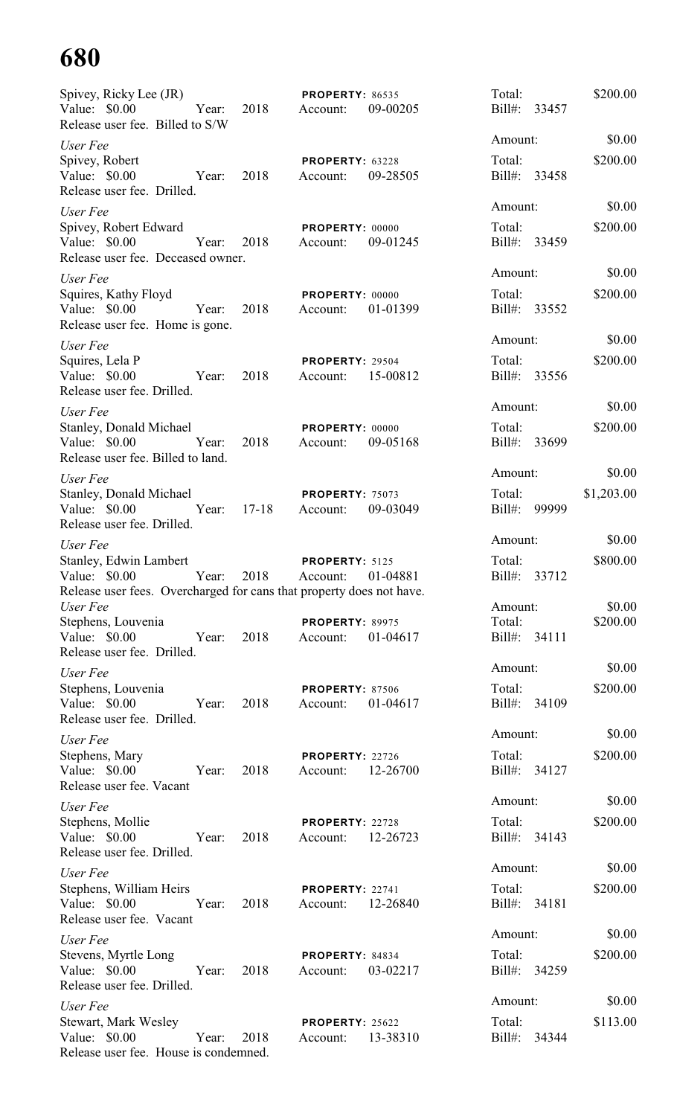| Spivey, Ricky Lee (JR)<br>Value: \$0.00<br>Release user fee. Billed to S/W                                      | Year: | 2018      | <b>PROPERTY: 86535</b><br>Account: | 09-00205 | Total:<br>Bill#: 33457 |       | \$200.00   |
|-----------------------------------------------------------------------------------------------------------------|-------|-----------|------------------------------------|----------|------------------------|-------|------------|
|                                                                                                                 |       |           |                                    |          | Amount:                |       | \$0.00     |
| User Fee<br>Spivey, Robert<br>Value: \$0.00<br>Release user fee. Drilled.                                       | Year: | 2018      | PROPERTY: 63228<br>Account:        | 09-28505 | Total:<br>Bill#: 33458 |       | \$200.00   |
| User Fee                                                                                                        |       |           |                                    |          | Amount:                |       | \$0.00     |
| Spivey, Robert Edward<br>Value: $$0.00$                                                                         | Year: | 2018      | PROPERTY: 00000<br>Account:        | 09-01245 | Total:<br>Bill#: 33459 |       | \$200.00   |
| Release user fee. Deceased owner.                                                                               |       |           |                                    |          | Amount:                |       | \$0.00     |
| User Fee<br>Squires, Kathy Floyd<br>Value: $$0.00$                                                              | Year: | 2018      | PROPERTY: 00000<br>Account:        | 01-01399 | Total:<br>Bill#: 33552 |       | \$200.00   |
| Release user fee. Home is gone.                                                                                 |       |           |                                    |          | Amount:                |       | \$0.00     |
| User Fee                                                                                                        |       |           |                                    |          |                        |       |            |
| Squires, Lela P<br>Value: \$0.00<br>Release user fee. Drilled.                                                  | Year: | 2018      | PROPERTY: 29504<br>Account:        | 15-00812 | Total:<br>Bill#: 33556 |       | \$200.00   |
| User Fee                                                                                                        |       |           |                                    |          | Amount:                |       | \$0.00     |
| Stanley, Donald Michael<br>Value: \$0.00<br>Release user fee. Billed to land.                                   | Year: | 2018      | PROPERTY: 00000<br>Account:        | 09-05168 | Total:<br>Bill#:       | 33699 | \$200.00   |
| User Fee                                                                                                        |       |           |                                    |          | Amount:                |       | \$0.00     |
| Stanley, Donald Michael<br>Value: \$0.00<br>Release user fee. Drilled.                                          | Year: | $17 - 18$ | PROPERTY: 75073<br>Account:        | 09-03049 | Total:<br>Bill#:       | 99999 | \$1,203.00 |
| User Fee                                                                                                        |       |           |                                    |          | Amount:                |       | \$0.00     |
| Stanley, Edwin Lambert<br>Value: \$0.00<br>Release user fees. Overcharged for cans that property does not have. | Year: | 2018      | PROPERTY: 5125<br>Account:         | 01-04881 | Total:<br>Bill#:       | 33712 | \$800.00   |
| User Fee                                                                                                        |       |           |                                    |          | Amount:                |       | \$0.00     |
| Stephens, Louvenia<br>Value: \$0.00<br>Release user fee. Drilled.                                               | Year: | 2018      | <b>PROPERTY: 89975</b><br>Account: | 01-04617 | Total:<br>Bill#: 34111 |       | \$200.00   |
| User Fee                                                                                                        |       |           |                                    |          | Amount:                |       | \$0.00     |
| Stephens, Louvenia<br>Value: \$0.00<br>Release user fee. Drilled.                                               | Year: | 2018      | <b>PROPERTY: 87506</b><br>Account: | 01-04617 | Total:<br>Bill#:       | 34109 | \$200.00   |
| User Fee                                                                                                        |       |           |                                    |          | Amount:                |       | \$0.00     |
| Stephens, Mary<br>Value: \$0.00<br>Release user fee. Vacant                                                     | Year: | 2018      | <b>PROPERTY: 22726</b><br>Account: | 12-26700 | Total:<br>Bill#:       | 34127 | \$200.00   |
| User Fee                                                                                                        |       |           |                                    |          | Amount:                |       | \$0.00     |
| Stephens, Mollie<br>Value: \$0.00<br>Release user fee. Drilled.                                                 | Year: | 2018      | PROPERTY: 22728<br>Account:        | 12-26723 | Total:<br>Bill#: 34143 |       | \$200.00   |
| User Fee                                                                                                        |       |           |                                    |          | Amount:                |       | \$0.00     |
| Stephens, William Heirs<br>Value: \$0.00<br>Release user fee. Vacant                                            | Year: | 2018      | <b>PROPERTY: 22741</b><br>Account: | 12-26840 | Total:<br>Bill#: 34181 |       | \$200.00   |
| User Fee                                                                                                        |       |           |                                    |          | Amount:                |       | \$0.00     |
| Stevens, Myrtle Long<br>Value: \$0.00<br>Release user fee. Drilled.                                             | Year: | 2018      | PROPERTY: 84834<br>Account:        | 03-02217 | Total:<br>Bill#: 34259 |       | \$200.00   |
| User Fee                                                                                                        |       |           |                                    |          | Amount:                |       | \$0.00     |
| <b>Stewart, Mark Wesley</b><br>Value: $$0.00$<br>Release user fee. House is condemned.                          | Year: | 2018      | <b>PROPERTY: 25622</b><br>Account: | 13-38310 | Total:<br>$Bill#$ :    | 34344 | \$113.00   |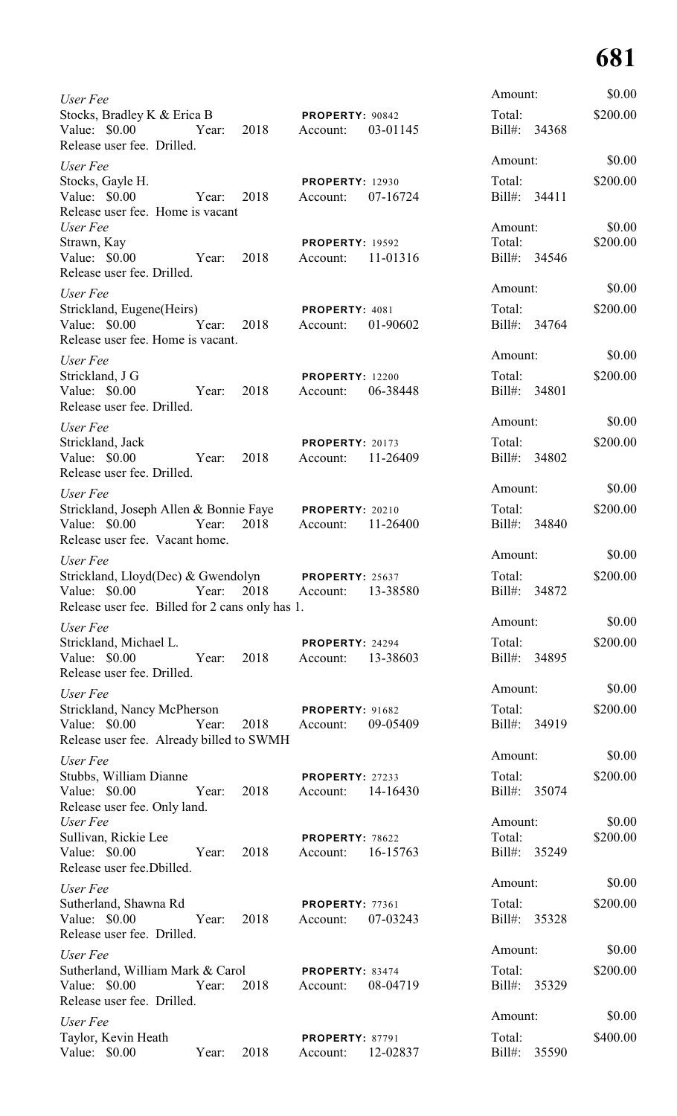| User Fee                                                                                               |       |      |                                    |          | Amount:                 |       | \$0.00   |
|--------------------------------------------------------------------------------------------------------|-------|------|------------------------------------|----------|-------------------------|-------|----------|
| Stocks, Bradley K & Erica B<br>Value: \$0.00<br>Release user fee. Drilled.                             | Year: | 2018 | PROPERTY: 90842<br>Account:        | 03-01145 | Total:<br>Bill#: 34368  |       | \$200.00 |
| User Fee                                                                                               |       |      |                                    |          | Amount:                 |       | \$0.00   |
| Stocks, Gayle H.<br>Value: \$0.00<br>Release user fee. Home is vacant                                  | Year: | 2018 | <b>PROPERTY: 12930</b><br>Account: | 07-16724 | Total:<br>Bill#: 34411  |       | \$200.00 |
| User Fee                                                                                               |       |      |                                    |          | Amount:                 |       | \$0.00   |
| Strawn, Kay<br>Value: \$0.00<br>Release user fee. Drilled.                                             | Year: | 2018 | <b>PROPERTY: 19592</b><br>Account: | 11-01316 | Total:<br>Bill#: 34546  |       | \$200.00 |
| User Fee                                                                                               |       |      |                                    |          | Amount:                 |       | \$0.00   |
| Strickland, Eugene(Heirs)<br>Value: \$0.00<br>Release user fee. Home is vacant.                        | Year: | 2018 | PROPERTY: 4081<br>Account:         | 01-90602 | Total:<br>Bill#: 34764  |       | \$200.00 |
| User Fee                                                                                               |       |      |                                    |          | Amount:                 |       | \$0.00   |
| Strickland, J G<br>Value: \$0.00<br>Release user fee. Drilled.                                         | Year: | 2018 | <b>PROPERTY: 12200</b><br>Account: | 06-38448 | Total:<br>Bill#: 34801  |       | \$200.00 |
| User Fee                                                                                               |       |      |                                    |          | Amount:                 |       | \$0.00   |
| Strickland, Jack<br>Value: \$0.00<br>Release user fee. Drilled.                                        | Year: | 2018 | PROPERTY: 20173<br>Account:        | 11-26409 | Total:<br>Bill#: 34802  |       | \$200.00 |
| User Fee                                                                                               |       |      |                                    |          | Amount:                 |       | \$0.00   |
| Strickland, Joseph Allen & Bonnie Faye<br>Value: $$0.00$                                               | Year: | 2018 | <b>PROPERTY: 20210</b><br>Account: | 11-26400 | Total:<br>Bill#: 34840  |       | \$200.00 |
| Release user fee. Vacant home.                                                                         |       |      |                                    |          |                         |       |          |
| User Fee                                                                                               |       |      |                                    |          | Amount:                 |       | \$0.00   |
| Strickland, Lloyd(Dec) & Gwendolyn<br>Value: \$0.00<br>Release user fee. Billed for 2 cans only has 1. | Year: | 2018 | <b>PROPERTY: 25637</b><br>Account: | 13-38580 | Total:<br>Bill#: 34872  |       | \$200.00 |
| User Fee                                                                                               |       |      |                                    |          | Amount:                 |       | \$0.00   |
| Strickland, Michael L.<br>Value: \$0.00<br>Release user fee. Drilled.                                  | Year: | 2018 | <b>PROPERTY: 24294</b><br>Account: | 13-38603 | Total:<br>Bill#: 34895  |       | \$200.00 |
| User Fee                                                                                               |       |      |                                    |          | Amount:                 |       | \$0.00   |
| Strickland, Nancy McPherson<br>Value: \$0.00<br>Year:<br>Release user fee. Already billed to SWMH      |       | 2018 | PROPERTY: 91682<br>Account:        | 09-05409 | Total:<br>Bill#: 34919  |       | \$200.00 |
| User Fee                                                                                               |       |      |                                    |          | Amount:                 |       | \$0.00   |
| Stubbs, William Dianne                                                                                 |       |      | PROPERTY: 27233                    |          | Total:                  |       | \$200.00 |
| Value: \$0.00<br>Release user fee. Only land.<br>User Fee                                              | Year: | 2018 | Account:                           | 14-16430 | Bill#: 35074<br>Amount: |       | \$0.00   |
| Sullivan, Rickie Lee                                                                                   |       |      | PROPERTY: 78622                    |          | Total:                  |       | \$200.00 |
| Value: \$0.00<br>Release user fee.Dbilled.                                                             | Year: | 2018 | Account:                           | 16-15763 | Bill#: 35249            |       |          |
| User Fee                                                                                               |       |      |                                    |          | Amount:                 |       | \$0.00   |
| Sutherland, Shawna Rd<br>Value: \$0.00<br>Release user fee. Drilled.                                   | Year: | 2018 | <b>PROPERTY: 77361</b><br>Account: | 07-03243 | Total:<br>Bill#:        | 35328 | \$200.00 |
| User Fee                                                                                               |       |      |                                    |          | Amount:                 |       | \$0.00   |
| Sutherland, William Mark & Carol<br>Value: \$0.00<br>Release user fee. Drilled.                        | Year: | 2018 | PROPERTY: 83474<br>Account:        | 08-04719 | Total:<br>Bill#:        | 35329 | \$200.00 |
| User Fee                                                                                               |       |      |                                    |          | Amount:                 |       | \$0.00   |
| Taylor, Kevin Heath<br>Value: \$0.00                                                                   | Year: | 2018 | <b>PROPERTY: 87791</b><br>Account: | 12-02837 | Total:<br>$Bill#$ :     | 35590 | \$400.00 |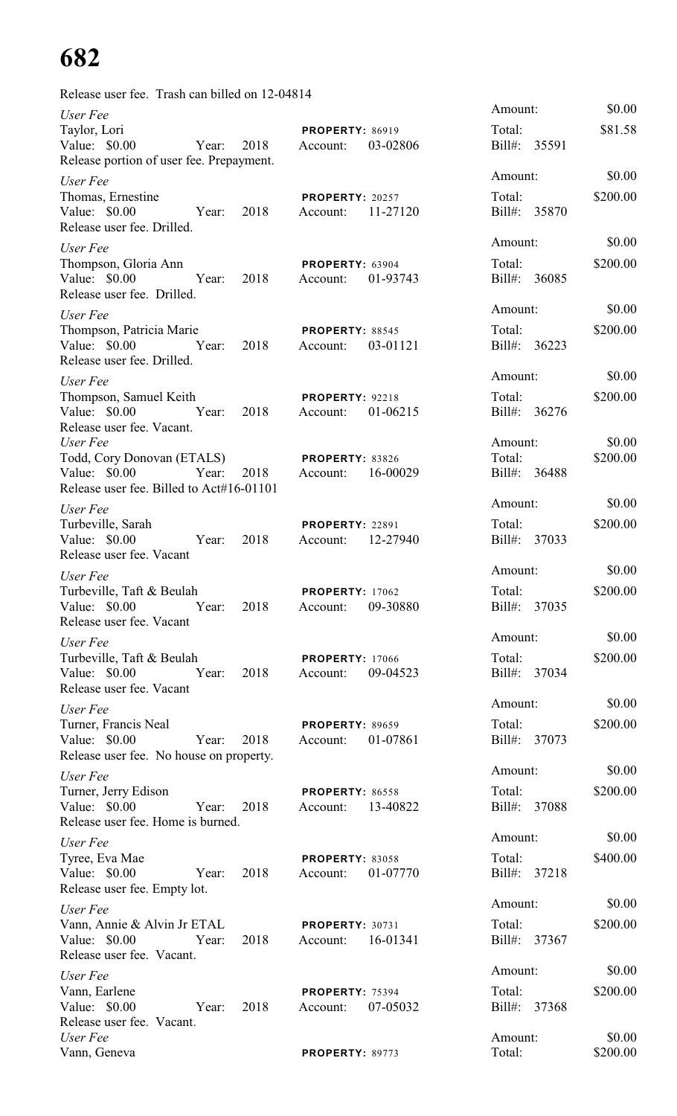| Release user fee. Trash can billed on 12-04814                                                                       |                                                |                                   |                    |
|----------------------------------------------------------------------------------------------------------------------|------------------------------------------------|-----------------------------------|--------------------|
| User Fee<br>Taylor, Lori<br>Value: $$0.00$<br>2018<br>Year:<br>Release portion of user fee. Prepayment.              | <b>PROPERTY: 86919</b><br>03-02806<br>Account: | Amount:<br>Total:<br>Bill#: 35591 | \$0.00<br>\$81.58  |
| User Fee<br>Thomas, Ernestine<br>Value: $$0.00$<br>2018<br>Year:<br>Release user fee. Drilled.                       | <b>PROPERTY: 20257</b><br>11-27120<br>Account: | Amount:<br>Total:<br>Bill#: 35870 | \$0.00<br>\$200.00 |
| User Fee<br>Thompson, Gloria Ann<br>Value: \$0.00<br>Year:<br>2018<br>Release user fee. Drilled.                     | <b>PROPERTY: 63904</b><br>01-93743<br>Account: | Amount:<br>Total:<br>Bill#: 36085 | \$0.00<br>\$200.00 |
| User Fee<br>Thompson, Patricia Marie<br>Value: \$0.00<br>Year:<br>2018<br>Release user fee. Drilled.                 | PROPERTY: 88545<br>03-01121<br>Account:        | Amount:<br>Total:<br>Bill#: 36223 | \$0.00<br>\$200.00 |
| User Fee<br>Thompson, Samuel Keith<br>Value: \$0.00<br>Year:<br>2018<br>Release user fee. Vacant.                    | PROPERTY: 92218<br>01-06215<br>Account:        | Amount:<br>Total:<br>Bill#: 36276 | \$0.00<br>\$200.00 |
| User Fee<br>Todd, Cory Donovan (ETALS)<br>Value: \$0.00<br>Year:<br>2018<br>Release user fee. Billed to Act#16-01101 | <b>PROPERTY: 83826</b><br>16-00029<br>Account: | Amount:<br>Total:<br>Bill#: 36488 | \$0.00<br>\$200.00 |
| User Fee<br>Turbeville, Sarah<br>Value: \$0.00<br>2018<br>Year:<br>Release user fee. Vacant                          | <b>PROPERTY: 22891</b><br>12-27940<br>Account: | Amount:<br>Total:<br>Bill#: 37033 | \$0.00<br>\$200.00 |
| User Fee<br>Turbeville, Taft & Beulah<br>Value: \$0.00<br>2018<br>Year:<br>Release user fee. Vacant                  | <b>PROPERTY: 17062</b><br>09-30880<br>Account: | Amount:<br>Total:<br>Bill#: 37035 | \$0.00<br>\$200.00 |
| User Fee<br>Turbeville, Taft & Beulah<br>Value: \$0.00<br>Year:<br>2018<br>Release user fee. Vacant                  | <b>PROPERTY: 17066</b><br>09-04523<br>Account: | Amount:<br>Total:<br>Bill#: 37034 | \$0.00<br>\$200.00 |
| User Fee<br>Turner, Francis Neal<br>Value: $$0.00$<br>Year:<br>2018<br>Release user fee. No house on property.       | <b>PROPERTY: 89659</b><br>01-07861<br>Account: | Amount:<br>Total:<br>Bill#: 37073 | \$0.00<br>\$200.00 |
| User Fee<br>Turner, Jerry Edison<br>Value: \$0.00<br>Year:<br>2018<br>Release user fee. Home is burned.              | PROPERTY: 86558<br>13-40822<br>Account:        | Amount:<br>Total:<br>Bill#: 37088 | \$0.00<br>\$200.00 |
| User Fee<br>Tyree, Eva Mae<br>Value: \$0.00<br>2018<br>Year:<br>Release user fee. Empty lot.                         | <b>PROPERTY: 83058</b><br>01-07770<br>Account: | Amount:<br>Total:<br>Bill#: 37218 | \$0.00<br>\$400.00 |
| User Fee<br>Vann, Annie & Alvin Jr ETAL<br>Value: \$0.00<br>2018<br>Year:<br>Release user fee. Vacant.               | PROPERTY: 30731<br>16-01341<br>Account:        | Amount:<br>Total:<br>Bill#: 37367 | \$0.00<br>\$200.00 |
| User Fee<br>Vann, Earlene<br>Value: $$0.00$<br>2018<br>Year:<br>Release user fee. Vacant.                            | PROPERTY: 75394<br>07-05032<br>Account:        | Amount:<br>Total:<br>Bill#: 37368 | \$0.00<br>\$200.00 |
| User Fee<br>Vann, Geneva                                                                                             | PROPERTY: 89773                                | Amount:<br>Total:                 | \$0.00<br>\$200.00 |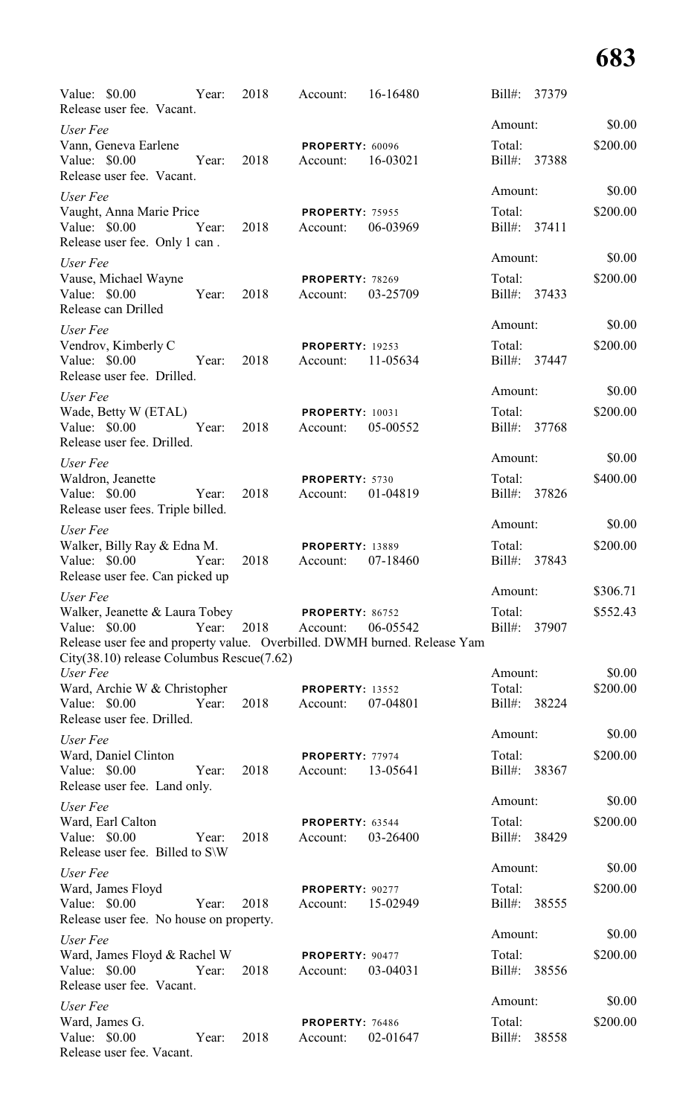| Value: \$0.00<br>Release user fee. Vacant.                                                   | Year: | 2018 | Account:                           | 16-16480                                                                              | Bill#:                 | 37379 |          |
|----------------------------------------------------------------------------------------------|-------|------|------------------------------------|---------------------------------------------------------------------------------------|------------------------|-------|----------|
| User Fee                                                                                     |       |      |                                    |                                                                                       | Amount:                |       | \$0.00   |
| Vann, Geneva Earlene<br>Value: $$0.00$<br>Release user fee. Vacant.                          | Year: | 2018 | <b>PROPERTY: 60096</b><br>Account: | 16-03021                                                                              | Total:<br>Bill#: 37388 |       | \$200.00 |
| User Fee                                                                                     |       |      |                                    |                                                                                       | Amount:                |       | \$0.00   |
| Vaught, Anna Marie Price<br>Value: \$0.00<br>Release user fee. Only 1 can.                   | Year: | 2018 | <b>PROPERTY: 75955</b><br>Account: | 06-03969                                                                              | Total:<br>Bill#: 37411 |       | \$200.00 |
| User Fee                                                                                     |       |      |                                    |                                                                                       | Amount:                |       | \$0.00   |
| Vause, Michael Wayne<br>Value: \$0.00<br>Release can Drilled                                 | Year: | 2018 | <b>PROPERTY: 78269</b><br>Account: | 03-25709                                                                              | Total:<br>Bill#: 37433 |       | \$200.00 |
| User Fee                                                                                     |       |      |                                    |                                                                                       | Amount:                |       | \$0.00   |
| Vendrov, Kimberly C<br>Value: $$0.00$<br>Release user fee. Drilled.                          | Year: | 2018 | <b>PROPERTY: 19253</b><br>Account: | 11-05634                                                                              | Total:<br>Bill#: 37447 |       | \$200.00 |
| User Fee                                                                                     |       |      |                                    |                                                                                       | Amount:                |       | \$0.00   |
| Wade, Betty W (ETAL)<br>Value: \$0.00<br>Release user fee. Drilled.                          | Year: | 2018 | <b>PROPERTY: 10031</b><br>Account: | 05-00552                                                                              | Total:<br>Bill#: 37768 |       | \$200.00 |
| User Fee                                                                                     |       |      |                                    |                                                                                       | Amount:                |       | \$0.00   |
| Waldron, Jeanette<br>Value: \$0.00<br>Release user fees. Triple billed.                      | Year: | 2018 | PROPERTY: 5730<br>Account:         | 01-04819                                                                              | Total:<br>Bill#: 37826 |       | \$400.00 |
| User Fee                                                                                     |       |      |                                    |                                                                                       | Amount:                |       | \$0.00   |
| Walker, Billy Ray & Edna M.<br>Value: $$0.00$<br>Release user fee. Can picked up             | Year: | 2018 | <b>PROPERTY: 13889</b><br>Account: | 07-18460                                                                              | Total:<br>Bill#:       | 37843 | \$200.00 |
| User Fee                                                                                     |       |      |                                    |                                                                                       | Amount:                |       | \$306.71 |
| Walker, Jeanette & Laura Tobey<br>Value: \$0.00<br>City(38.10) release Columbus Rescue(7.62) | Year: | 2018 | <b>PROPERTY: 86752</b><br>Account: | 06-05542<br>Release user fee and property value. Overbilled. DWMH burned. Release Yam | Total:<br>Bill#:       | 37907 | \$552.43 |
| User Fee                                                                                     |       |      |                                    |                                                                                       | Amount:                |       | \$0.00   |
| Ward, Archie W & Christopher<br>Value: \$0.00<br>Release user fee. Drilled.                  | Year: | 2018 | <b>PROPERTY: 13552</b><br>Account: | 07-04801                                                                              | Total:<br>Bill#:       | 38224 | \$200.00 |
| User Fee                                                                                     |       |      |                                    |                                                                                       | Amount:                |       | \$0.00   |
| Ward, Daniel Clinton<br>Value: \$0.00<br>Release user fee. Land only.                        | Year: | 2018 | PROPERTY: 77974<br>Account:        | 13-05641                                                                              | Total:<br>Bill#:       | 38367 | \$200.00 |
| User Fee                                                                                     |       |      |                                    |                                                                                       | Amount:                |       | \$0.00   |
| Ward, Earl Calton<br>Value: \$0.00<br>Release user fee. Billed to S\W                        | Year: | 2018 | PROPERTY: 63544<br>Account:        | 03-26400                                                                              | Total:<br>$Bill#$ :    | 38429 | \$200.00 |
| User Fee                                                                                     |       |      |                                    |                                                                                       | Amount:                |       | \$0.00   |
| Ward, James Floyd<br>Value: \$0.00<br>Release user fee. No house on property.                | Year: | 2018 | PROPERTY: 90277<br>Account:        | 15-02949                                                                              | Total:<br>Bill#:       | 38555 | \$200.00 |
| User Fee                                                                                     |       |      |                                    |                                                                                       | Amount:                |       | \$0.00   |
| Ward, James Floyd & Rachel W<br>Value: \$0.00<br>Release user fee. Vacant.                   | Year: | 2018 | PROPERTY: 90477<br>Account:        | 03-04031                                                                              | Total:<br>Bill#:       | 38556 | \$200.00 |
| User Fee                                                                                     |       |      |                                    |                                                                                       | Amount:                |       | \$0.00   |
| Ward, James G.<br>Value: \$0.00<br>Release user fee. Vacant.                                 | Year: | 2018 | PROPERTY: 76486<br>Account:        | 02-01647                                                                              | Total:<br>Bill#:       | 38558 | \$200.00 |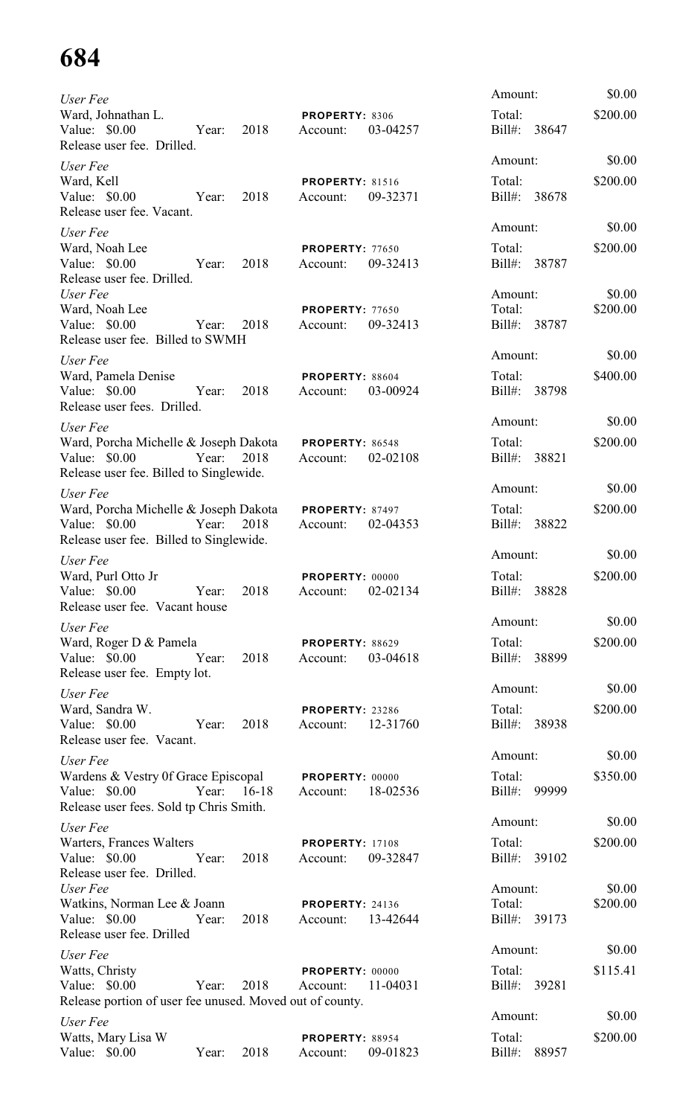| User Fee                                                                                                |             |      |                                    |          | Amount:                           | \$0.00             |
|---------------------------------------------------------------------------------------------------------|-------------|------|------------------------------------|----------|-----------------------------------|--------------------|
| Ward, Johnathan L.<br>Value: \$0.00<br>Release user fee. Drilled.                                       | Year:       | 2018 | PROPERTY: 8306<br>Account:         | 03-04257 | Total:<br>Bill#:<br>38647         | \$200.00           |
| User Fee                                                                                                |             |      |                                    |          | Amount:                           | \$0.00             |
| Ward, Kell<br>Value: \$0.00<br>Release user fee. Vacant.                                                | Year:       | 2018 | <b>PROPERTY: 81516</b><br>Account: | 09-32371 | Total:<br>$Bill#$ :<br>38678      | \$200.00           |
| User Fee                                                                                                |             |      |                                    |          | Amount:                           | \$0.00             |
| Ward, Noah Lee<br>Value: \$0.00<br>Release user fee. Drilled.                                           | Year:       | 2018 | <b>PROPERTY: 77650</b><br>Account: | 09-32413 | Total:<br>$Bill#$ :<br>38787      | \$200.00           |
| User Fee<br>Ward, Noah Lee<br>Value: \$0.00<br>Release user fee. Billed to SWMH                         | Year:       | 2018 | <b>PROPERTY: 77650</b><br>Account: | 09-32413 | Amount:<br>Total:<br>Bill#: 38787 | \$0.00<br>\$200.00 |
|                                                                                                         |             |      |                                    |          | Amount:                           | \$0.00             |
| User Fee<br>Ward, Pamela Denise<br>Value: \$0.00<br>Release user fees. Drilled.                         | Year:       | 2018 | <b>PROPERTY: 88604</b><br>Account: | 03-00924 | Total:<br>Bill#: 38798            | \$400.00           |
| User Fee                                                                                                |             |      |                                    |          | Amount:                           | \$0.00             |
| Ward, Porcha Michelle & Joseph Dakota<br>Value: \$0.00<br>Release user fee. Billed to Singlewide.       | Year:       | 2018 | <b>PROPERTY: 86548</b><br>Account: | 02-02108 | Total:<br>$Bill#$ :<br>38821      | \$200.00           |
| User Fee                                                                                                |             |      |                                    |          | Amount:                           | \$0.00             |
| Ward, Porcha Michelle & Joseph Dakota<br>Value: \$0.00<br>Release user fee. Billed to Singlewide.       | Year:       | 2018 | <b>PROPERTY: 87497</b><br>Account: | 02-04353 | Total:<br>$Bill#$ :<br>38822      | \$200.00           |
| User Fee                                                                                                |             |      |                                    |          | Amount:                           | \$0.00             |
| Ward, Purl Otto Jr<br>Value: \$0.00<br>Release user fee. Vacant house                                   | Year:       | 2018 | PROPERTY: 00000<br>Account:        | 02-02134 | Total:<br>Bill#: 38828            | \$200.00           |
| User Fee                                                                                                |             |      |                                    |          | Amount:                           | \$0.00             |
| Ward, Roger D & Pamela<br>Value: \$0.00<br>Release user fee. Empty lot.                                 | Year:       | 2018 | PROPERTY: 88629<br>Account:        | 03-04618 | Total:<br>Bill#: 38899            | \$200.00           |
| User Fee                                                                                                |             |      |                                    |          | Amount:                           | \$0.00             |
| Ward, Sandra W.<br>Value: \$0.00<br>Release user fee. Vacant.                                           | Year:       | 2018 | PROPERTY: 23286<br>Account:        | 12-31760 | Total:<br>Bill#: 38938            | \$200.00           |
| User Fee                                                                                                |             |      |                                    |          | Amount:                           | \$0.00             |
| Wardens & Vestry Of Grace Episcopal<br>Value: \$0.00<br>Release user fees. Sold tp Chris Smith.         | Year: 16-18 |      | PROPERTY: 00000<br>Account:        | 18-02536 | Total:<br>Bill#: 99999            | \$350.00           |
| User Fee                                                                                                |             |      |                                    |          | Amount:                           | \$0.00             |
| Warters, Frances Walters<br>Value: \$0.00<br>Release user fee. Drilled.                                 | Year:       | 2018 | <b>PROPERTY: 17108</b><br>Account: | 09-32847 | Total:<br>Bill#: 39102            | \$200.00           |
| User Fee<br>Watkins, Norman Lee & Joann<br>Value: $$0.00$                                               | Year:       | 2018 | <b>PROPERTY: 24136</b><br>Account: | 13-42644 | Amount:<br>Total:<br>Bill#: 39173 | \$0.00<br>\$200.00 |
| Release user fee. Drilled                                                                               |             |      |                                    |          |                                   |                    |
| User Fee<br>Watts, Christy<br>Value: \$0.00<br>Release portion of user fee unused. Moved out of county. | Year:       | 2018 | PROPERTY: 00000<br>Account:        | 11-04031 | Amount:<br>Total:<br>Bill#: 39281 | \$0.00<br>\$115.41 |
| User Fee                                                                                                |             |      |                                    |          | Amount:                           | \$0.00             |
| Watts, Mary Lisa W<br>Value: \$0.00                                                                     | Year:       | 2018 | PROPERTY: 88954<br>Account:        | 09-01823 | Total:<br>$Bill#$ :<br>88957      | \$200.00           |
|                                                                                                         |             |      |                                    |          |                                   |                    |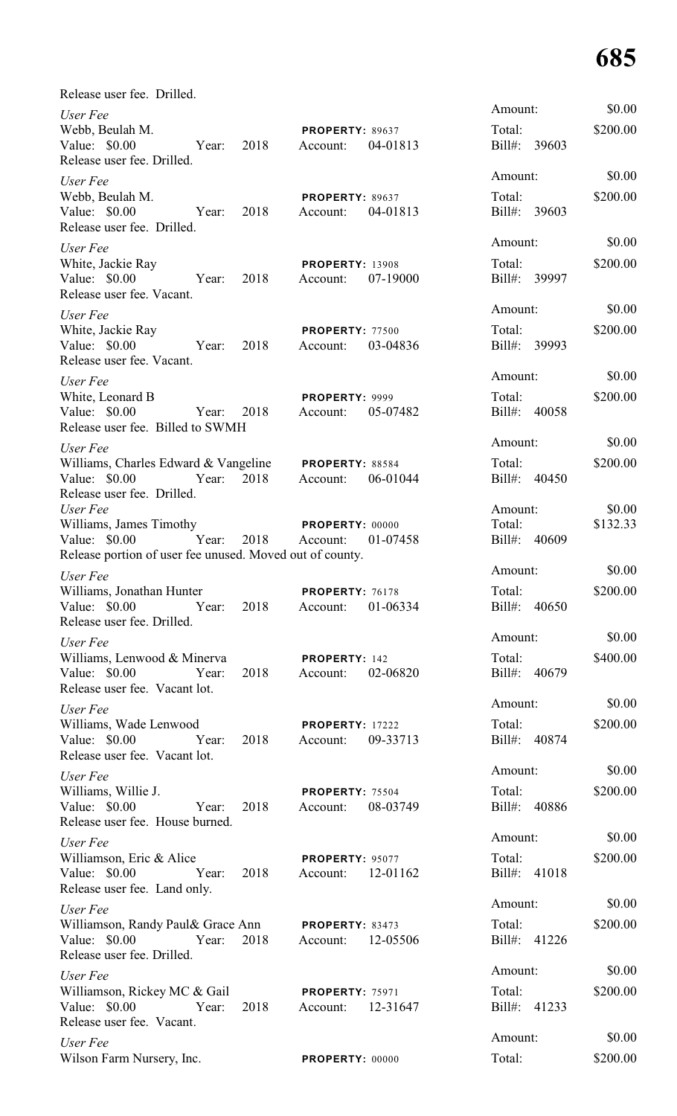| Release user fee. Drilled.                                                                                                     |      |                                             |          |                                   |                    |
|--------------------------------------------------------------------------------------------------------------------------------|------|---------------------------------------------|----------|-----------------------------------|--------------------|
| User Fee<br>Webb, Beulah M.<br>Value: \$0.00<br>Year:<br>Release user fee. Drilled.                                            | 2018 | PROPERTY: 89637<br>Account:                 | 04-01813 | Amount:<br>Total:<br>Bill#: 39603 | \$0.00<br>\$200.00 |
| User Fee<br>Webb, Beulah M.<br>Value: \$0.00<br>Year:<br>Release user fee. Drilled.                                            | 2018 | PROPERTY: 89637<br>Account:                 | 04-01813 | Amount:<br>Total:<br>Bill#: 39603 | \$0.00<br>\$200.00 |
| User Fee<br>White, Jackie Ray<br>Value: \$0.00 Year:<br>Release user fee. Vacant.                                              | 2018 | <b>PROPERTY: 13908</b><br>Account:          | 07-19000 | Amount:<br>Total:<br>Bill#: 39997 | \$0.00<br>\$200.00 |
| User Fee<br>White, Jackie Ray<br>Value: \$0.00 Year:<br>Release user fee. Vacant.                                              | 2018 | PROPERTY: 77500<br>Account:                 | 03-04836 | Amount:<br>Total:<br>Bill#: 39993 | \$0.00<br>\$200.00 |
| User Fee<br>White, Leonard B<br>Value: \$0.00<br>Year:<br>Release user fee. Billed to SWMH                                     | 2018 | PROPERTY: 9999<br>Account:                  | 05-07482 | Amount:<br>Total:<br>Bill#: 40058 | \$0.00<br>\$200.00 |
| User Fee<br>Williams, Charles Edward & Vangeline PROPERTY: 88584<br>Value: $$0.00$<br>Year: 2018<br>Release user fee. Drilled. |      | Account:                                    | 06-01044 | Amount:<br>Total:<br>Bill#: 40450 | \$0.00<br>\$200.00 |
| User Fee<br>Williams, James Timothy<br>Value: \$0.00<br>Year:<br>Release portion of user fee unused. Moved out of county.      | 2018 | PROPERTY: 00000<br>Account:                 | 01-07458 | Amount:<br>Total:<br>Bill#: 40609 | \$0.00<br>\$132.33 |
| User Fee<br>Williams, Jonathan Hunter<br>Value: \$0.00 Year:<br>Release user fee. Drilled.                                     | 2018 | PROPERTY: 76178<br>Account:                 | 01-06334 | Amount:<br>Total:<br>Bill#: 40650 | \$0.00<br>\$200.00 |
| User Fee<br>Williams, Lenwood & Minerva<br>Value: \$0.00<br>Year:<br>Release user fee. Vacant lot.                             | 2018 | PROPERTY: 142<br>Account:                   | 02-06820 | Amount:<br>Total:<br>Bill#: 40679 | \$0.00<br>\$400.00 |
| User Fee<br>Williams, Wade Lenwood<br>Value: $$0.00$<br>Year:<br>Release user fee. Vacant lot.                                 | 2018 | <b>PROPERTY: 17222</b><br>Account:          | 09-33713 | Amount:<br>Total:<br>Bill#: 40874 | \$0.00<br>\$200.00 |
| User Fee<br>Williams, Willie J.<br>Value: \$0.00<br>Year:<br>Release user fee. House burned.                                   | 2018 | PROPERTY: 75504<br>Account:                 | 08-03749 | Amount:<br>Total:<br>Bill#: 40886 | \$0.00<br>\$200.00 |
| User Fee<br>Williamson, Eric & Alice<br>Value: \$0.00<br>Year:<br>Release user fee. Land only.                                 | 2018 | <b>PROPERTY: 95077</b><br>Account: 12-01162 |          | Amount:<br>Total:<br>Bill#: 41018 | \$0.00<br>\$200.00 |
| User Fee<br>Williamson, Randy Paul& Grace Ann<br>Value: \$0.00<br>Year:<br>Release user fee. Drilled.                          | 2018 | <b>PROPERTY: 83473</b><br>Account:          | 12-05506 | Amount:<br>Total:<br>Bill#: 41226 | \$0.00<br>\$200.00 |
| User Fee<br>Williamson, Rickey MC & Gail<br>Value: \$0.00<br>Year:<br>Release user fee. Vacant.                                | 2018 | <b>PROPERTY: 75971</b><br>Account: 12-31647 |          | Amount:<br>Total:<br>Bill#: 41233 | \$0.00<br>\$200.00 |
| User Fee<br>Wilson Farm Nursery, Inc.                                                                                          |      | PROPERTY: 00000                             |          | Amount:<br>Total:                 | \$0.00<br>\$200.00 |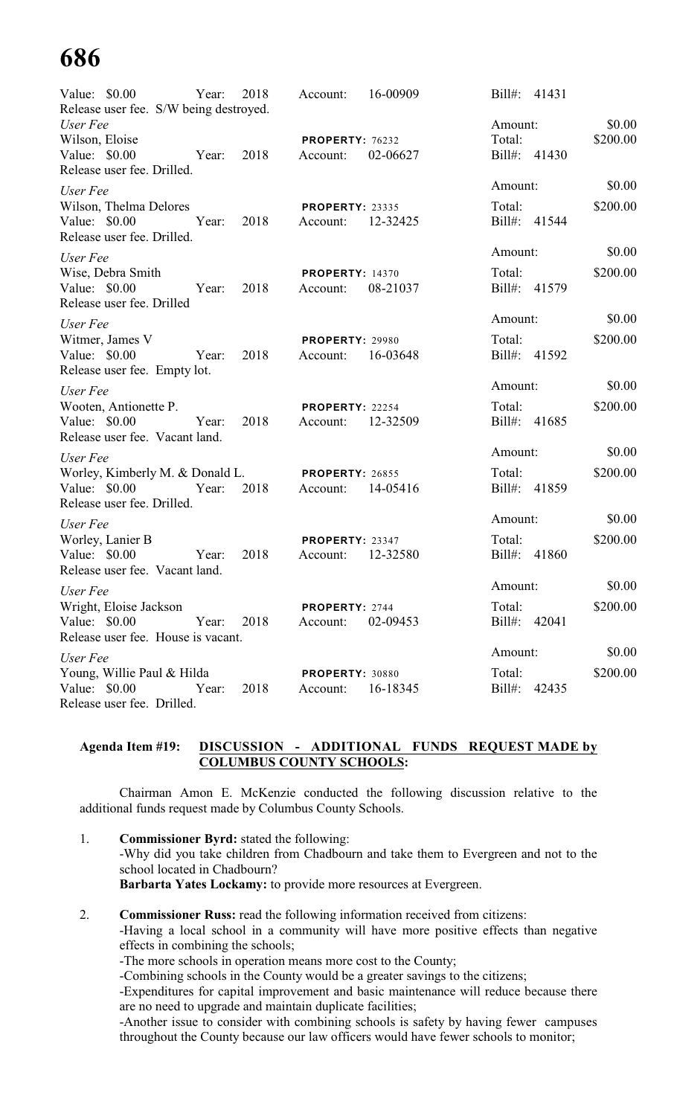| Value: \$0.00                                      | Year: | 2018 | Account:               | 16-00909 | Bill#: 41431       |          |
|----------------------------------------------------|-------|------|------------------------|----------|--------------------|----------|
| Release user fee. S/W being destroyed.<br>User Fee |       |      |                        |          | Amount:            | \$0.00   |
| Wilson, Eloise                                     |       |      | PROPERTY: 76232        |          | Total:             | \$200.00 |
| Value: \$0.00<br>Release user fee. Drilled.        | Year: | 2018 | Account:               | 02-06627 | Bill#: 41430       |          |
| User Fee                                           |       |      |                        |          | Amount:            | \$0.00   |
| Wilson, Thelma Delores                             |       |      | <b>PROPERTY: 23335</b> |          | Total:             | \$200.00 |
| Value: \$0.00<br>Release user fee. Drilled.        | Year: | 2018 | Account:               | 12-32425 | Bill#: 41544       |          |
| User Fee                                           |       |      |                        |          | Amount:            | \$0.00   |
| Wise, Debra Smith                                  |       |      | <b>PROPERTY: 14370</b> |          | Total:             | \$200.00 |
| Value: \$0.00<br>Release user fee. Drilled         | Year: | 2018 | Account:               | 08-21037 | Bill#: 41579       |          |
| User Fee                                           |       |      |                        |          | Amount:            | \$0.00   |
| Witmer, James V                                    |       |      | <b>PROPERTY: 29980</b> |          | Total:             | \$200.00 |
| Value: \$0.00<br>Release user fee. Empty lot.      | Year: | 2018 | Account:               | 16-03648 | Bill#: 41592       |          |
| User Fee                                           |       |      |                        |          | Amount:            | \$0.00   |
| Wooten, Antionette P.                              |       |      | PROPERTY: 22254        |          | Total:             | \$200.00 |
| Value: \$0.00<br>Release user fee. Vacant land.    | Year: | 2018 | Account:               | 12-32509 | Bill#: 41685       |          |
| User Fee                                           |       |      |                        |          | Amount:            | \$0.00   |
| Worley, Kimberly M. & Donald L.                    |       |      | <b>PROPERTY: 26855</b> |          | Total:             | \$200.00 |
| Value: $$0.00$<br>Release user fee. Drilled.       | Year: | 2018 | Account:               | 14-05416 | Bill#: 41859       |          |
| User Fee                                           |       |      |                        |          | Amount:            | \$0.00   |
| Worley, Lanier B                                   |       |      | PROPERTY: 23347        |          | Total:             | \$200.00 |
| Value: \$0.00<br>Release user fee. Vacant land.    | Year: | 2018 | Account:               | 12-32580 | $Bill#$ :<br>41860 |          |
|                                                    |       |      |                        |          | Amount:            | \$0.00   |
| User Fee<br>Wright, Eloise Jackson                 |       |      | PROPERTY: 2744         |          | Total:             | \$200.00 |
| Value: $$0.00$                                     | Year: | 2018 | Account:               | 02-09453 | Bill#: 42041       |          |
| Release user fee. House is vacant.                 |       |      |                        |          |                    |          |
| User Fee                                           |       |      |                        |          | Amount:            | \$0.00   |
| Young, Willie Paul & Hilda                         |       |      | PROPERTY: 30880        |          | Total:             | \$200.00 |
| Value: \$0.00<br>Release user fee. Drilled.        | Year: | 2018 | Account:               | 16-18345 | Bill#: 42435       |          |
|                                                    |       |      |                        |          |                    |          |

### **Agenda Item #19: DISCUSSION - ADDITIONAL FUNDS REQUEST MADE by COLUMBUS COUNTY SCHOOLS:**

Chairman Amon E. McKenzie conducted the following discussion relative to the additional funds request made by Columbus County Schools.

- 1. **Commissioner Byrd:** stated the following: -Why did you take children from Chadbourn and take them to Evergreen and not to the school located in Chadbourn? **Barbarta Yates Lockamy:** to provide more resources at Evergreen.
- 2. **Commissioner Russ:** read the following information received from citizens: -Having a local school in a community will have more positive effects than negative effects in combining the schools;
	- -The more schools in operation means more cost to the County;

-Combining schools in the County would be a greater savings to the citizens;

-Expenditures for capital improvement and basic maintenance will reduce because there are no need to upgrade and maintain duplicate facilities;

-Another issue to consider with combining schools is safety by having fewer campuses throughout the County because our law officers would have fewer schools to monitor;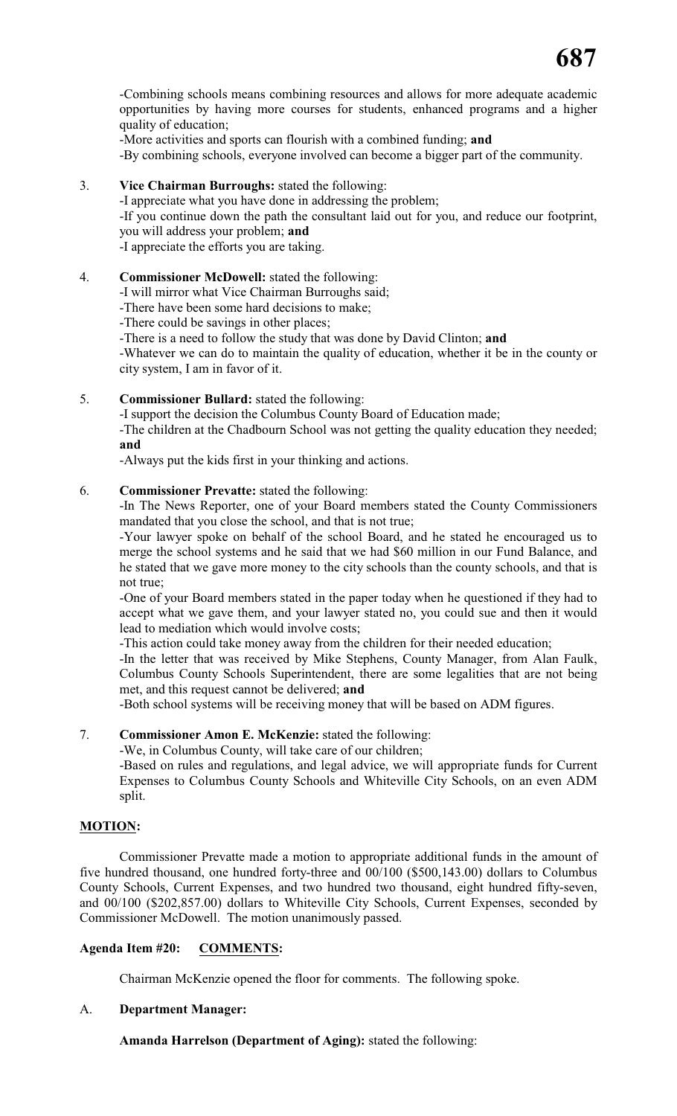-Combining schools means combining resources and allows for more adequate academic opportunities by having more courses for students, enhanced programs and a higher quality of education;

-More activities and sports can flourish with a combined funding; **and**

-By combining schools, everyone involved can become a bigger part of the community.

### 3. **Vice Chairman Burroughs:** stated the following:

-I appreciate what you have done in addressing the problem;

-If you continue down the path the consultant laid out for you, and reduce our footprint, you will address your problem; **and**

-I appreciate the efforts you are taking.

### 4. **Commissioner McDowell:** stated the following:

-I will mirror what Vice Chairman Burroughs said;

-There have been some hard decisions to make;

-There could be savings in other places;

-There is a need to follow the study that was done by David Clinton; **and**

-Whatever we can do to maintain the quality of education, whether it be in the county or city system, I am in favor of it.

### 5. **Commissioner Bullard:** stated the following:

-I support the decision the Columbus County Board of Education made;

-The children at the Chadbourn School was not getting the quality education they needed; **and**

-Always put the kids first in your thinking and actions.

### 6. **Commissioner Prevatte:** stated the following:

-In The News Reporter, one of your Board members stated the County Commissioners mandated that you close the school, and that is not true;

-Your lawyer spoke on behalf of the school Board, and he stated he encouraged us to merge the school systems and he said that we had \$60 million in our Fund Balance, and he stated that we gave more money to the city schools than the county schools, and that is not true;

-One of your Board members stated in the paper today when he questioned if they had to accept what we gave them, and your lawyer stated no, you could sue and then it would lead to mediation which would involve costs;

-This action could take money away from the children for their needed education;

-In the letter that was received by Mike Stephens, County Manager, from Alan Faulk, Columbus County Schools Superintendent, there are some legalities that are not being met, and this request cannot be delivered; **and**

-Both school systems will be receiving money that will be based on ADM figures.

### 7. **Commissioner Amon E. McKenzie:** stated the following:

-We, in Columbus County, will take care of our children;

-Based on rules and regulations, and legal advice, we will appropriate funds for Current Expenses to Columbus County Schools and Whiteville City Schools, on an even ADM split.

### **MOTION:**

Commissioner Prevatte made a motion to appropriate additional funds in the amount of five hundred thousand, one hundred forty-three and 00/100 (\$500,143.00) dollars to Columbus County Schools, Current Expenses, and two hundred two thousand, eight hundred fifty-seven, and 00/100 (\$202,857.00) dollars to Whiteville City Schools, Current Expenses, seconded by Commissioner McDowell. The motion unanimously passed.

### **Agenda Item #20: COMMENTS:**

Chairman McKenzie opened the floor for comments. The following spoke.

### A. **Department Manager:**

**Amanda Harrelson (Department of Aging):** stated the following: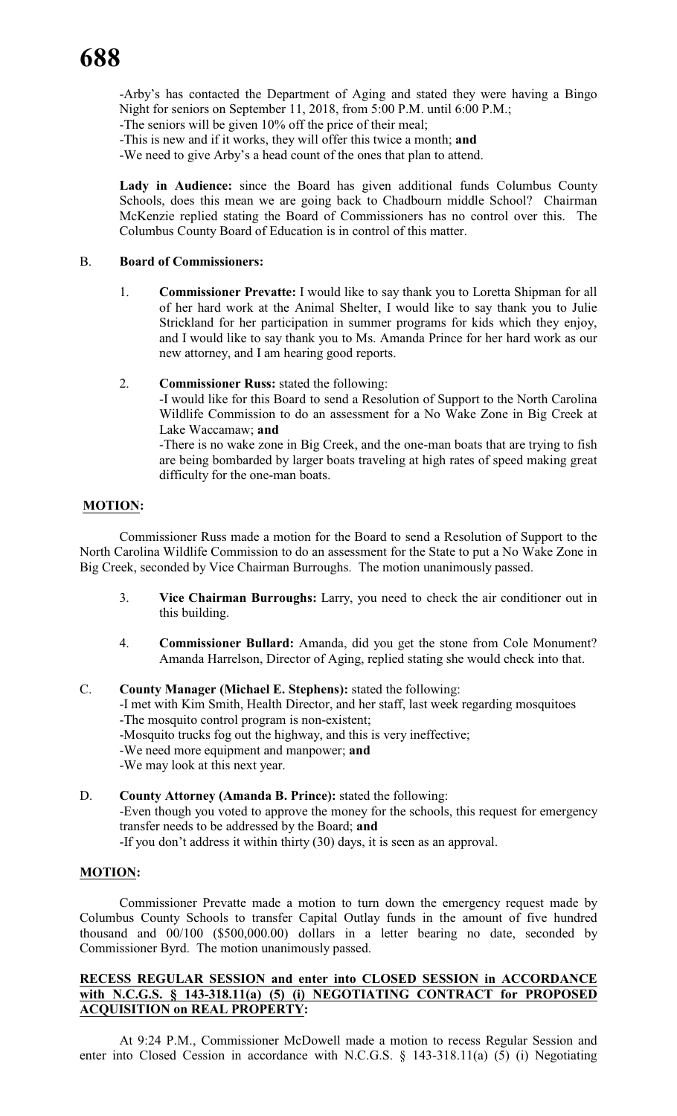-Arby's has contacted the Department of Aging and stated they were having a Bingo Night for seniors on September 11, 2018, from 5:00 P.M. until 6:00 P.M.;

-The seniors will be given 10% off the price of their meal;

-This is new and if it works, they will offer this twice a month; **and**

-We need to give Arby's a head count of the ones that plan to attend.

**Lady in Audience:** since the Board has given additional funds Columbus County Schools, does this mean we are going back to Chadbourn middle School? Chairman McKenzie replied stating the Board of Commissioners has no control over this. The Columbus County Board of Education is in control of this matter.

### B. **Board of Commissioners:**

1. **Commissioner Prevatte:** I would like to say thank you to Loretta Shipman for all of her hard work at the Animal Shelter, I would like to say thank you to Julie Strickland for her participation in summer programs for kids which they enjoy, and I would like to say thank you to Ms. Amanda Prince for her hard work as our new attorney, and I am hearing good reports.

### 2. **Commissioner Russ:** stated the following:

-I would like for this Board to send a Resolution of Support to the North Carolina Wildlife Commission to do an assessment for a No Wake Zone in Big Creek at Lake Waccamaw; **and**

-There is no wake zone in Big Creek, and the one-man boats that are trying to fish are being bombarded by larger boats traveling at high rates of speed making great difficulty for the one-man boats.

### **MOTION:**

Commissioner Russ made a motion for the Board to send a Resolution of Support to the North Carolina Wildlife Commission to do an assessment for the State to put a No Wake Zone in Big Creek, seconded by Vice Chairman Burroughs. The motion unanimously passed.

- 3. **Vice Chairman Burroughs:** Larry, you need to check the air conditioner out in this building.
- 4. **Commissioner Bullard:** Amanda, did you get the stone from Cole Monument? Amanda Harrelson, Director of Aging, replied stating she would check into that.

### C. **County Manager (Michael E. Stephens):** stated the following:

-I met with Kim Smith, Health Director, and her staff, last week regarding mosquitoes -The mosquito control program is non-existent;

-Mosquito trucks fog out the highway, and this is very ineffective;

-We need more equipment and manpower; **and**

-We may look at this next year.

### D. **County Attorney (Amanda B. Prince):** stated the following:

-Even though you voted to approve the money for the schools, this request for emergency transfer needs to be addressed by the Board; **and**

-If you don't address it within thirty (30) days, it is seen as an approval.

### **MOTION:**

Commissioner Prevatte made a motion to turn down the emergency request made by Columbus County Schools to transfer Capital Outlay funds in the amount of five hundred thousand and 00/100 (\$500,000.00) dollars in a letter bearing no date, seconded by Commissioner Byrd. The motion unanimously passed.

### **RECESS REGULAR SESSION and enter into CLOSED SESSION in ACCORDANCE with N.C.G.S. § 143-318.11(a) (5) (i) NEGOTIATING CONTRACT for PROPOSED ACQUISITION on REAL PROPERTY:**

At 9:24 P.M., Commissioner McDowell made a motion to recess Regular Session and enter into Closed Cession in accordance with N.C.G.S. § 143-318.11(a) (5) (i) Negotiating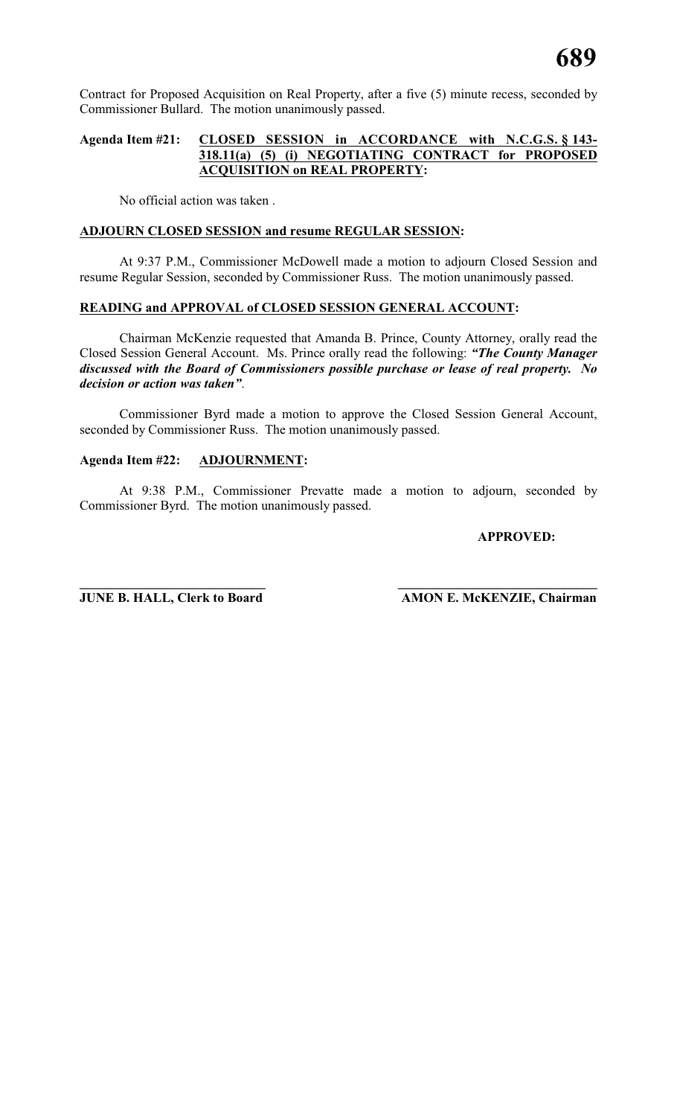Contract for Proposed Acquisition on Real Property, after a five (5) minute recess, seconded by Commissioner Bullard. The motion unanimously passed.

### **Agenda Item #21: CLOSED SESSION in ACCORDANCE with N.C.G.S. § 143- 318.11(a) (5) (i) NEGOTIATING CONTRACT for PROPOSED ACQUISITION on REAL PROPERTY:**

No official action was taken .

### **ADJOURN CLOSED SESSION and resume REGULAR SESSION:**

At 9:37 P.M., Commissioner McDowell made a motion to adjourn Closed Session and resume Regular Session, seconded by Commissioner Russ. The motion unanimously passed.

### **READING and APPROVAL of CLOSED SESSION GENERAL ACCOUNT:**

Chairman McKenzie requested that Amanda B. Prince, County Attorney, orally read the Closed Session General Account. Ms. Prince orally read the following: *"The County Manager discussed with the Board of Commissioners possible purchase or lease of real property. No decision or action was taken"*.

Commissioner Byrd made a motion to approve the Closed Session General Account, seconded by Commissioner Russ. The motion unanimously passed.

### **Agenda Item #22: ADJOURNMENT:**

At 9:38 P.M., Commissioner Prevatte made a motion to adjourn, seconded by Commissioner Byrd. The motion unanimously passed.

### **APPROVED:**

**\_\_\_\_\_\_\_\_\_\_\_\_\_\_\_\_\_\_\_\_\_\_\_\_\_\_\_\_ \_\_\_\_\_\_\_\_\_\_\_\_\_\_\_\_\_\_\_\_\_\_\_\_\_\_\_\_\_\_ JUNE B. HALL, Clerk to Board AMON E. McKENZIE, Chairman**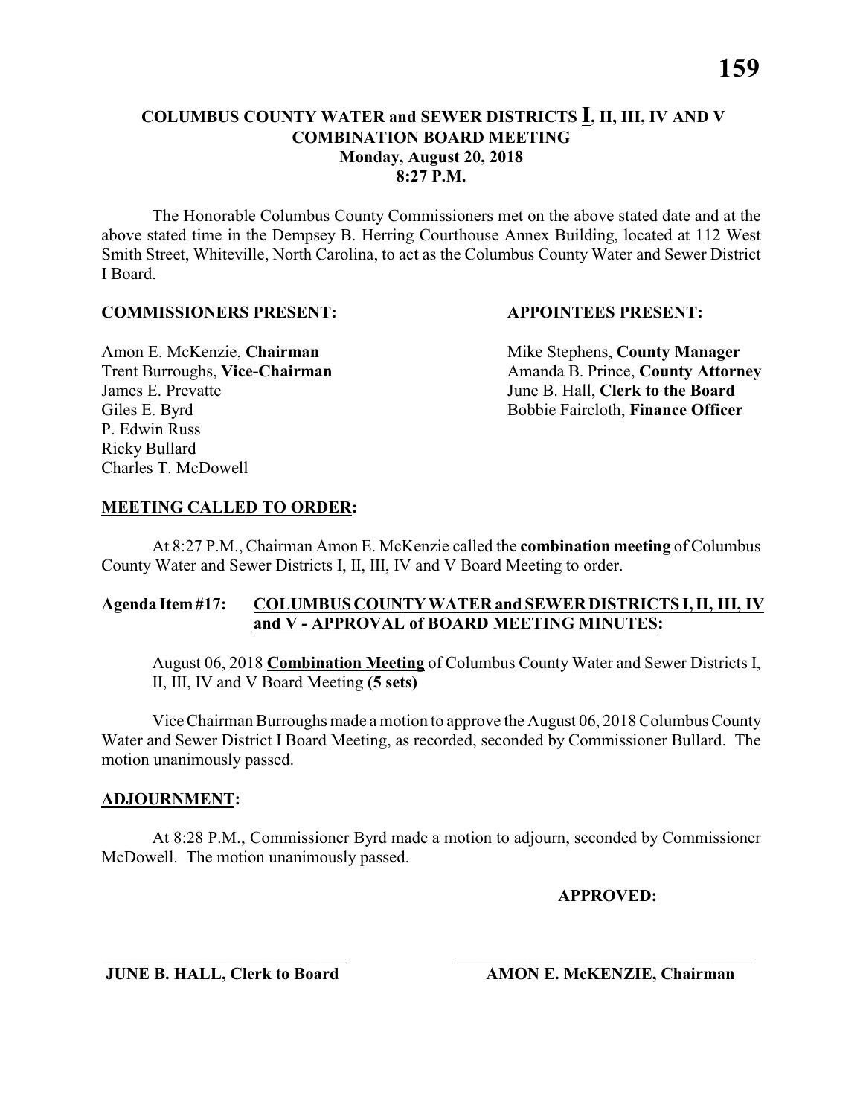The Honorable Columbus County Commissioners met on the above stated date and at the above stated time in the Dempsey B. Herring Courthouse Annex Building, located at 112 West Smith Street, Whiteville, North Carolina, to act as the Columbus County Water and Sewer District I Board.

### **COMMISSIONERS PRESENT: APPOINTEES PRESENT:**

James E. Prevatte June B. Hall, **Clerk to the Board** P. Edwin Russ Ricky Bullard Charles T. McDowell

Amon E. McKenzie, **Chairman** Mike Stephens, **County Manager** Trent Burroughs, Vice-Chairman Amanda B. Prince, County Attorney Giles E. Byrd **Bobbie Faircloth, Finance Officer** 

### **MEETING CALLED TO ORDER:**

At 8:27 P.M., Chairman Amon E. McKenzie called the **combination meeting** of Columbus County Water and Sewer Districts I, II, III, IV and V Board Meeting to order.

### **Agenda Item #17: COLUMBUS COUNTY WATER and SEWER DISTRICTS I, II, III, IV and V - APPROVAL of BOARD MEETING MINUTES:**

August 06, 2018 **Combination Meeting** of Columbus County Water and Sewer Districts I, II, III, IV and V Board Meeting **(5 sets)**

Vice Chairman Burroughs made a motion to approve the August 06, 2018 Columbus County Water and Sewer District I Board Meeting, as recorded, seconded by Commissioner Bullard. The motion unanimously passed.

### **ADJOURNMENT:**

At 8:28 P.M., Commissioner Byrd made a motion to adjourn, seconded by Commissioner McDowell. The motion unanimously passed.

\_\_\_\_\_\_\_\_\_\_\_\_\_\_\_\_\_\_\_\_\_\_\_\_\_\_\_\_\_ \_\_\_\_\_\_\_\_\_\_\_\_\_\_\_\_\_\_\_\_\_\_\_\_\_\_\_\_\_\_\_\_\_\_\_

**APPROVED:**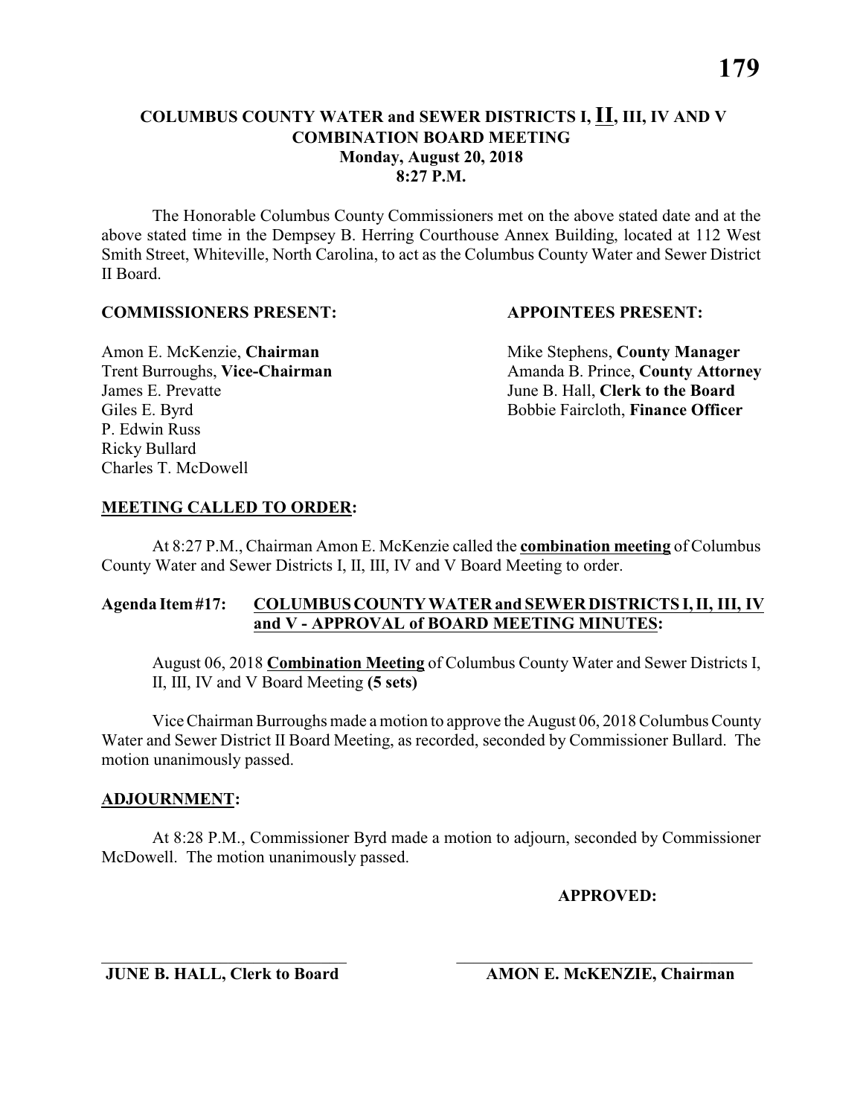The Honorable Columbus County Commissioners met on the above stated date and at the above stated time in the Dempsey B. Herring Courthouse Annex Building, located at 112 West Smith Street, Whiteville, North Carolina, to act as the Columbus County Water and Sewer District II Board.

### **COMMISSIONERS PRESENT: APPOINTEES PRESENT:**

James E. Prevatte June B. Hall, **Clerk to the Board** P. Edwin Russ Ricky Bullard Charles T. McDowell

Amon E. McKenzie, **Chairman** Mike Stephens, **County Manager** Trent Burroughs, Vice-Chairman Amanda B. Prince, County Attorney Giles E. Byrd **Bobbie Faircloth, Finance Officer** 

### **MEETING CALLED TO ORDER:**

At 8:27 P.M., Chairman Amon E. McKenzie called the **combination meeting** of Columbus County Water and Sewer Districts I, II, III, IV and V Board Meeting to order.

### **Agenda Item #17: COLUMBUS COUNTY WATER and SEWER DISTRICTS I, II, III, IV and V - APPROVAL of BOARD MEETING MINUTES:**

August 06, 2018 **Combination Meeting** of Columbus County Water and Sewer Districts I, II, III, IV and V Board Meeting **(5 sets)**

Vice Chairman Burroughs made a motion to approve the August 06, 2018 Columbus County Water and Sewer District II Board Meeting, as recorded, seconded by Commissioner Bullard. The motion unanimously passed.

### **ADJOURNMENT:**

At 8:28 P.M., Commissioner Byrd made a motion to adjourn, seconded by Commissioner McDowell. The motion unanimously passed.

\_\_\_\_\_\_\_\_\_\_\_\_\_\_\_\_\_\_\_\_\_\_\_\_\_\_\_\_\_ \_\_\_\_\_\_\_\_\_\_\_\_\_\_\_\_\_\_\_\_\_\_\_\_\_\_\_\_\_\_\_\_\_\_\_

**APPROVED:**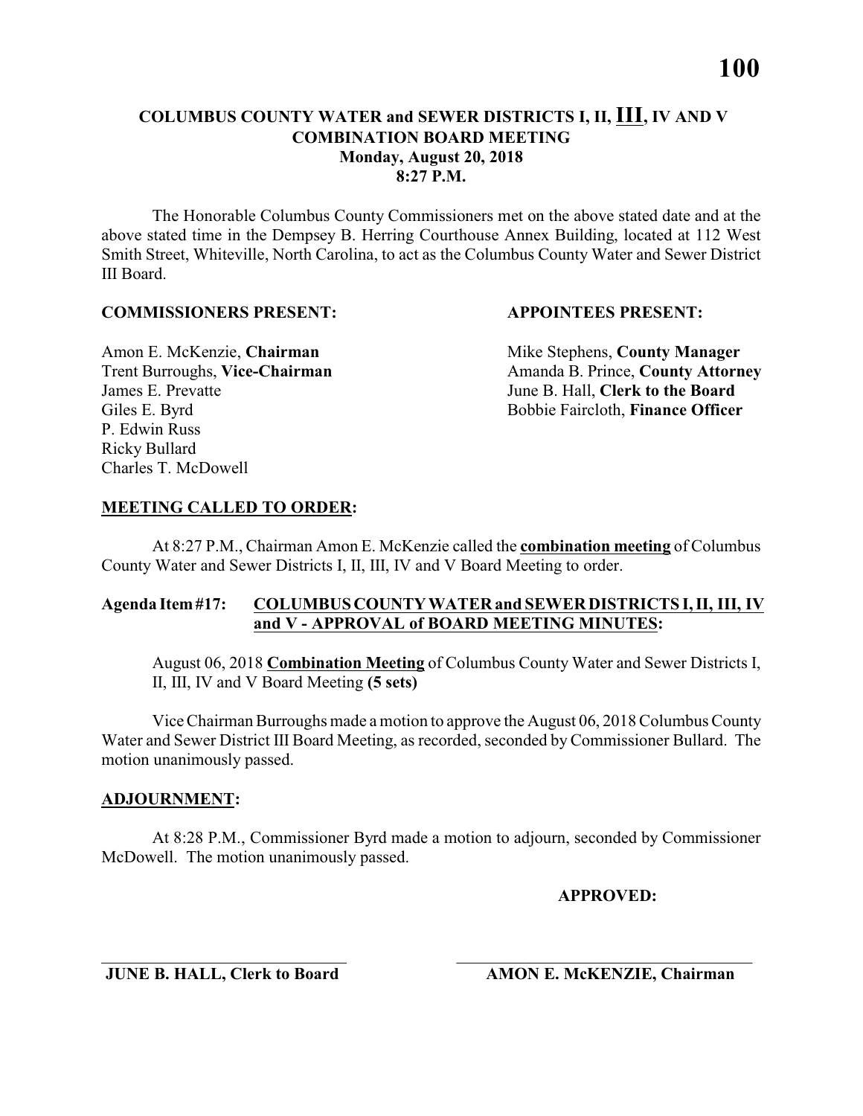The Honorable Columbus County Commissioners met on the above stated date and at the above stated time in the Dempsey B. Herring Courthouse Annex Building, located at 112 West Smith Street, Whiteville, North Carolina, to act as the Columbus County Water and Sewer District III Board.

### **COMMISSIONERS PRESENT: APPOINTEES PRESENT:**

James E. Prevatte June B. Hall, **Clerk to the Board** P. Edwin Russ Ricky Bullard Charles T. McDowell

Amon E. McKenzie, **Chairman** Mike Stephens, **County Manager** Trent Burroughs, Vice-Chairman Amanda B. Prince, County Attorney Giles E. Byrd **Bobbie Faircloth, Finance Officer** 

### **MEETING CALLED TO ORDER:**

At 8:27 P.M., Chairman Amon E. McKenzie called the **combination meeting** of Columbus County Water and Sewer Districts I, II, III, IV and V Board Meeting to order.

### **Agenda Item #17: COLUMBUS COUNTY WATER and SEWER DISTRICTS I, II, III, IV and V - APPROVAL of BOARD MEETING MINUTES:**

August 06, 2018 **Combination Meeting** of Columbus County Water and Sewer Districts I, II, III, IV and V Board Meeting **(5 sets)**

Vice Chairman Burroughs made a motion to approve the August 06, 2018 Columbus County Water and Sewer District III Board Meeting, as recorded, seconded by Commissioner Bullard. The motion unanimously passed.

### **ADJOURNMENT:**

At 8:28 P.M., Commissioner Byrd made a motion to adjourn, seconded by Commissioner McDowell. The motion unanimously passed.

\_\_\_\_\_\_\_\_\_\_\_\_\_\_\_\_\_\_\_\_\_\_\_\_\_\_\_\_\_ \_\_\_\_\_\_\_\_\_\_\_\_\_\_\_\_\_\_\_\_\_\_\_\_\_\_\_\_\_\_\_\_\_\_\_

### **APPROVED:**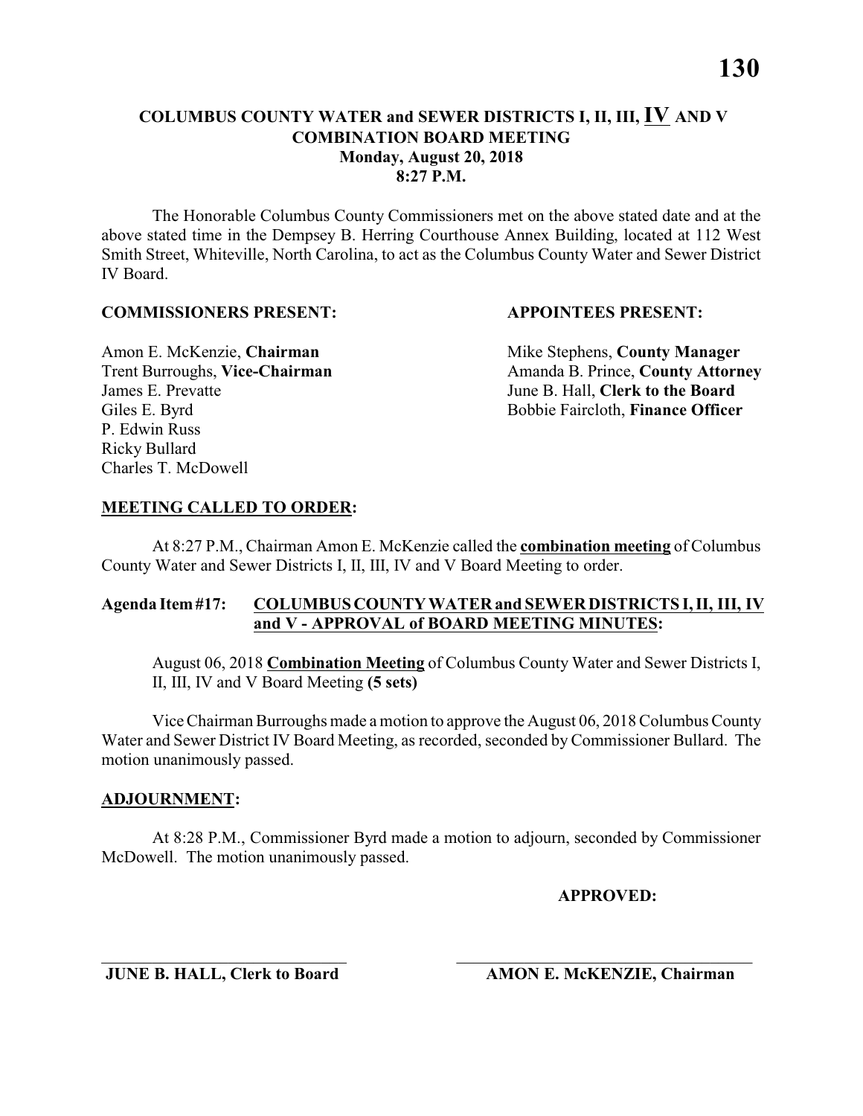The Honorable Columbus County Commissioners met on the above stated date and at the above stated time in the Dempsey B. Herring Courthouse Annex Building, located at 112 West Smith Street, Whiteville, North Carolina, to act as the Columbus County Water and Sewer District IV Board.

### **COMMISSIONERS PRESENT: APPOINTEES PRESENT:**

James E. Prevatte June B. Hall, **Clerk to the Board** P. Edwin Russ Ricky Bullard Charles T. McDowell

Amon E. McKenzie, **Chairman** Mike Stephens, **County Manager** Trent Burroughs, Vice-Chairman Amanda B. Prince, County Attorney Giles E. Byrd **Bobbie Faircloth, Finance Officer** 

### **MEETING CALLED TO ORDER:**

At 8:27 P.M., Chairman Amon E. McKenzie called the **combination meeting** of Columbus County Water and Sewer Districts I, II, III, IV and V Board Meeting to order.

### **Agenda Item #17: COLUMBUS COUNTY WATER and SEWER DISTRICTS I, II, III, IV and V - APPROVAL of BOARD MEETING MINUTES:**

August 06, 2018 **Combination Meeting** of Columbus County Water and Sewer Districts I, II, III, IV and V Board Meeting **(5 sets)**

Vice Chairman Burroughs made a motion to approve the August 06, 2018 Columbus County Water and Sewer District IV Board Meeting, as recorded, seconded by Commissioner Bullard. The motion unanimously passed.

### **ADJOURNMENT:**

At 8:28 P.M., Commissioner Byrd made a motion to adjourn, seconded by Commissioner McDowell. The motion unanimously passed.

\_\_\_\_\_\_\_\_\_\_\_\_\_\_\_\_\_\_\_\_\_\_\_\_\_\_\_\_\_ \_\_\_\_\_\_\_\_\_\_\_\_\_\_\_\_\_\_\_\_\_\_\_\_\_\_\_\_\_\_\_\_\_\_\_

### **APPROVED:**